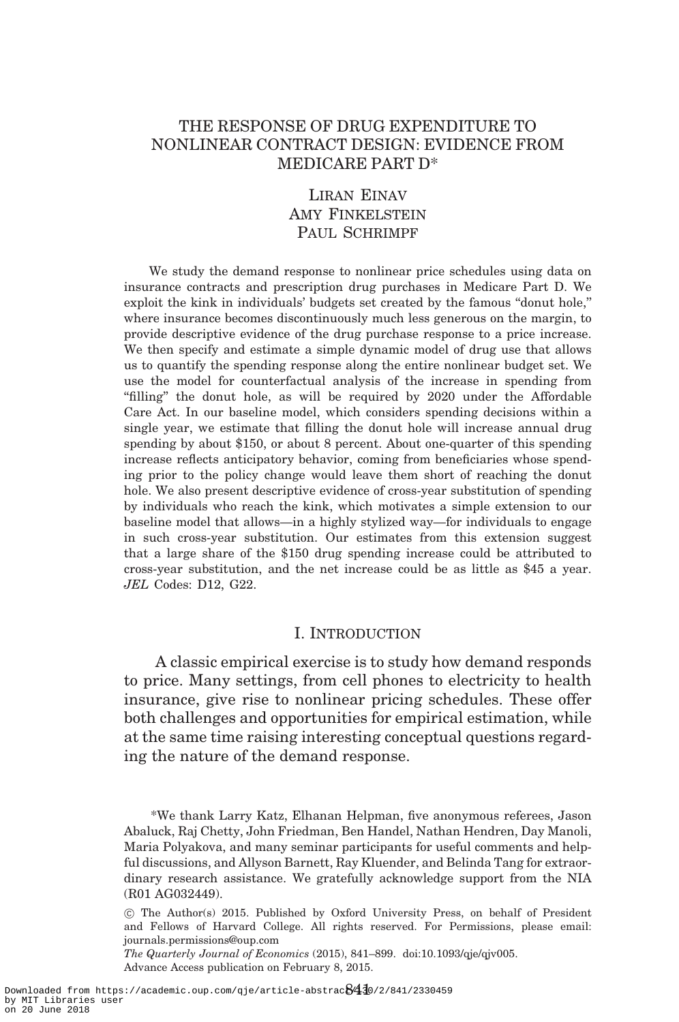# THE RESPONSE OF DRUG EXPENDITURE TO NONLINEAR CONTRACT DESIGN: EVIDENCE FROM MEDICARE PART D\*

# Liran Einav Amy Finkelstein PAUL SCHRIMPF

We study the demand response to nonlinear price schedules using data on insurance contracts and prescription drug purchases in Medicare Part D. We exploit the kink in individuals' budgets set created by the famous ''donut hole,'' where insurance becomes discontinuously much less generous on the margin, to provide descriptive evidence of the drug purchase response to a price increase. We then specify and estimate a simple dynamic model of drug use that allows us to quantify the spending response along the entire nonlinear budget set. We use the model for counterfactual analysis of the increase in spending from "filling" the donut hole, as will be required by 2020 under the Affordable Care Act. In our baseline model, which considers spending decisions within a single year, we estimate that filling the donut hole will increase annual drug spending by about \$150, or about 8 percent. About one-quarter of this spending increase reflects anticipatory behavior, coming from beneficiaries whose spending prior to the policy change would leave them short of reaching the donut hole. We also present descriptive evidence of cross-year substitution of spending by individuals who reach the kink, which motivates a simple extension to our baseline model that allows—in a highly stylized way—for individuals to engage in such cross-year substitution. Our estimates from this extension suggest that a large share of the \$150 drug spending increase could be attributed to cross-year substitution, and the net increase could be as little as \$45 a year. JEL Codes: D12, G22.

#### I. INTRODUCTION

A classic empirical exercise is to study how demand responds to price. Many settings, from cell phones to electricity to health insurance, give rise to nonlinear pricing schedules. These offer both challenges and opportunities for empirical estimation, while at the same time raising interesting conceptual questions regarding the nature of the demand response.

\*We thank Larry Katz, Elhanan Helpman, five anonymous referees, Jason Abaluck, Raj Chetty, John Friedman, Ben Handel, Nathan Hendren, Day Manoli, Maria Polyakova, and many seminar participants for useful comments and helpful discussions, and Allyson Barnett, Ray Kluender, and Belinda Tang for extraordinary research assistance. We gratefully acknowledge support from the NIA (R01 AG032449).

The Quarterly Journal of Economics (2015), 841–899. doi:10.1093/qje/qjv005. Advance Access publication on February 8, 2015.

<sup>!</sup> The Author(s) 2015. Published by Oxford University Press, on behalf of President and Fellows of Harvard College. All rights reserved. For Permissions, please email: journals.permissions@oup.com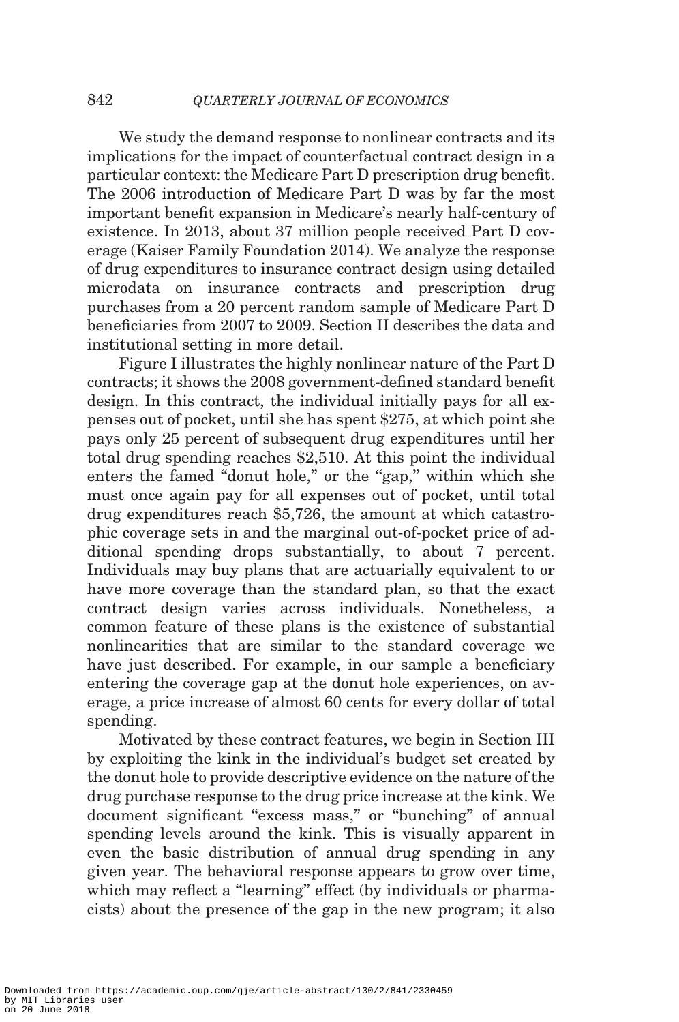We study the demand response to nonlinear contracts and its implications for the impact of counterfactual contract design in a particular context: the Medicare Part D prescription drug benefit. The 2006 introduction of Medicare Part D was by far the most important benefit expansion in Medicare's nearly half-century of existence. In 2013, about 37 million people received Part D coverage [\(Kaiser Family Foundation 2014](#page-58-0)). We analyze the response of drug expenditures to insurance contract design using detailed microdata on insurance contracts and prescription drug purchases from a 20 percent random sample of Medicare Part D beneficiaries from 2007 to 2009. Section II describes the data and institutional setting in more detail.

[Figure I](#page-2-0) illustrates the highly nonlinear nature of the Part D contracts; it shows the 2008 government-defined standard benefit design. In this contract, the individual initially pays for all expenses out of pocket, until she has spent \$275, at which point she pays only 25 percent of subsequent drug expenditures until her total drug spending reaches \$2,510. At this point the individual enters the famed "donut hole," or the "gap," within which she must once again pay for all expenses out of pocket, until total drug expenditures reach \$5,726, the amount at which catastrophic coverage sets in and the marginal out-of-pocket price of additional spending drops substantially, to about 7 percent. Individuals may buy plans that are actuarially equivalent to or have more coverage than the standard plan, so that the exact contract design varies across individuals. Nonetheless, a common feature of these plans is the existence of substantial nonlinearities that are similar to the standard coverage we have just described. For example, in our sample a beneficiary entering the coverage gap at the donut hole experiences, on average, a price increase of almost 60 cents for every dollar of total spending.

Motivated by these contract features, we begin in Section III by exploiting the kink in the individual's budget set created by the donut hole to provide descriptive evidence on the nature of the drug purchase response to the drug price increase at the kink. We document significant "excess mass," or "bunching" of annual spending levels around the kink. This is visually apparent in even the basic distribution of annual drug spending in any given year. The behavioral response appears to grow over time, which may reflect a "learning" effect (by individuals or pharmacists) about the presence of the gap in the new program; it also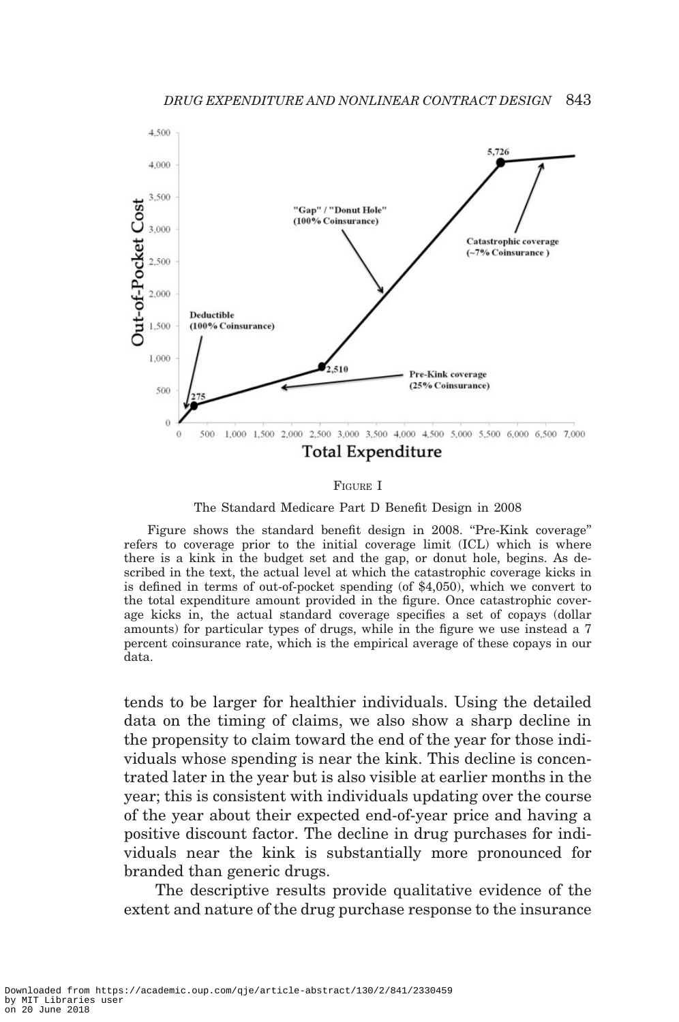<span id="page-2-0"></span>

FIGURE I

The Standard Medicare Part D Benefit Design in 2008

Figure shows the standard benefit design in 2008. "Pre-Kink coverage" refers to coverage prior to the initial coverage limit (ICL) which is where there is a kink in the budget set and the gap, or donut hole, begins. As described in the text, the actual level at which the catastrophic coverage kicks in is defined in terms of out-of-pocket spending (of \$4,050), which we convert to the total expenditure amount provided in the figure. Once catastrophic coverage kicks in, the actual standard coverage specifies a set of copays (dollar amounts) for particular types of drugs, while in the figure we use instead a 7 percent coinsurance rate, which is the empirical average of these copays in our data.

tends to be larger for healthier individuals. Using the detailed data on the timing of claims, we also show a sharp decline in the propensity to claim toward the end of the year for those individuals whose spending is near the kink. This decline is concentrated later in the year but is also visible at earlier months in the year; this is consistent with individuals updating over the course of the year about their expected end-of-year price and having a positive discount factor. The decline in drug purchases for individuals near the kink is substantially more pronounced for branded than generic drugs.

The descriptive results provide qualitative evidence of the extent and nature of the drug purchase response to the insurance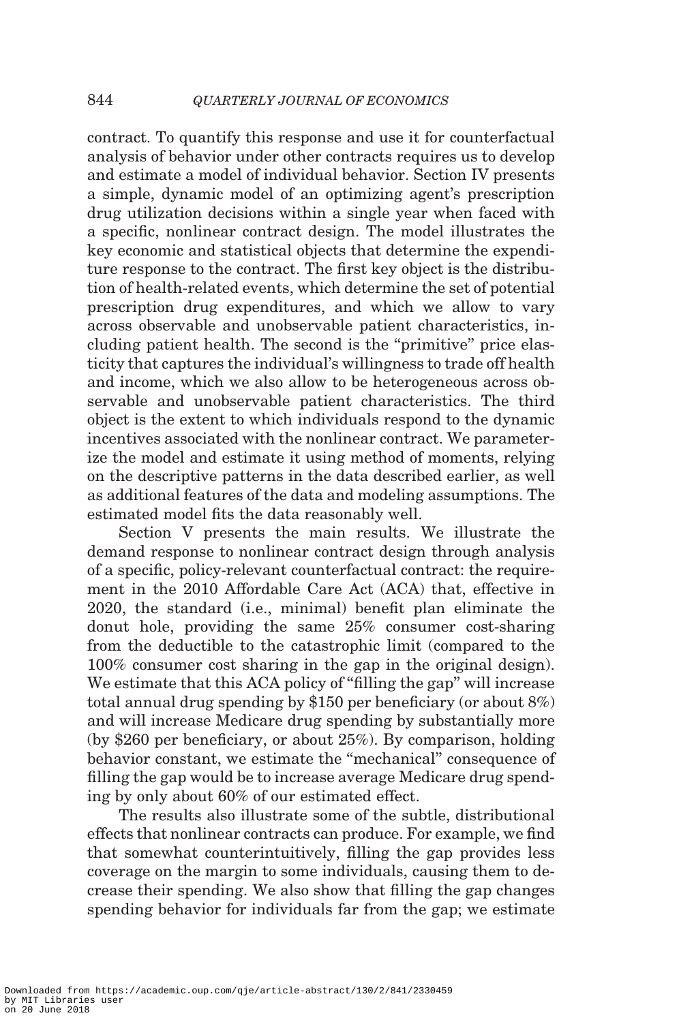contract. To quantify this response and use it for counterfactual analysis of behavior under other contracts requires us to develop and estimate a model of individual behavior. Section IV presents a simple, dynamic model of an optimizing agent's prescription drug utilization decisions within a single year when faced with a specific, nonlinear contract design. The model illustrates the key economic and statistical objects that determine the expenditure response to the contract. The first key object is the distribution of health-related events, which determine the set of potential prescription drug expenditures, and which we allow to vary across observable and unobservable patient characteristics, including patient health. The second is the ''primitive'' price elasticity that captures the individual's willingness to trade off health and income, which we also allow to be heterogeneous across observable and unobservable patient characteristics. The third object is the extent to which individuals respond to the dynamic incentives associated with the nonlinear contract. We parameterize the model and estimate it using method of moments, relying on the descriptive patterns in the data described earlier, as well as additional features of the data and modeling assumptions. The estimated model fits the data reasonably well.

Section V presents the main results. We illustrate the demand response to nonlinear contract design through analysis of a specific, policy-relevant counterfactual contract: the requirement in the 2010 Affordable Care Act (ACA) that, effective in 2020, the standard (i.e., minimal) benefit plan eliminate the donut hole, providing the same 25% consumer cost-sharing from the deductible to the catastrophic limit (compared to the 100% consumer cost sharing in the gap in the original design). We estimate that this ACA policy of "filling the gap" will increase total annual drug spending by \$150 per beneficiary (or about 8%) and will increase Medicare drug spending by substantially more (by \$260 per beneficiary, or about 25%). By comparison, holding behavior constant, we estimate the ''mechanical'' consequence of filling the gap would be to increase average Medicare drug spending by only about 60% of our estimated effect.

The results also illustrate some of the subtle, distributional effects that nonlinear contracts can produce. For example, we find that somewhat counterintuitively, filling the gap provides less coverage on the margin to some individuals, causing them to decrease their spending. We also show that filling the gap changes spending behavior for individuals far from the gap; we estimate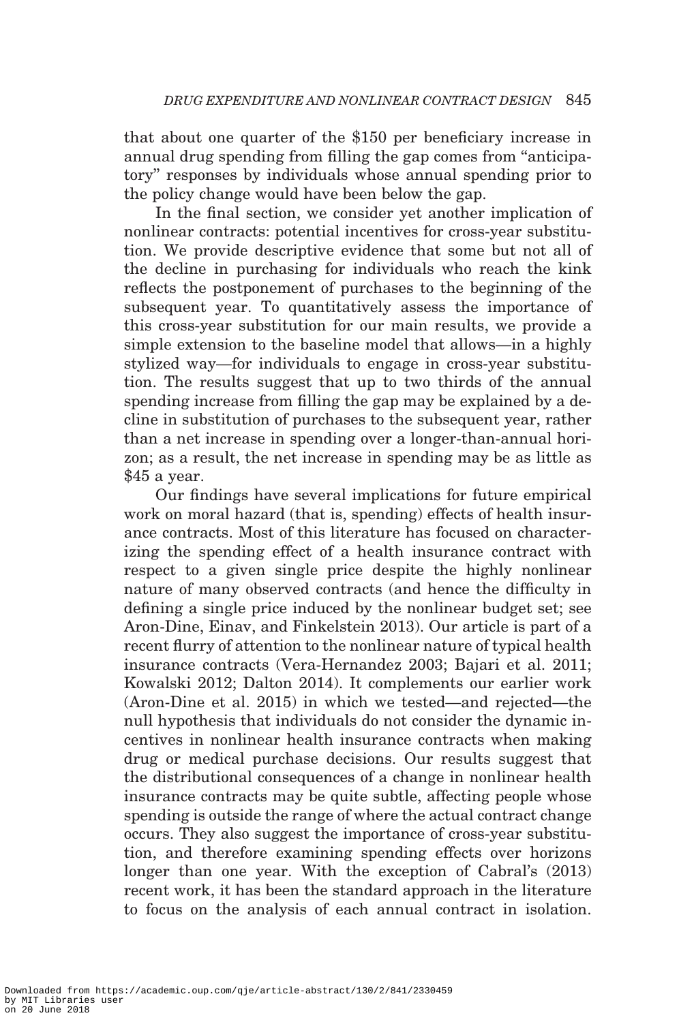that about one quarter of the \$150 per beneficiary increase in annual drug spending from filling the gap comes from "anticipatory'' responses by individuals whose annual spending prior to the policy change would have been below the gap.

In the final section, we consider yet another implication of nonlinear contracts: potential incentives for cross-year substitution. We provide descriptive evidence that some but not all of the decline in purchasing for individuals who reach the kink reflects the postponement of purchases to the beginning of the subsequent year. To quantitatively assess the importance of this cross-year substitution for our main results, we provide a simple extension to the baseline model that allows—in a highly stylized way—for individuals to engage in cross-year substitution. The results suggest that up to two thirds of the annual spending increase from filling the gap may be explained by a decline in substitution of purchases to the subsequent year, rather than a net increase in spending over a longer-than-annual horizon; as a result, the net increase in spending may be as little as \$45 a year.

Our findings have several implications for future empirical work on moral hazard (that is, spending) effects of health insurance contracts. Most of this literature has focused on characterizing the spending effect of a health insurance contract with respect to a given single price despite the highly nonlinear nature of many observed contracts (and hence the difficulty in defining a single price induced by the nonlinear budget set; see [Aron-Dine, Einav, and Finkelstein 2013](#page-56-0)). Our article is part of a recent flurry of attention to the nonlinear nature of typical health insurance contracts ([Vera-Hernandez 2003](#page-58-0); [Bajari et al. 2011;](#page-57-0) [Kowalski 2012;](#page-58-0) [Dalton 2014\)](#page-57-0). It complements our earlier work [\(Aron-Dine et al. 2015](#page-56-0)) in which we tested—and rejected—the null hypothesis that individuals do not consider the dynamic incentives in nonlinear health insurance contracts when making drug or medical purchase decisions. Our results suggest that the distributional consequences of a change in nonlinear health insurance contracts may be quite subtle, affecting people whose spending is outside the range of where the actual contract change occurs. They also suggest the importance of cross-year substitution, and therefore examining spending effects over horizons longer than one year. With the exception of [Cabral's \(2013\)](#page-57-0) recent work, it has been the standard approach in the literature to focus on the analysis of each annual contract in isolation.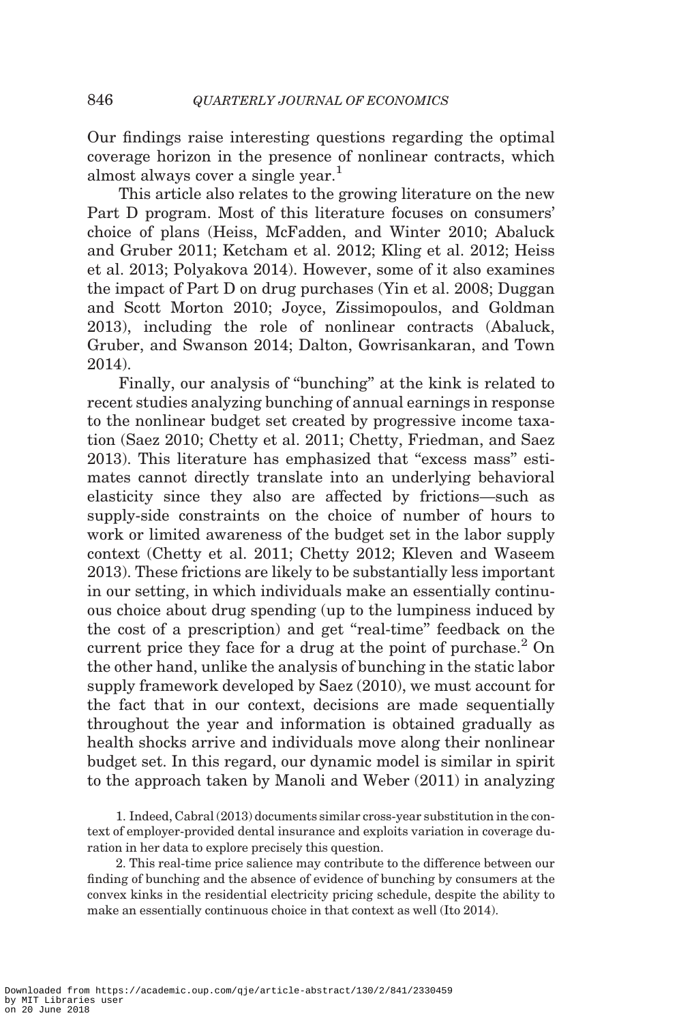Our findings raise interesting questions regarding the optimal coverage horizon in the presence of nonlinear contracts, which almost always cover a single year.<sup>1</sup>

This article also relates to the growing literature on the new Part D program. Most of this literature focuses on consumers' choice of plans [\(Heiss, McFadden, and Winter 2010;](#page-57-0) [Abaluck](#page-56-0) [and Gruber 2011](#page-56-0); [Ketcham et al. 2012; Kling et al. 2012](#page-58-0); [Heiss](#page-57-0) [et al. 2013](#page-57-0); [Polyakova 2014\)](#page-58-0). However, some of it also examines the impact of Part D on drug purchases [\(Yin et al. 2008](#page-58-0); [Duggan](#page-57-0) [and Scott Morton 2010](#page-57-0); [Joyce, Zissimopoulos, and Goldman](#page-58-0) [2013](#page-58-0)), including the role of nonlinear contracts ([Abaluck,](#page-56-0) [Gruber, and Swanson 2014](#page-56-0); [Dalton, Gowrisankaran, and Town](#page-57-0) [2014](#page-57-0)).

Finally, our analysis of ''bunching'' at the kink is related to recent studies analyzing bunching of annual earnings in response to the nonlinear budget set created by progressive income taxation ([Saez 2010;](#page-58-0) [Chetty et al. 2011; Chetty, Friedman, and Saez](#page-57-0) [2013](#page-57-0)). This literature has emphasized that ''excess mass'' estimates cannot directly translate into an underlying behavioral elasticity since they also are affected by frictions—such as supply-side constraints on the choice of number of hours to work or limited awareness of the budget set in the labor supply context ([Chetty et al. 2011](#page-57-0); [Chetty 2012](#page-57-0); [Kleven and Waseem](#page-58-0) [2013](#page-58-0)). These frictions are likely to be substantially less important in our setting, in which individuals make an essentially continuous choice about drug spending (up to the lumpiness induced by the cost of a prescription) and get ''real-time'' feedback on the current price they face for a drug at the point of purchase.<sup>2</sup> On the other hand, unlike the analysis of bunching in the static labor supply framework developed by [Saez \(2010\)](#page-58-0), we must account for the fact that in our context, decisions are made sequentially throughout the year and information is obtained gradually as health shocks arrive and individuals move along their nonlinear budget set. In this regard, our dynamic model is similar in spirit to the approach taken by [Manoli and Weber \(2011\)](#page-58-0) in analyzing

1. Indeed, [Cabral \(2013\)](#page-57-0) documents similar cross-year substitution in the context of employer-provided dental insurance and exploits variation in coverage duration in her data to explore precisely this question.

2. This real-time price salience may contribute to the difference between our finding of bunching and the absence of evidence of bunching by consumers at the convex kinks in the residential electricity pricing schedule, despite the ability to make an essentially continuous choice in that context as well ([Ito 2014\)](#page-58-0).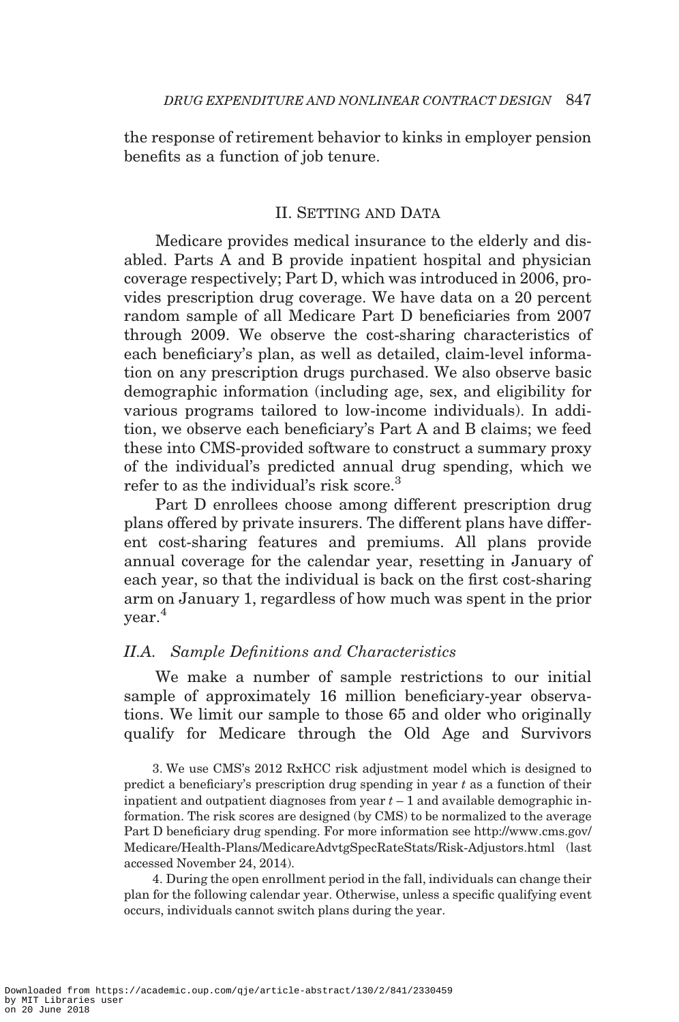the response of retirement behavior to kinks in employer pension benefits as a function of job tenure.

# II. Setting and Data

Medicare provides medical insurance to the elderly and disabled. Parts A and B provide inpatient hospital and physician coverage respectively; Part D, which was introduced in 2006, provides prescription drug coverage. We have data on a 20 percent random sample of all Medicare Part D beneficiaries from 2007 through 2009. We observe the cost-sharing characteristics of each beneficiary's plan, as well as detailed, claim-level information on any prescription drugs purchased. We also observe basic demographic information (including age, sex, and eligibility for various programs tailored to low-income individuals). In addition, we observe each beneficiary's Part A and B claims; we feed these into CMS-provided software to construct a summary proxy of the individual's predicted annual drug spending, which we refer to as the individual's risk score.<sup>3</sup>

Part D enrollees choose among different prescription drug plans offered by private insurers. The different plans have different cost-sharing features and premiums. All plans provide annual coverage for the calendar year, resetting in January of each year, so that the individual is back on the first cost-sharing arm on January 1, regardless of how much was spent in the prior year.<sup>4</sup>

# II.A. Sample Definitions and Characteristics

We make a number of sample restrictions to our initial sample of approximately 16 million beneficiary-year observations. We limit our sample to those 65 and older who originally qualify for Medicare through the Old Age and Survivors

3. We use CMS's 2012 RxHCC risk adjustment model which is designed to predict a beneficiary's prescription drug spending in year  $t$  as a function of their inpatient and outpatient diagnoses from year  $t-1$  and available demographic information. The risk scores are designed (by CMS) to be normalized to the average Part D beneficiary drug spending. For more information see [http://www.cms.gov/](http://www.cms.gov/Medicare/Health-Plans/MedicareAdvtgSpecRateStats/Risk-Adjustors.html) [Medicare/Health-Plans/MedicareAdvtgSpecRateStats/Risk-Adjustors.html](http://www.cms.gov/Medicare/Health-Plans/MedicareAdvtgSpecRateStats/Risk-Adjustors.html) (last accessed November 24, 2014).

4. During the open enrollment period in the fall, individuals can change their plan for the following calendar year. Otherwise, unless a specific qualifying event occurs, individuals cannot switch plans during the year.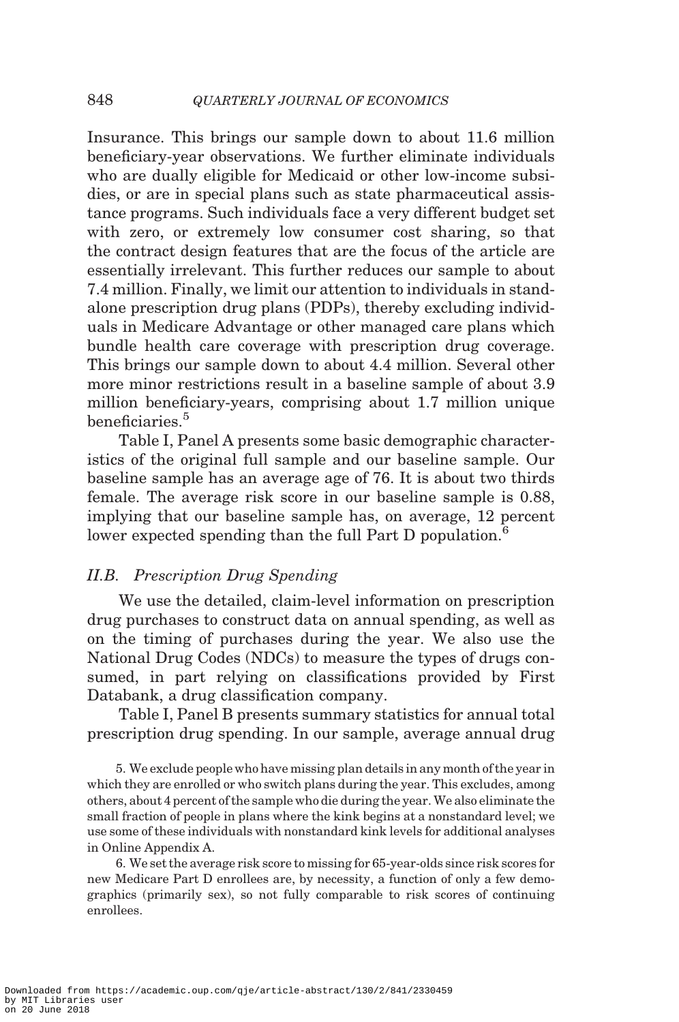Insurance. This brings our sample down to about 11.6 million beneficiary-year observations. We further eliminate individuals who are dually eligible for Medicaid or other low-income subsidies, or are in special plans such as state pharmaceutical assistance programs. Such individuals face a very different budget set with zero, or extremely low consumer cost sharing, so that the contract design features that are the focus of the article are essentially irrelevant. This further reduces our sample to about 7.4 million. Finally, we limit our attention to individuals in standalone prescription drug plans (PDPs), thereby excluding individuals in Medicare Advantage or other managed care plans which bundle health care coverage with prescription drug coverage. This brings our sample down to about 4.4 million. Several other more minor restrictions result in a baseline sample of about 3.9 million beneficiary-years, comprising about 1.7 million unique beneficiaries.<sup>5</sup>

[Table I](#page-8-0), Panel A presents some basic demographic characteristics of the original full sample and our baseline sample. Our baseline sample has an average age of 76. It is about two thirds female. The average risk score in our baseline sample is 0.88, implying that our baseline sample has, on average, 12 percent lower expected spending than the full Part D population.<sup>6</sup>

### II.B. Prescription Drug Spending

We use the detailed, claim-level information on prescription drug purchases to construct data on annual spending, as well as on the timing of purchases during the year. We also use the National Drug Codes (NDCs) to measure the types of drugs consumed, in part relying on classifications provided by First Databank, a drug classification company.

[Table I](#page-8-0), Panel B presents summary statistics for annual total prescription drug spending. In our sample, average annual drug

5. We exclude people who have missing plan details in any month of the year in which they are enrolled or who switch plans during the year. This excludes, among others, about 4 percent of the sample who die during the year. We also eliminate the small fraction of people in plans where the kink begins at a nonstandard level; we use some of these individuals with nonstandard kink levels for additional analyses in [Online Appendix A](http://qje.oxfordjournals.org/lookup/suppl/doi:10.1093/qje/qjv005/-/DC1).

6. We set the average risk score to missing for 65-year-olds since risk scores for new Medicare Part D enrollees are, by necessity, a function of only a few demographics (primarily sex), so not fully comparable to risk scores of continuing enrollees.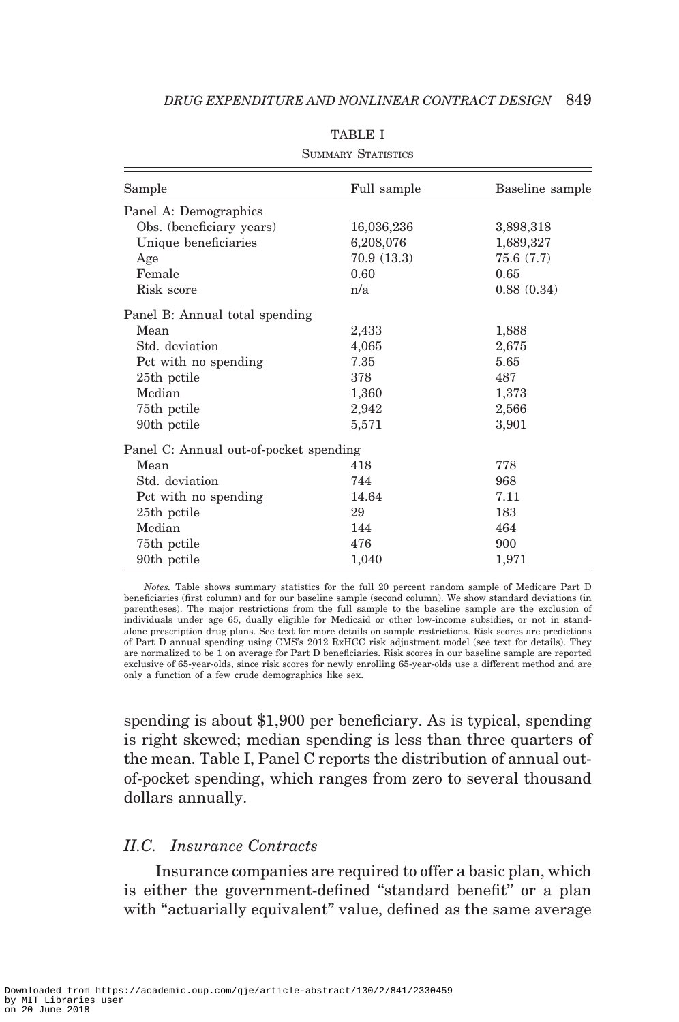<span id="page-8-0"></span>

| Sample                                 | Full sample | Baseline sample |
|----------------------------------------|-------------|-----------------|
| Panel A: Demographics                  |             |                 |
| Obs. (beneficiary years)               | 16,036,236  | 3,898,318       |
| Unique beneficiaries                   | 6,208,076   | 1,689,327       |
| Age                                    | 70.9(13.3)  | 75.6(7.7)       |
| Female                                 | 0.60        | 0.65            |
| Risk score                             | n/a         | 0.88(0.34)      |
| Panel B: Annual total spending         |             |                 |
| Mean                                   | 2,433       | 1,888           |
| Std. deviation                         | 4,065       | 2,675           |
| Pct with no spending                   | 7.35        | 5.65            |
| 25th pctile                            | 378         | 487             |
| Median                                 | 1,360       | 1,373           |
| 75 <sup>th</sup> pctile                | 2,942       | 2,566           |
| 90th pctile                            | 5,571       | 3,901           |
| Panel C: Annual out-of-pocket spending |             |                 |
| Mean                                   | 418         | 778             |
| Std. deviation                         | 744         | 968             |
| Pct with no spending                   | 14.64       | 7.11            |
| 25th pctile                            | 29          | 183             |
| Median                                 | 144         | 464             |
| 75 <sup>th</sup> pctile                | 476         | 900             |
| 90th pctile                            | 1,040       | 1,971           |

TABLE I SUMMARY STATISTICS

Notes. Table shows summary statistics for the full 20 percent random sample of Medicare Part D beneficiaries (first column) and for our baseline sample (second column). We show standard deviations (in parentheses). The major restrictions from the full sample to the baseline sample are the exclusion of individuals under age 65, dually eligible for Medicaid or other low-income subsidies, or not in standalone prescription drug plans. See text for more details on sample restrictions. Risk scores are predictions of Part D annual spending using CMS's 2012 RxHCC risk adjustment model (see text for details). They are normalized to be 1 on average for Part D beneficiaries. Risk scores in our baseline sample are reported exclusive of 65-year-olds, since risk scores for newly enrolling 65-year-olds use a different method and are only a function of a few crude demographics like sex.

spending is about \$1,900 per beneficiary. As is typical, spending is right skewed; median spending is less than three quarters of the mean. Table I, Panel C reports the distribution of annual outof-pocket spending, which ranges from zero to several thousand dollars annually.

### II.C. Insurance Contracts

Insurance companies are required to offer a basic plan, which is either the government-defined "standard benefit" or a plan with "actuarially equivalent" value, defined as the same average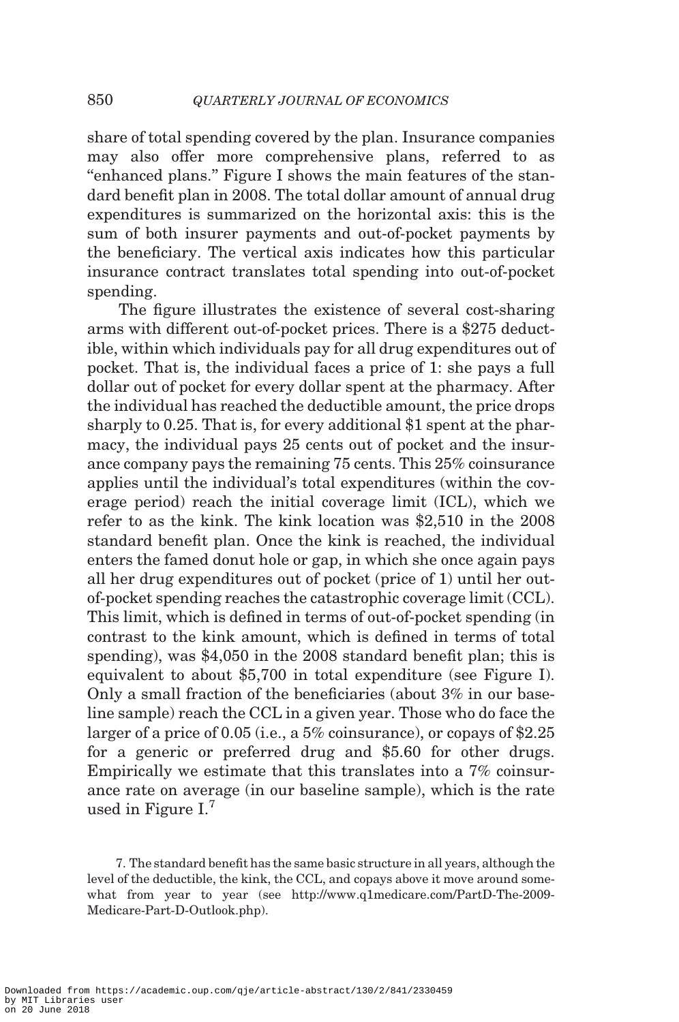share of total spending covered by the plan. Insurance companies may also offer more comprehensive plans, referred to as ''enhanced plans.'' [Figure I](#page-2-0) shows the main features of the standard benefit plan in 2008. The total dollar amount of annual drug expenditures is summarized on the horizontal axis: this is the sum of both insurer payments and out-of-pocket payments by the beneficiary. The vertical axis indicates how this particular insurance contract translates total spending into out-of-pocket spending.

The figure illustrates the existence of several cost-sharing arms with different out-of-pocket prices. There is a \$275 deductible, within which individuals pay for all drug expenditures out of pocket. That is, the individual faces a price of 1: she pays a full dollar out of pocket for every dollar spent at the pharmacy. After the individual has reached the deductible amount, the price drops sharply to 0.25. That is, for every additional \$1 spent at the pharmacy, the individual pays 25 cents out of pocket and the insurance company pays the remaining 75 cents. This 25% coinsurance applies until the individual's total expenditures (within the coverage period) reach the initial coverage limit (ICL), which we refer to as the kink. The kink location was \$2,510 in the 2008 standard benefit plan. Once the kink is reached, the individual enters the famed donut hole or gap, in which she once again pays all her drug expenditures out of pocket (price of 1) until her outof-pocket spending reaches the catastrophic coverage limit (CCL). This limit, which is defined in terms of out-of-pocket spending (in contrast to the kink amount, which is defined in terms of total spending), was \$4,050 in the 2008 standard benefit plan; this is equivalent to about \$5,700 in total expenditure (see [Figure I](#page-2-0)). Only a small fraction of the beneficiaries (about 3% in our baseline sample) reach the CCL in a given year. Those who do face the larger of a price of 0.05 (i.e., a 5% coinsurance), or copays of \$2.25 for a generic or preferred drug and \$5.60 for other drugs. Empirically we estimate that this translates into a 7% coinsurance rate on average (in our baseline sample), which is the rate used in [Figure I.](#page-2-0)<sup>7</sup>

7. The standard benefit has the same basic structure in all years, although the level of the deductible, the kink, the CCL, and copays above it move around somewhat from year to year (see [http://www.q1medicare.com/PartD-The-2009-](http://www.q1medicare.com/PartD-The-2009-Medicare-Part-D-Outlook.php) [Medicare-Part-D-Outlook.php\)](http://www.q1medicare.com/PartD-The-2009-Medicare-Part-D-Outlook.php).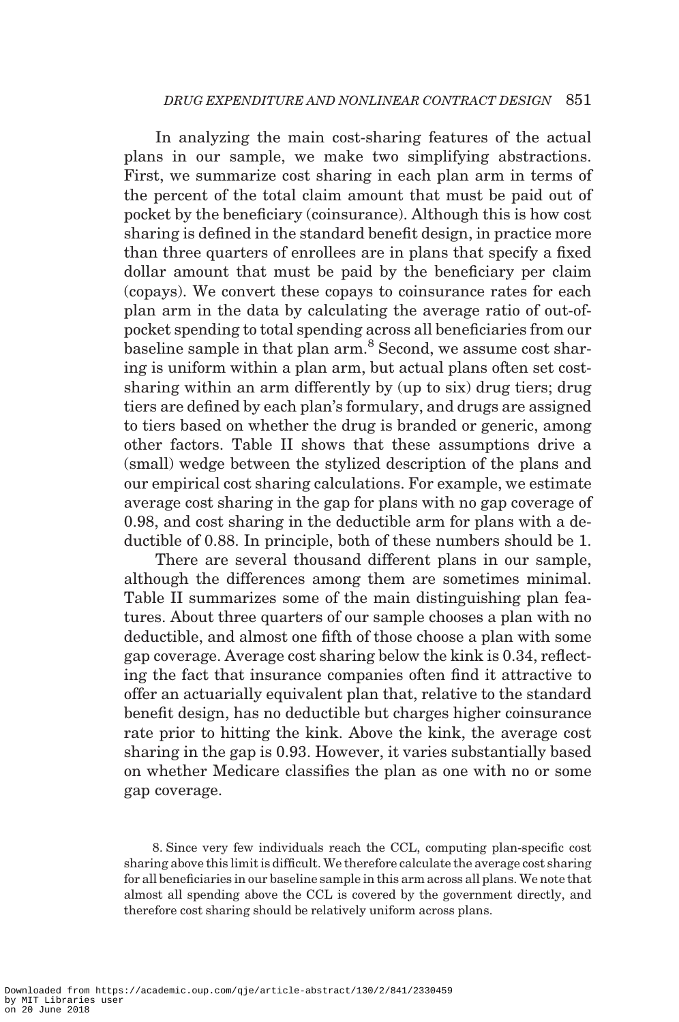In analyzing the main cost-sharing features of the actual plans in our sample, we make two simplifying abstractions. First, we summarize cost sharing in each plan arm in terms of the percent of the total claim amount that must be paid out of pocket by the beneficiary (coinsurance). Although this is how cost sharing is defined in the standard benefit design, in practice more than three quarters of enrollees are in plans that specify a fixed dollar amount that must be paid by the beneficiary per claim (copays). We convert these copays to coinsurance rates for each plan arm in the data by calculating the average ratio of out-ofpocket spending to total spending across all beneficiaries from our baseline sample in that plan arm.<sup>8</sup> Second, we assume cost sharing is uniform within a plan arm, but actual plans often set costsharing within an arm differently by (up to six) drug tiers; drug tiers are defined by each plan's formulary, and drugs are assigned to tiers based on whether the drug is branded or generic, among other factors. [Table II](#page-11-0) shows that these assumptions drive a (small) wedge between the stylized description of the plans and our empirical cost sharing calculations. For example, we estimate average cost sharing in the gap for plans with no gap coverage of 0.98, and cost sharing in the deductible arm for plans with a deductible of 0.88. In principle, both of these numbers should be 1.

There are several thousand different plans in our sample, although the differences among them are sometimes minimal. [Table II](#page-11-0) summarizes some of the main distinguishing plan features. About three quarters of our sample chooses a plan with no deductible, and almost one fifth of those choose a plan with some gap coverage. Average cost sharing below the kink is 0.34, reflecting the fact that insurance companies often find it attractive to offer an actuarially equivalent plan that, relative to the standard benefit design, has no deductible but charges higher coinsurance rate prior to hitting the kink. Above the kink, the average cost sharing in the gap is 0.93. However, it varies substantially based on whether Medicare classifies the plan as one with no or some gap coverage.

8. Since very few individuals reach the CCL, computing plan-specific cost sharing above this limit is difficult. We therefore calculate the average cost sharing for all beneficiaries in our baseline sample in this arm across all plans. We note that almost all spending above the CCL is covered by the government directly, and therefore cost sharing should be relatively uniform across plans.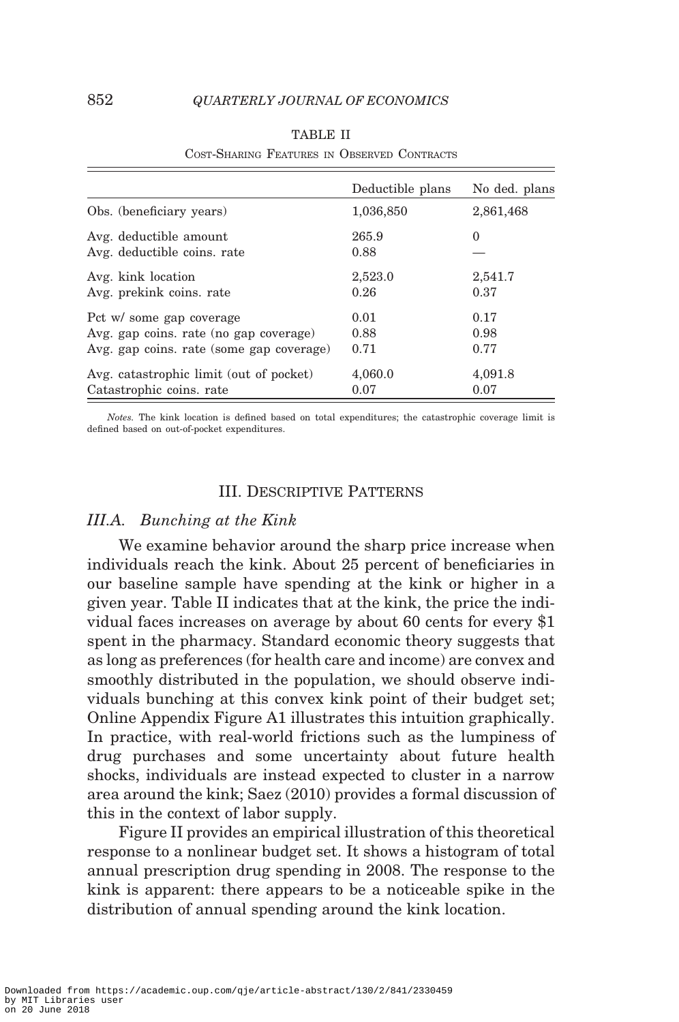<span id="page-11-0"></span>

|                                                       | Deductible plans | No ded. plans |
|-------------------------------------------------------|------------------|---------------|
| Obs. (beneficiary years)                              | 1,036,850        | 2,861,468     |
| Avg. deductible amount<br>Avg. deductible coins. rate | 265.9<br>0.88    | $\Omega$      |
| Avg. kink location                                    | 2,523.0          | 2,541.7       |
| Avg. prekink coins. rate                              | 0.26             | 0.37          |
| Pct w/ some gap coverage                              | 0.01             | 0.17          |
| Avg. gap coins. rate (no gap coverage)                | 0.88             | 0.98          |
| Avg. gap coins, rate (some gap coverage)              | 0.71             | 0.77          |
| Avg. catastrophic limit (out of pocket)               | 4,060.0          | 4,091.8       |
| Catastrophic coins. rate                              | 0.07             | 0.07          |

|                                             | TABLE II |  |  |
|---------------------------------------------|----------|--|--|
| COST-SHARING FEATURES IN OBSERVED CONTRACTS |          |  |  |

Notes. The kink location is defined based on total expenditures; the catastrophic coverage limit is defined based on out-of-pocket expenditures.

#### III. Descriptive Patterns

#### III.A. Bunching at the Kink

We examine behavior around the sharp price increase when individuals reach the kink. About 25 percent of beneficiaries in our baseline sample have spending at the kink or higher in a given year. Table II indicates that at the kink, the price the individual faces increases on average by about 60 cents for every \$1 spent in the pharmacy. Standard economic theory suggests that as long as preferences (for health care and income) are convex and smoothly distributed in the population, we should observe individuals bunching at this convex kink point of their budget set; [Online Appendix Figure A1](http://qje.oxfordjournals.org/lookup/suppl/doi:10.1093/qje/qjv005/-/DC1) illustrates this intuition graphically. In practice, with real-world frictions such as the lumpiness of drug purchases and some uncertainty about future health shocks, individuals are instead expected to cluster in a narrow area around the kink; [Saez \(2010\)](#page-58-0) provides a formal discussion of this in the context of labor supply.

[Figure II](#page-12-0) provides an empirical illustration of this theoretical response to a nonlinear budget set. It shows a histogram of total annual prescription drug spending in 2008. The response to the kink is apparent: there appears to be a noticeable spike in the distribution of annual spending around the kink location.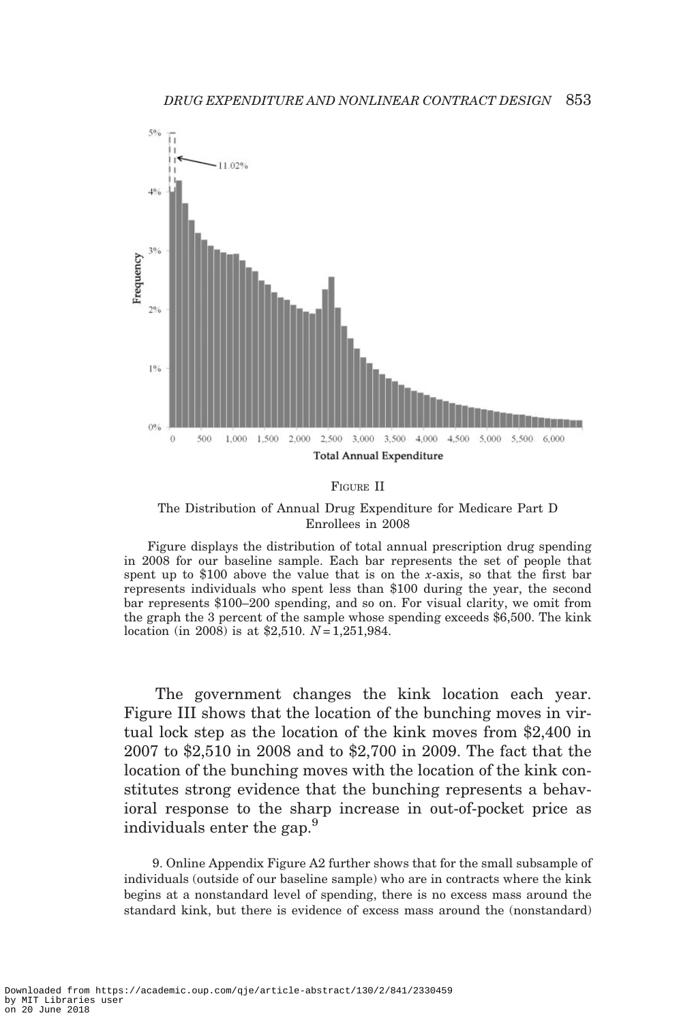<span id="page-12-0"></span>

#### FIGURE II

#### The Distribution of Annual Drug Expenditure for Medicare Part D Enrollees in 2008

Figure displays the distribution of total annual prescription drug spending in 2008 for our baseline sample. Each bar represents the set of people that spent up to \$100 above the value that is on the x-axis, so that the first bar represents individuals who spent less than \$100 during the year, the second bar represents \$100–200 spending, and so on. For visual clarity, we omit from the graph the 3 percent of the sample whose spending exceeds \$6,500. The kink location (in 2008) is at \$2,510.  $N = 1,251,984$ .

The government changes the kink location each year. [Figure III](#page-13-0) shows that the location of the bunching moves in virtual lock step as the location of the kink moves from \$2,400 in 2007 to \$2,510 in 2008 and to \$2,700 in 2009. The fact that the location of the bunching moves with the location of the kink constitutes strong evidence that the bunching represents a behavioral response to the sharp increase in out-of-pocket price as individuals enter the gap.<sup>9</sup>

9. [Online Appendix Figure A2](http://qje.oxfordjournals.org/lookup/suppl/doi:10.1093/qje/qjv005/-/DC1) further shows that for the small subsample of individuals (outside of our baseline sample) who are in contracts where the kink begins at a nonstandard level of spending, there is no excess mass around the standard kink, but there is evidence of excess mass around the (nonstandard)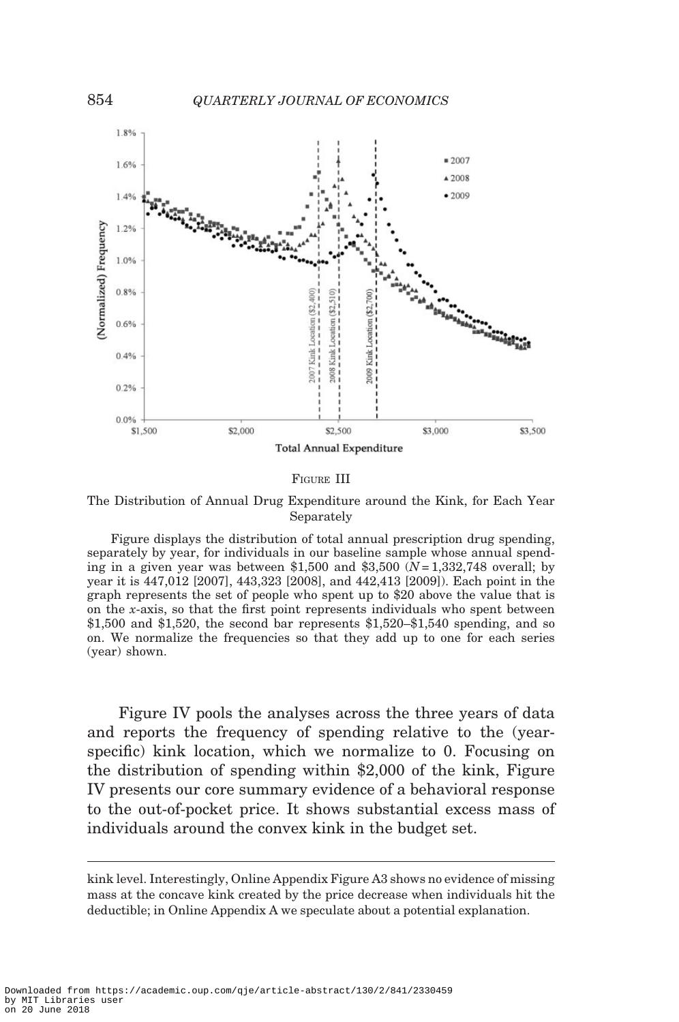<span id="page-13-0"></span>

#### FIGURE III

The Distribution of Annual Drug Expenditure around the Kink, for Each Year Separately

Figure displays the distribution of total annual prescription drug spending, separately by year, for individuals in our baseline sample whose annual spending in a given year was between \$1,500 and \$3,500  $(N=1,332,748$  overall; by year it is 447,012 [2007], 443,323 [2008], and 442,413 [2009]). Each point in the graph represents the set of people who spent up to \$20 above the value that is on the x-axis, so that the first point represents individuals who spent between  $$1,500$  and  $$1,520$ , the second bar represents  $$1,520-\$1,540$  spending, and so on. We normalize the frequencies so that they add up to one for each series (year) shown.

[Figure IV](#page-14-0) pools the analyses across the three years of data and reports the frequency of spending relative to the (yearspecific) kink location, which we normalize to 0. Focusing on the distribution of spending within \$2,000 of the kink, [Figure](#page-14-0) [IV](#page-14-0) presents our core summary evidence of a behavioral response to the out-of-pocket price. It shows substantial excess mass of individuals around the convex kink in the budget set.

kink level. Interestingly, [Online Appendix Figure A3](http://qje.oxfordjournals.org/lookup/suppl/doi:10.1093/qje/qjv005/-/DC1) shows no evidence of missing mass at the concave kink created by the price decrease when individuals hit the deductible; in [Online Appendix A](http://qje.oxfordjournals.org/lookup/suppl/doi:10.1093/qje/qjv005/-/DC1) we speculate about a potential explanation.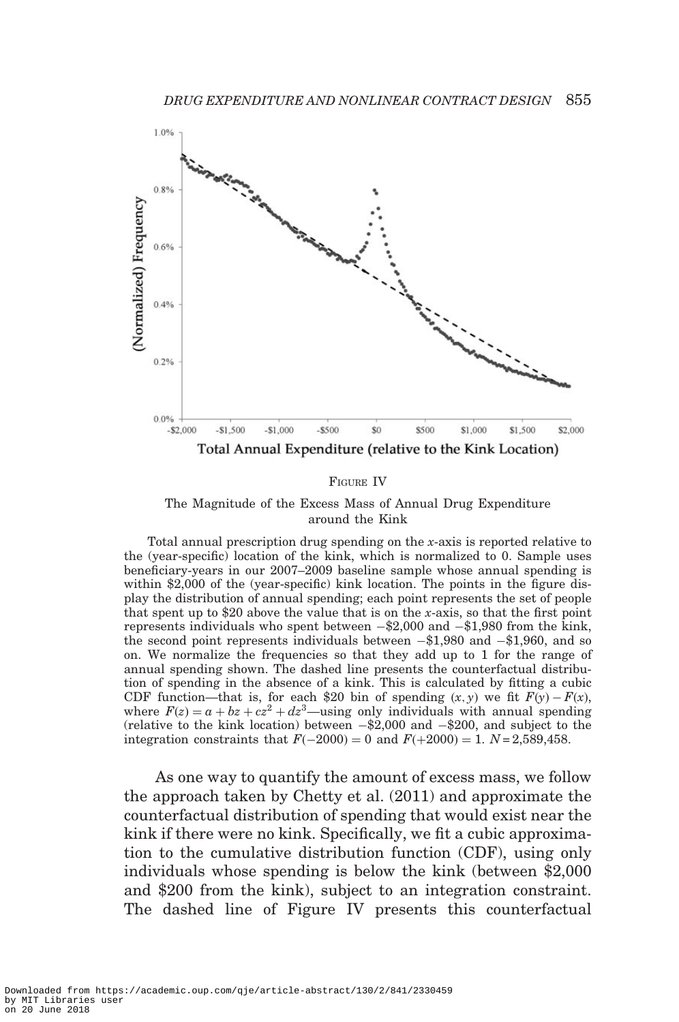<span id="page-14-0"></span>

#### FIGURE IV

The Magnitude of the Excess Mass of Annual Drug Expenditure around the Kink

Total annual prescription drug spending on the x-axis is reported relative to the (year-specific) location of the kink, which is normalized to 0. Sample uses beneficiary-years in our 2007–2009 baseline sample whose annual spending is within \$2,000 of the (year-specific) kink location. The points in the figure display the distribution of annual spending; each point represents the set of people that spent up to \$20 above the value that is on the x-axis, so that the first point represents individuals who spent between -\$2,000 and -\$1,980 from the kink, the second point represents individuals between -\$1,980 and -\$1,960, and so on. We normalize the frequencies so that they add up to 1 for the range of annual spending shown. The dashed line presents the counterfactual distribution of spending in the absence of a kink. This is calculated by fitting a cubic CDF function—that is, for each \$20 bin of spending  $(x, y)$  we fit  $F(y) - F(x)$ , where  $F(z) = a + bz + cz^2 + dz^3$ —using only individuals with annual spending (relative to the kink location) between -\$2,000 and -\$200, and subject to the integration constraints that  $F(-2000) = 0$  and  $F(+2000) = 1$ .  $N = 2,589,458$ .

As one way to quantify the amount of excess mass, we follow the approach taken by [Chetty et al. \(2011\)](#page-57-0) and approximate the counterfactual distribution of spending that would exist near the kink if there were no kink. Specifically, we fit a cubic approximation to the cumulative distribution function (CDF), using only individuals whose spending is below the kink (between \$2,000 and \$200 from the kink), subject to an integration constraint. The dashed line of Figure IV presents this counterfactual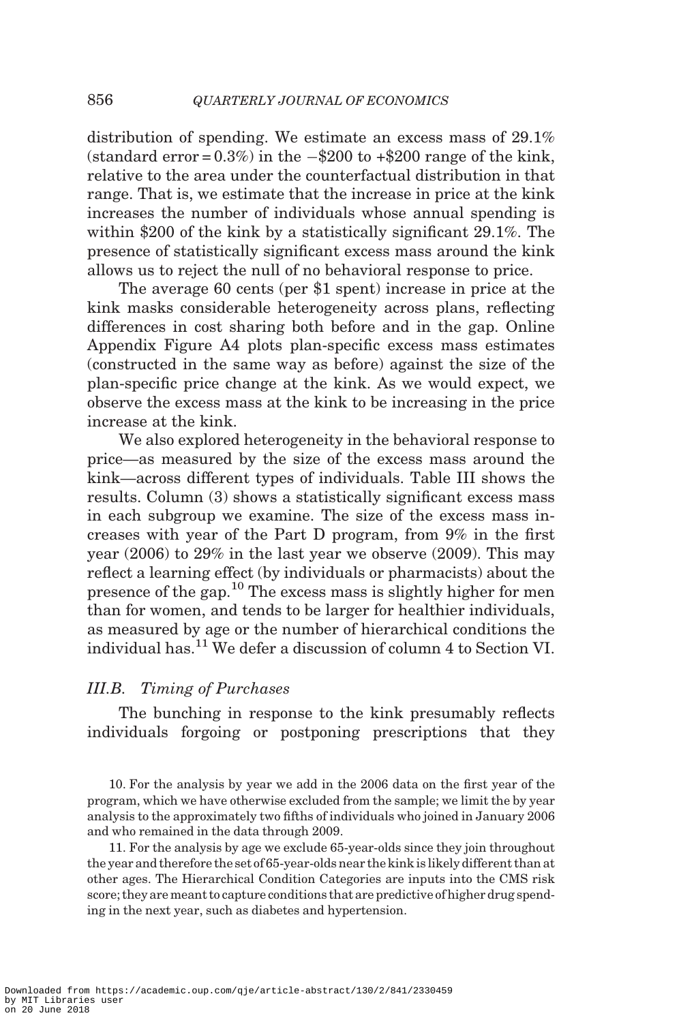distribution of spending. We estimate an excess mass of 29.1% (standard error =  $0.3\%$ ) in the  $-\$200$  to  $+\$200$  range of the kink, relative to the area under the counterfactual distribution in that range. That is, we estimate that the increase in price at the kink increases the number of individuals whose annual spending is within \$200 of the kink by a statistically significant 29.1%. The presence of statistically significant excess mass around the kink allows us to reject the null of no behavioral response to price.

The average 60 cents (per \$1 spent) increase in price at the kink masks considerable heterogeneity across plans, reflecting differences in cost sharing both before and in the gap. [Online](http://qje.oxfordjournals.org/lookup/suppl/doi:10.1093/qje/qjv005/-/DC1) [Appendix Figure A4](http://qje.oxfordjournals.org/lookup/suppl/doi:10.1093/qje/qjv005/-/DC1) plots plan-specific excess mass estimates (constructed in the same way as before) against the size of the plan-specific price change at the kink. As we would expect, we observe the excess mass at the kink to be increasing in the price increase at the kink.

We also explored heterogeneity in the behavioral response to price—as measured by the size of the excess mass around the kink—across different types of individuals. [Table III](#page-16-0) shows the results. Column (3) shows a statistically significant excess mass in each subgroup we examine. The size of the excess mass increases with year of the Part D program, from 9% in the first year (2006) to 29% in the last year we observe (2009). This may reflect a learning effect (by individuals or pharmacists) about the presence of the gap.<sup>10</sup> The excess mass is slightly higher for men than for women, and tends to be larger for healthier individuals, as measured by age or the number of hierarchical conditions the individual has.<sup>11</sup> We defer a discussion of column 4 to Section VI.

### III.B. Timing of Purchases

The bunching in response to the kink presumably reflects individuals forgoing or postponing prescriptions that they

10. For the analysis by year we add in the 2006 data on the first year of the program, which we have otherwise excluded from the sample; we limit the by year analysis to the approximately two fifths of individuals who joined in January 2006 and who remained in the data through 2009.

11. For the analysis by age we exclude 65-year-olds since they join throughout the year and therefore the set of 65-year-olds near the kink is likely different than at other ages. The Hierarchical Condition Categories are inputs into the CMS risk score; they are meant to capture conditions that are predictive of higher drug spending in the next year, such as diabetes and hypertension.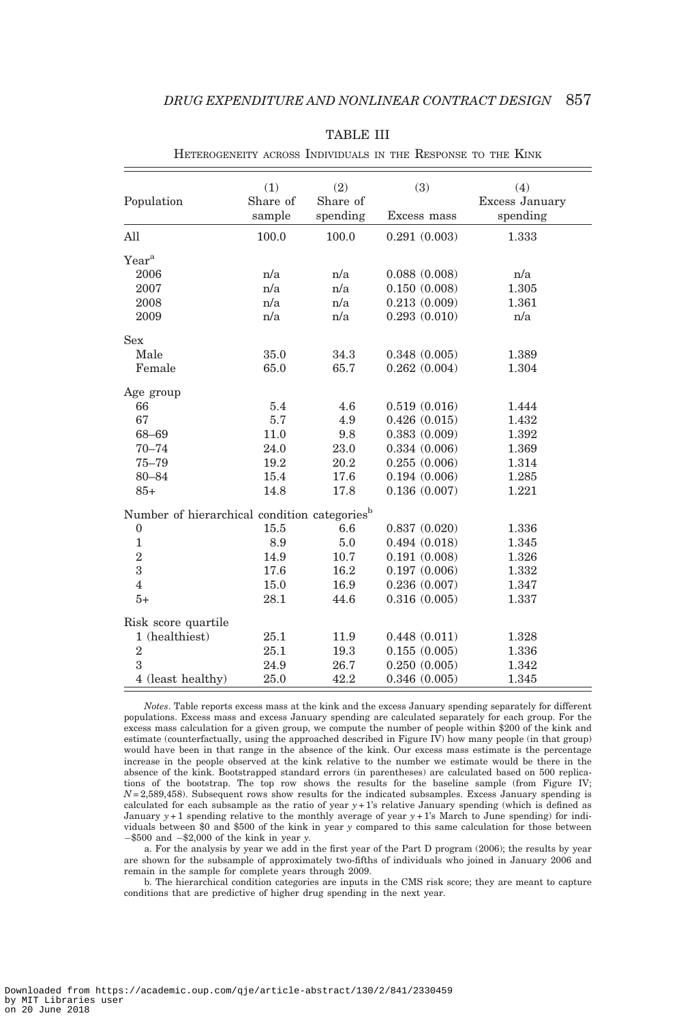<span id="page-16-0"></span>

| Population                                               | (1)<br>Share of | (2)<br>Share of | (3)          | (4)<br>Excess January |
|----------------------------------------------------------|-----------------|-----------------|--------------|-----------------------|
|                                                          | sample          | spending        | Excess mass  | spending              |
| All                                                      | 100.0           | 100.0           | 0.291(0.003) | 1.333                 |
| Year <sup>a</sup>                                        |                 |                 |              |                       |
| 2006                                                     | n/a             | n/a             | 0.088(0.008) | n/a                   |
| 2007                                                     | n/a             | n/a             | 0.150(0.008) | 1.305                 |
| 2008                                                     | n/a             | n/a             | 0.213(0.009) | 1.361                 |
| 2009                                                     | n/a             | n/a             | 0.293(0.010) | n/a                   |
| Sex                                                      |                 |                 |              |                       |
| Male                                                     | 35.0            | 34.3            | 0.348(0.005) | 1.389                 |
| Female                                                   | 65.0            | 65.7            | 0.262(0.004) | 1.304                 |
| Age group                                                |                 |                 |              |                       |
| 66                                                       | 5.4             | 4.6             | 0.519(0.016) | 1.444                 |
| 67                                                       | 5.7             | 4.9             | 0.426(0.015) | 1.432                 |
| 68-69                                                    | 11.0            | 9.8             | 0.383(0.009) | 1.392                 |
| $70 - 74$                                                | 24.0            | 23.0            | 0.334(0.006) | 1.369                 |
| $75 - 79$                                                | 19.2            | 20.2            | 0.255(0.006) | 1.314                 |
| $80 - 84$                                                | 15.4            | 17.6            | 0.194(0.006) | 1.285                 |
| $85+$                                                    | 14.8            | 17.8            | 0.136(0.007) | 1.221                 |
| Number of hierarchical condition categories <sup>b</sup> |                 |                 |              |                       |
| $\boldsymbol{0}$                                         | 15.5            | 6.6             | 0.837(0.020) | 1.336                 |
| $\mathbf{1}$                                             | 8.9             | 5.0             | 0.494(0.018) | 1.345                 |
| $\overline{2}$                                           | 14.9            | 10.7            | 0.191(0.008) | 1.326                 |
| 3                                                        | 17.6            | 16.2            | 0.197(0.006) | 1.332                 |
| $\overline{4}$                                           | 15.0            | 16.9            | 0.236(0.007) | 1.347                 |
| $5+$                                                     | 28.1            | 44.6            | 0.316(0.005) | 1.337                 |
| Risk score quartile                                      |                 |                 |              |                       |
| 1 (healthiest)                                           | 25.1            | 11.9            | 0.448(0.011) | 1.328                 |
| $\boldsymbol{2}$                                         | 25.1            | 19.3            | 0.155(0.005) | 1.336                 |
| $\overline{\mathbf{3}}$                                  | 24.9            | 26.7            | 0.250(0.005) | 1.342                 |
| 4 (least healthy)                                        | 25.0            | 42.2            | 0.346(0.005) | 1.345                 |

TABLE III HETEROGENEITY ACROSS INDIVIDUALS IN THE RESPONSE TO THE KINK

Notes. Table reports excess mass at the kink and the excess January spending separately for different populations. Excess mass and excess January spending are calculated separately for each group. For the excess mass calculation for a given group, we compute the number of people within \$200 of the kink and estimate (counterfactually, using the approached described in [Figure IV](#page-14-0)) how many people (in that group) would have been in that range in the absence of the kink. Our excess mass estimate is the percentage increase in the people observed at the kink relative to the number we estimate would be there in the absence of the kink. Bootstrapped standard errors (in parentheses) are calculated based on 500 replications of the bootstrap. The top row shows the results for the baseline sample (from [Figure IV;](#page-14-0)  $N = 2,589,458$ ). Subsequent rows show results for the indicated subsamples. Excess January spending is calculated for each subsample as the ratio of year  $y + 1$ 's relative January spending (which is defined as January  $y + 1$  spending relative to the monthly average of year  $y + 1$ 's March to June spending) for individuals between  $$0$  and  $$500$  of the kink in year y compared to this same calculation for those between -\$500 and -\$2,000 of the kink in year y.

a. For the analysis by year we add in the first year of the Part D program (2006); the results by year are shown for the subsample of approximately two-fifths of individuals who joined in January 2006 and remain in the sample for complete years through 2009.

b. The hierarchical condition categories are inputs in the CMS risk score; they are meant to capture conditions that are predictive of higher drug spending in the next year.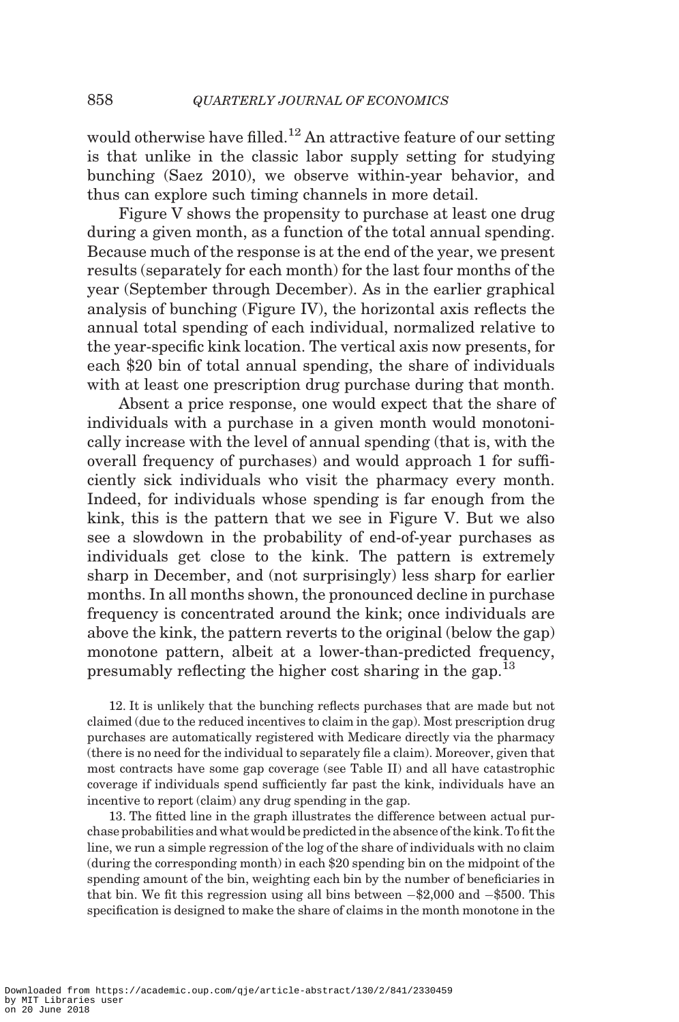would otherwise have filled.<sup>12</sup> An attractive feature of our setting is that unlike in the classic labor supply setting for studying bunching [\(Saez 2010](#page-58-0)), we observe within-year behavior, and thus can explore such timing channels in more detail.

[Figure V](#page-18-0) shows the propensity to purchase at least one drug during a given month, as a function of the total annual spending. Because much of the response is at the end of the year, we present results (separately for each month) for the last four months of the year (September through December). As in the earlier graphical analysis of bunching [\(Figure IV\)](#page-14-0), the horizontal axis reflects the annual total spending of each individual, normalized relative to the year-specific kink location. The vertical axis now presents, for each \$20 bin of total annual spending, the share of individuals with at least one prescription drug purchase during that month.

Absent a price response, one would expect that the share of individuals with a purchase in a given month would monotonically increase with the level of annual spending (that is, with the overall frequency of purchases) and would approach 1 for sufficiently sick individuals who visit the pharmacy every month. Indeed, for individuals whose spending is far enough from the kink, this is the pattern that we see in [Figure V](#page-18-0). But we also see a slowdown in the probability of end-of-year purchases as individuals get close to the kink. The pattern is extremely sharp in December, and (not surprisingly) less sharp for earlier months. In all months shown, the pronounced decline in purchase frequency is concentrated around the kink; once individuals are above the kink, the pattern reverts to the original (below the gap) monotone pattern, albeit at a lower-than-predicted frequency, presumably reflecting the higher cost sharing in the gap.<sup>13</sup>

12. It is unlikely that the bunching reflects purchases that are made but not claimed (due to the reduced incentives to claim in the gap). Most prescription drug purchases are automatically registered with Medicare directly via the pharmacy (there is no need for the individual to separately file a claim). Moreover, given that most contracts have some gap coverage (see [Table II](#page-11-0)) and all have catastrophic coverage if individuals spend sufficiently far past the kink, individuals have an incentive to report (claim) any drug spending in the gap.

13. The fitted line in the graph illustrates the difference between actual purchase probabilities and what would be predicted in the absence of the kink. To fit the line, we run a simple regression of the log of the share of individuals with no claim (during the corresponding month) in each \$20 spending bin on the midpoint of the spending amount of the bin, weighting each bin by the number of beneficiaries in that bin. We fit this regression using all bins between  $-2,000$  and  $-500$ . This specification is designed to make the share of claims in the month monotone in the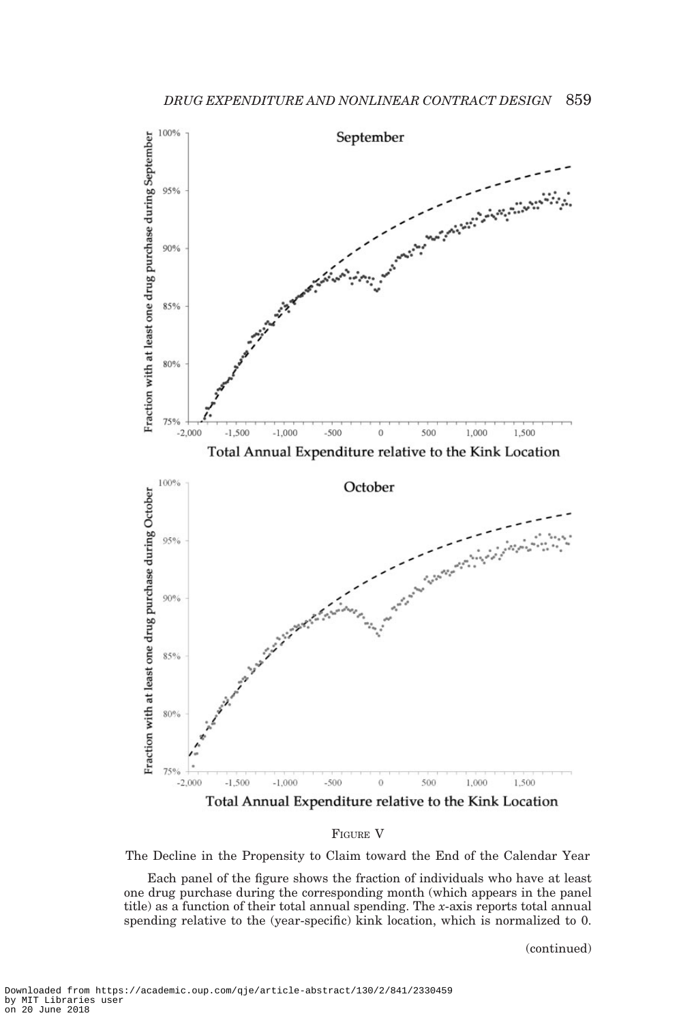<span id="page-18-0"></span>

#### FIGURE V

The Decline in the Propensity to Claim toward the End of the Calendar Year

Each panel of the figure shows the fraction of individuals who have at least one drug purchase during the corresponding month (which appears in the panel title) as a function of their total annual spending. The x-axis reports total annual spending relative to the (year-specific) kink location, which is normalized to 0.

(continued)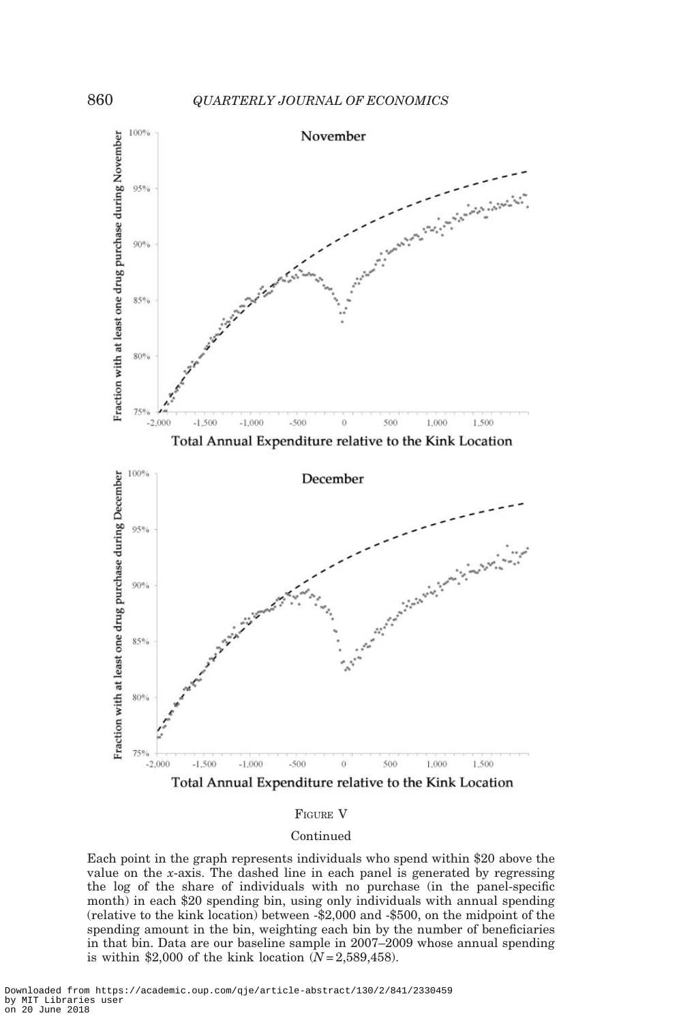

#### FIGURE V

#### Continued

Each point in the graph represents individuals who spend within \$20 above the value on the x-axis. The dashed line in each panel is generated by regressing the log of the share of individuals with no purchase (in the panel-specific month) in each \$20 spending bin, using only individuals with annual spending (relative to the kink location) between -\$2,000 and -\$500, on the midpoint of the spending amount in the bin, weighting each bin by the number of beneficiaries in that bin. Data are our baseline sample in 2007–2009 whose annual spending is within \$2,000 of the kink location  $(N=2,589,458)$ .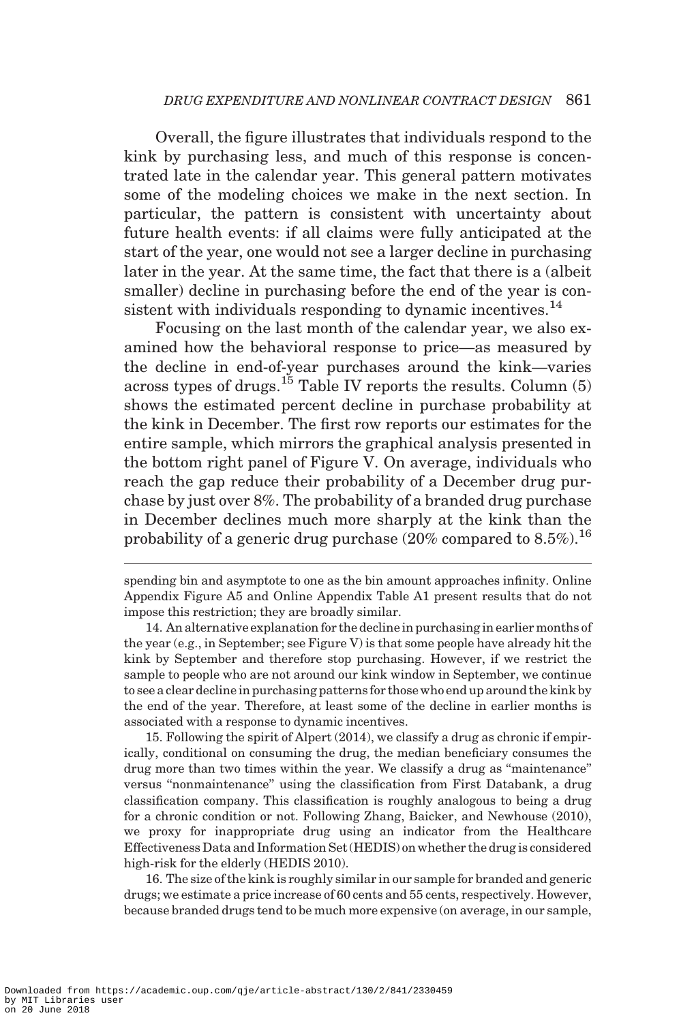Overall, the figure illustrates that individuals respond to the kink by purchasing less, and much of this response is concentrated late in the calendar year. This general pattern motivates some of the modeling choices we make in the next section. In particular, the pattern is consistent with uncertainty about future health events: if all claims were fully anticipated at the start of the year, one would not see a larger decline in purchasing later in the year. At the same time, the fact that there is a (albeit smaller) decline in purchasing before the end of the year is consistent with individuals responding to dynamic incentives. $^{14}$ 

Focusing on the last month of the calendar year, we also examined how the behavioral response to price—as measured by the decline in end-of-year purchases around the kink—varies across types of drugs.<sup>15</sup> [Table IV](#page-21-0) reports the results. Column  $(5)$ shows the estimated percent decline in purchase probability at the kink in December. The first row reports our estimates for the entire sample, which mirrors the graphical analysis presented in the bottom right panel of [Figure V.](#page-18-0) On average, individuals who reach the gap reduce their probability of a December drug purchase by just over 8%. The probability of a branded drug purchase in December declines much more sharply at the kink than the probability of a generic drug purchase (20% compared to 8.5%).<sup>16</sup>

spending bin and asymptote to one as the bin amount approaches infinity. [Online](http://qje.oxfordjournals.org/lookup/suppl/doi:10.1093/qje/qjv005/-/DC1) [Appendix Figure A5](http://qje.oxfordjournals.org/lookup/suppl/doi:10.1093/qje/qjv005/-/DC1) and [Online Appendix Table A1](http://qje.oxfordjournals.org/lookup/suppl/doi:10.1093/qje/qjv005/-/DC1) present results that do not impose this restriction; they are broadly similar.

14. An alternative explanation for the decline in purchasing in earlier months of the year (e.g., in September; see [Figure V\)](#page-18-0) is that some people have already hit the kink by September and therefore stop purchasing. However, if we restrict the sample to people who are not around our kink window in September, we continue to see a clear decline in purchasing patterns for thosewho end up around the kink by the end of the year. Therefore, at least some of the decline in earlier months is associated with a response to dynamic incentives.

15. Following the spirit of [Alpert \(2014\)](#page-56-0), we classify a drug as chronic if empirically, conditional on consuming the drug, the median beneficiary consumes the drug more than two times within the year. We classify a drug as ''maintenance'' versus ''nonmaintenance'' using the classification from First Databank, a drug classification company. This classification is roughly analogous to being a drug for a chronic condition or not. Following [Zhang, Baicker, and Newhouse \(2010\)](#page-58-0), we proxy for inappropriate drug using an indicator from the Healthcare Effectiveness Data and Information Set (HEDIS) on whether the drug is considered high-risk for the elderly [\(HEDIS 2010\)](#page-57-0).

16. The size of the kink is roughly similar in our sample for branded and generic drugs; we estimate a price increase of 60 cents and 55 cents, respectively. However, because branded drugs tend to be much more expensive (on average, in our sample,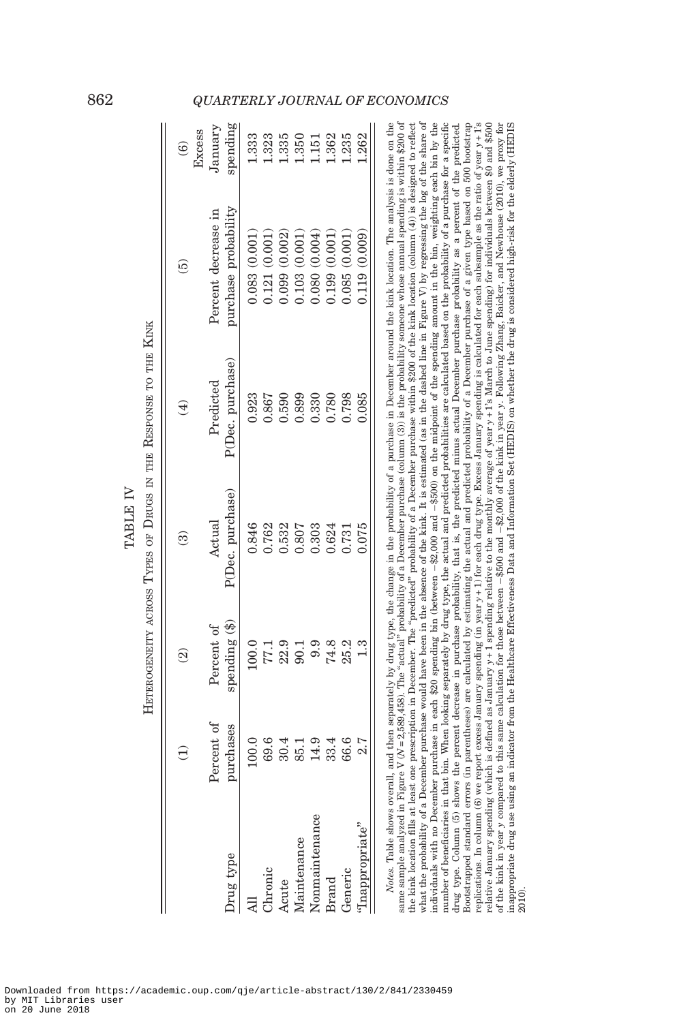|                | Ξ                       | $\widehat{\mathcal{S}}$                | ඔ                          | 4                             | ίo                                               | Excess              |
|----------------|-------------------------|----------------------------------------|----------------------------|-------------------------------|--------------------------------------------------|---------------------|
| Drug type      | Percent of<br>purchases | spending $(\frac{6}{5})$<br>Percent of | P(Dec. purchase)<br>Actual | P(Dec. purchase)<br>Predicted | Percent decrease in<br>$pure$ hase $probability$ | spending<br>January |
|                | 100.0                   | 0.00                                   | 0.846                      | 0.923                         | 0.083(0.001)                                     | 1.333               |
| Chronic        | 69.6                    | 77.1                                   | 0.762                      | 0.867                         | 0.121(0.001)                                     | 1.323               |
| Acute          | 30.4                    | 22.9<br>90.1                           | 0.532                      | 0.590                         | 0.099(0.002)                                     | 1.335               |
| Maintenance    | 85.1                    |                                        | 0.807                      | 0.899                         | 0.103(0.001)                                     | 1.350               |
| Nonmaintenance | 14.9                    | 9.9                                    | 0.303                      | 0.330                         | 0.080 (0.004)                                    | 1.151               |
| Brand          | 33.4                    | 74.8                                   | 0.624                      | 0.780                         | 0.199(0.001)                                     | 1.362               |
| Generic        | 66.6                    | 25.2                                   | 0.731                      | 0.798                         | 0.085 (0.001)                                    | 1.235               |
| Inappropriate" |                         | $\frac{3}{1}$                          | 0.075                      | 0.85                          | 0.119(0.009)                                     |                     |

HETEROGENEITY ACROSS TYPES OF DRUGS IN THE RESPONSE TO THE KINK

TABLE IV

TABLE IV

contexts a structure of the context of the context of the context of the context of the context of the context of the context of the context of the context of the context of the context of the context of the context of the the kink location fills at least one prescription in December. The "predicted" probability of a December purchase within \$200 of the kink location (column  $(4)$ ) is designed to reflect what the probability of a December purchase would have been in the absence of the kink. It is estimated (as in the dashed line in Figure V) by regressing the log of the share of individuals with no December purchase in each \$20 spending bin (between -\$2,000 and -\$500) on the midpoint of the spending amount in the bin, weighting each bin by the number of beneficiaries in that bin. When looking separately by drug type, the actual and predicted probabilities are calculated based on the probability of a purchase for a specific drug type. Column (5) shows the percent decrease in purchase probability, that is, the predicted minus actual December purchase probability as a percent of the predicted.<br>Bootstrapped standard errors (in parentheses) are replications. In column (6) we report excess January spending (in year y+1) for each drug type. Excess January spending is calculated for each subsample as the ratio of year y+1's relative January spending (which is defined as January  $y+1$  spending relative to the monthly average of year  $y+1$ 's March to June spending) for individuals between \$0 and \$500 of the kink in year'y compared to this same calculation for those between -\$500 and -\$2,000 of the kink in year y. Following Zhang, Baicker, and Newhouse (2010), we proxy for<br>inappropriate drug use using an indicator from Notes. Table shows overall, and then separately by drug type, the change in the probability of a purchase in December around the kink location. The analysis is done on the  $N$ =2,589,458). The "actual" probability of a December purchase (column (3)) is the probability someone whose annual spending is within \$200 of the kink location fills at least one prescription in December. The ''predicted'' probability of a December purchase within \$200 of the kink location (column (4)) is designed to reflect what the probability of a December purchase would have been in the absence of the kink. It is estimated (as in the dashed line in [Figure](#page-18-0) V) by regressing the log of the share of \$500) on the midpoint of the spending amount in the bin, weighting each bin by the number of beneficiaries in that bin. When looking separately by drug type, the actual and predicted probabilities are calculated based on the probability of a purchase for a specific drug type. Column (5) shows the percent decrease in purchase probability, that is, the predicted minus actual December purchase probability as a percent of the predicted. Bootstrapped standard errors (in parentheses) are calculated by estimating the actual and predicted probability of a December purchase of a given type based on 500 bootstrap replications. In column (6) we report excess January spending (in year y + 1) for each drug type. Excess January spending is calculated for each subsample as the ratio of year y + 1's relative January spending (which is defined as January y + 1 spending relative to the monthly average of year y + 1's March to June spending) for individuals between \$0 and \$500 \$2,000 of the kink in year y. Following Zhang, Baicker, and [Newhouse](#page-58-0) (2010), we proxy for inappropriate drug use using an indicator from the Healthcare Effectiveness Data and Information Set (HEDIS) on whether the drug is considered high-risk for the elderly ([HEDIS](#page-57-0)  $$2,000$  and  $$500$  and  $$ individuals with no December purchase in each \$20 spending bin (between of the kink in year y compared to this same calculation for those between same sample analyzed in [Figure](#page-18-0) V ( [2010](#page-57-0)).

# <span id="page-21-0"></span>862 **QUARTERLY JOURNAL OF ECONOMICS**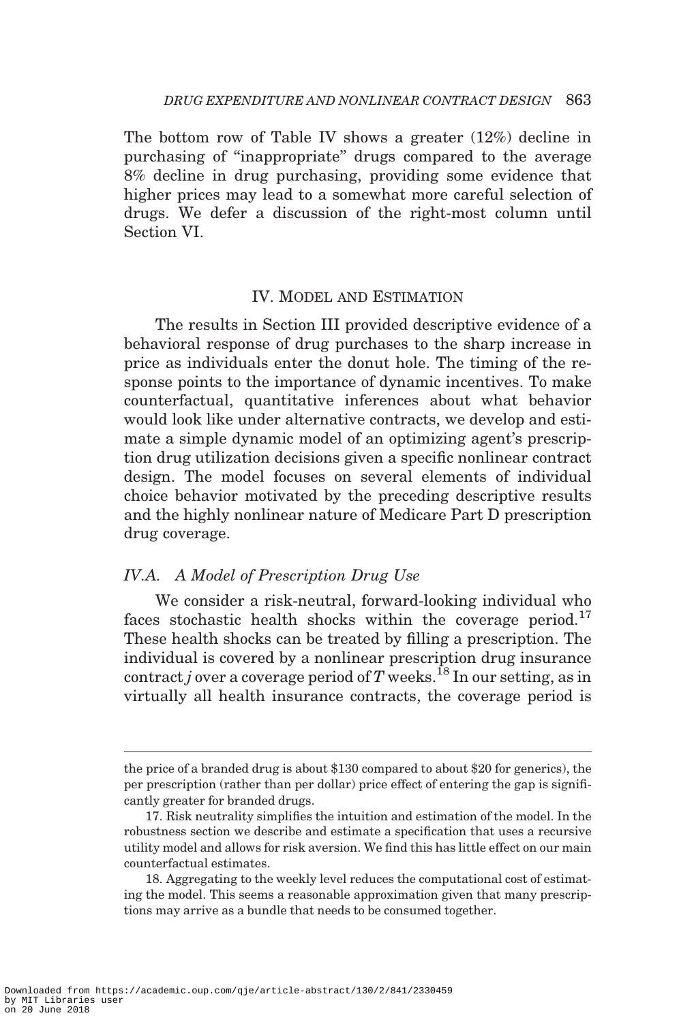The bottom row of [Table IV](#page-21-0) shows a greater (12%) decline in purchasing of ''inappropriate'' drugs compared to the average 8% decline in drug purchasing, providing some evidence that higher prices may lead to a somewhat more careful selection of drugs. We defer a discussion of the right-most column until Section VI.

### IV. Model and Estimation

The results in Section III provided descriptive evidence of a behavioral response of drug purchases to the sharp increase in price as individuals enter the donut hole. The timing of the response points to the importance of dynamic incentives. To make counterfactual, quantitative inferences about what behavior would look like under alternative contracts, we develop and estimate a simple dynamic model of an optimizing agent's prescription drug utilization decisions given a specific nonlinear contract design. The model focuses on several elements of individual choice behavior motivated by the preceding descriptive results and the highly nonlinear nature of Medicare Part D prescription drug coverage.

### IV.A. A Model of Prescription Drug Use

We consider a risk-neutral, forward-looking individual who faces stochastic health shocks within the coverage period.<sup>17</sup> These health shocks can be treated by filling a prescription. The individual is covered by a nonlinear prescription drug insurance contract *j* over a coverage period of T weeks.<sup>18</sup> In our setting, as in virtually all health insurance contracts, the coverage period is

the price of a branded drug is about \$130 compared to about \$20 for generics), the per prescription (rather than per dollar) price effect of entering the gap is significantly greater for branded drugs.

<sup>17.</sup> Risk neutrality simplifies the intuition and estimation of the model. In the robustness section we describe and estimate a specification that uses a recursive utility model and allows for risk aversion. We find this has little effect on our main counterfactual estimates.

<sup>18.</sup> Aggregating to the weekly level reduces the computational cost of estimating the model. This seems a reasonable approximation given that many prescriptions may arrive as a bundle that needs to be consumed together.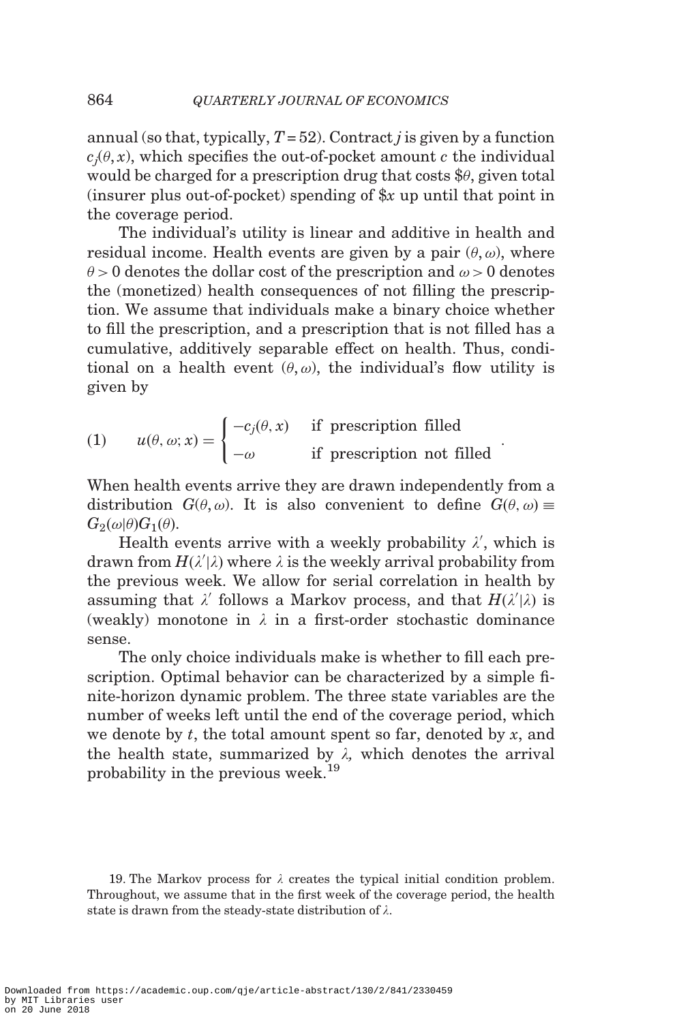annual (so that, typically,  $T=52$ ). Contract *j* is given by a function  $c_j(\theta,x)$ , which specifies the out-of-pocket amount  $c$  the individual would be charged for a prescription drug that costs  $\$,\theta,$  given total (insurer plus out-of-pocket) spending of \$x up until that point in the coverage period.

The individual's utility is linear and additive in health and residual income. Health events are given by a pair  $(\theta, \omega)$ , where  $\theta$  > 0 denotes the dollar cost of the prescription and  $\omega$  > 0 denotes the (monetized) health consequences of not filling the prescription. We assume that individuals make a binary choice whether to fill the prescription, and a prescription that is not filled has a cumulative, additively separable effect on health. Thus, conditional on a health event  $(\theta, \omega)$ , the individual's flow utility is given by

(1) 
$$
u(\theta, \omega; x) = \begin{cases} -c_j(\theta, x) & \text{if prescription filled} \\ -\omega & \text{if prescription not filled} \end{cases}
$$

When health events arrive they are drawn independently from a distribution  $G(\theta, \omega)$ . It is also convenient to define  $G(\theta, \omega) \equiv$  $G_2(\omega|\theta)G_1(\theta).$ 

Health events arrive with a weekly probability  $\lambda'$ , which is drawn from  $H(\lambda'|\lambda)$  where  $\lambda$  is the weekly arrival probability from the previous week. We allow for serial correlation in health by assuming that  $\lambda'$  follows a Markov process, and that  $H(\lambda'|\lambda)$  is (weakly) monotone in  $\lambda$  in a first-order stochastic dominance sense.

The only choice individuals make is whether to fill each prescription. Optimal behavior can be characterized by a simple finite-horizon dynamic problem. The three state variables are the number of weeks left until the end of the coverage period, which we denote by  $t$ , the total amount spent so far, denoted by  $x$ , and the health state, summarized by  $\lambda$ , which denotes the arrival probability in the previous week.<sup>19</sup>

<sup>19.</sup> The Markov process for  $\lambda$  creates the typical initial condition problem. Throughout, we assume that in the first week of the coverage period, the health state is drawn from the steady-state distribution of  $\lambda$ .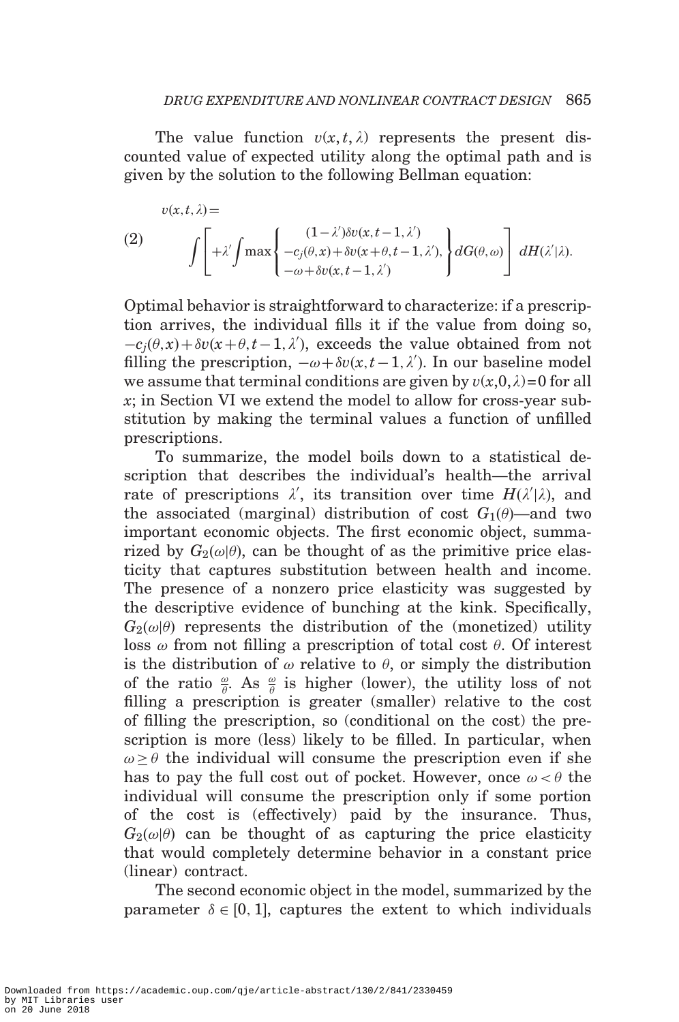<span id="page-24-0"></span>The value function  $v(x,t,\lambda)$  represents the present discounted value of expected utility along the optimal path and is given by the solution to the following Bellman equation:

$$
(2) \qquad \int \left[ +\lambda' \int \max \left\{ \begin{array}{l} (1-\lambda')\delta v(x,t-1,\lambda') \\ -c_j(\theta,x)+\delta v(x+\theta,t-1,\lambda') \\ -\omega+\delta v(x,t-1,\lambda') \end{array} \right\} dG(\theta,\omega) \right] dH(\lambda'|\lambda).
$$

Optimal behavior is straightforward to characterize: if a prescription arrives, the individual fills it if the value from doing so,  $-c_j(\theta,x)+\delta v(x+\theta,t-1,\lambda')$ , exceeds the value obtained from not filling the prescription,  $-\omega + \delta v(x, t-1, \lambda')$ . In our baseline model we assume that terminal conditions are given by  $v(x,0,\lambda)=0$  for all x; in Section VI we extend the model to allow for cross-year substitution by making the terminal values a function of unfilled prescriptions.

To summarize, the model boils down to a statistical description that describes the individual's health—the arrival rate of prescriptions  $\lambda'$ , its transition over time  $H(\lambda'|\lambda)$ , and the associated (marginal) distribution of cost  $G_1(\theta)$ —and two important economic objects. The first economic object, summarized by  $G_2(\omega|\theta)$ , can be thought of as the primitive price elasticity that captures substitution between health and income. The presence of a nonzero price elasticity was suggested by the descriptive evidence of bunching at the kink. Specifically,  $G_2(\omega|\theta)$  represents the distribution of the (monetized) utility loss  $\omega$  from not filling a prescription of total cost  $\theta$ . Of interest is the distribution of  $\omega$  relative to  $\theta$ , or simply the distribution of the ratio  $\frac{\omega}{\theta}$ . As  $\frac{\omega}{\theta}$  is higher (lower), the utility loss of not filling a prescription is greater (smaller) relative to the cost of filling the prescription, so (conditional on the cost) the prescription is more (less) likely to be filled. In particular, when  $\omega \geq \theta$  the individual will consume the prescription even if she has to pay the full cost out of pocket. However, once  $\omega < \theta$  the individual will consume the prescription only if some portion of the cost is (effectively) paid by the insurance. Thus,  $G_2(\omega|\theta)$  can be thought of as capturing the price elasticity that would completely determine behavior in a constant price (linear) contract.

The second economic object in the model, summarized by the parameter  $\delta \in [0, 1]$ , captures the extent to which individuals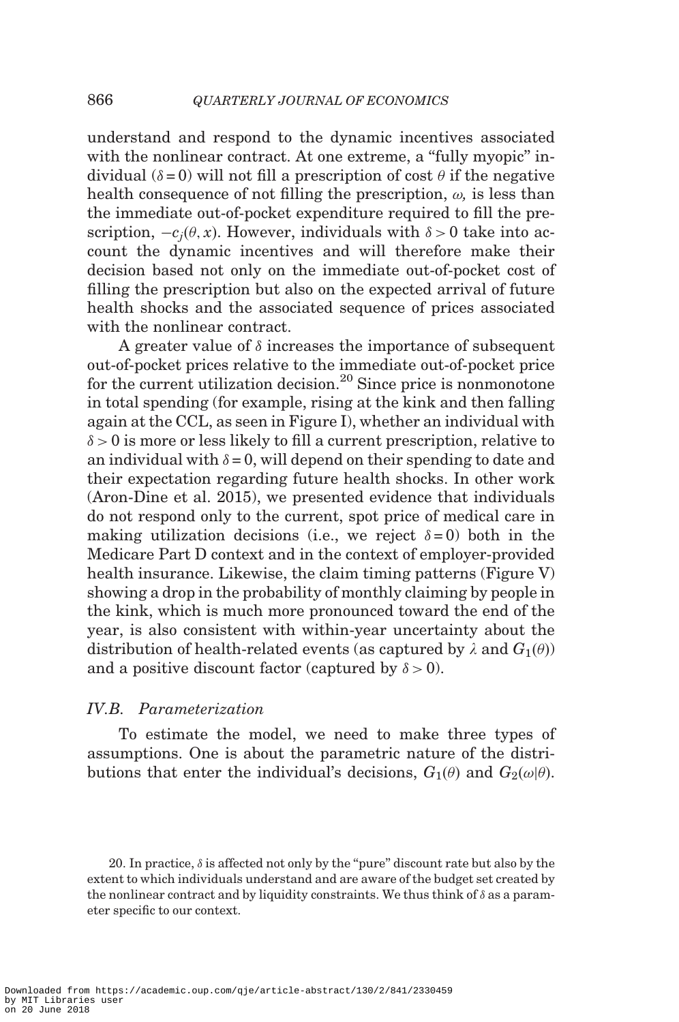understand and respond to the dynamic incentives associated with the nonlinear contract. At one extreme, a "fully myopic" individual ( $\delta$ =0) will not fill a prescription of cost  $\theta$  if the negative health consequence of not filling the prescription,  $\omega$ , is less than the immediate out-of-pocket expenditure required to fill the prescription,  $-c_j(\theta, x)$ . However, individuals with  $\delta > 0$  take into account the dynamic incentives and will therefore make their decision based not only on the immediate out-of-pocket cost of filling the prescription but also on the expected arrival of future health shocks and the associated sequence of prices associated with the nonlinear contract.

A greater value of  $\delta$  increases the importance of subsequent out-of-pocket prices relative to the immediate out-of-pocket price for the current utilization decision.<sup>20</sup> Since price is nonmonotone in total spending (for example, rising at the kink and then falling again at the CCL, as seen in [Figure I](#page-2-0)), whether an individual with  $\delta > 0$  is more or less likely to fill a current prescription, relative to an individual with  $\delta = 0$ , will depend on their spending to date and their expectation regarding future health shocks. In other work ([Aron-Dine et al. 2015\)](#page-56-0), we presented evidence that individuals do not respond only to the current, spot price of medical care in making utilization decisions (i.e., we reject  $\delta = 0$ ) both in the Medicare Part D context and in the context of employer-provided health insurance. Likewise, the claim timing patterns [\(Figure V\)](#page-18-0) showing a drop in the probability of monthly claiming by people in the kink, which is much more pronounced toward the end of the year, is also consistent with within-year uncertainty about the distribution of health-related events (as captured by  $\lambda$  and  $G_1(\theta)$ ) and a positive discount factor (captured by  $\delta > 0$ ).

### IV.B. Parameterization

To estimate the model, we need to make three types of assumptions. One is about the parametric nature of the distributions that enter the individual's decisions,  $G_1(\theta)$  and  $G_2(\omega|\theta)$ .

<sup>20.</sup> In practice,  $\delta$  is affected not only by the "pure" discount rate but also by the extent to which individuals understand and are aware of the budget set created by the nonlinear contract and by liquidity constraints. We thus think of  $\delta$  as a parameter specific to our context.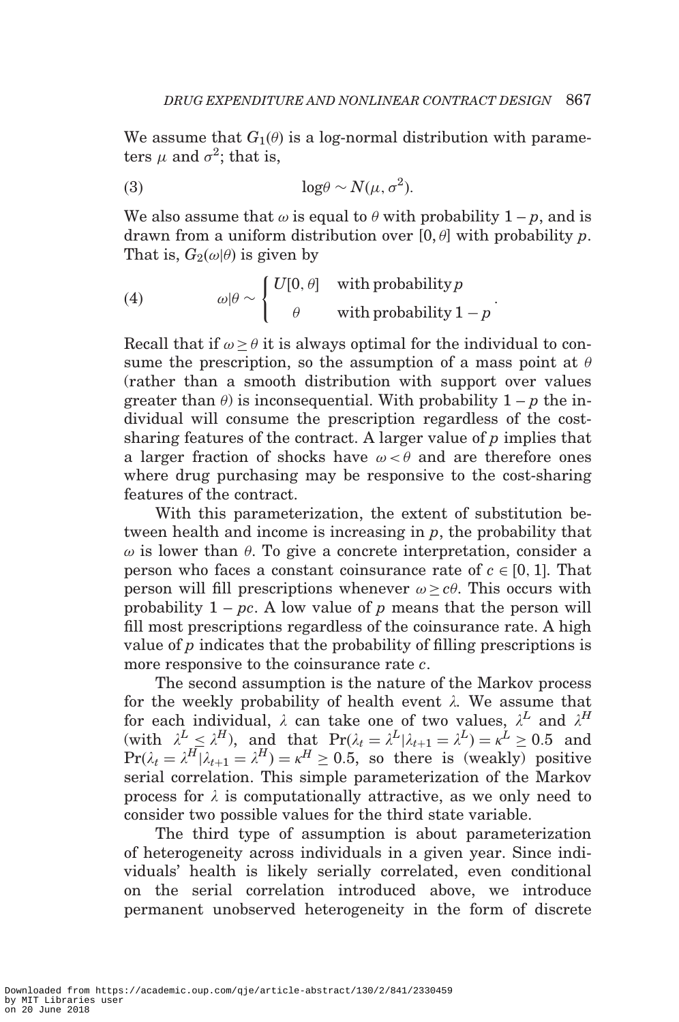We assume that  $G_1(\theta)$  is a log-normal distribution with parameters  $\mu$  and  $\sigma^2$ ; that is,

(3) 
$$
\log \theta \sim N(\mu, \sigma^2).
$$

We also assume that  $\omega$  is equal to  $\theta$  with probability  $1-p$ , and is drawn from a uniform distribution over  $[0, \theta]$  with probability  $p$ . That is,  $G_2(\omega|\theta)$  is given by

(4) 
$$
\omega|\theta \sim \begin{cases} U[0, \theta] & \text{with probability } p \\ \theta & \text{with probability } 1 - p \end{cases}.
$$

Recall that if  $\omega \geq \theta$  it is always optimal for the individual to consume the prescription, so the assumption of a mass point at  $\theta$ (rather than a smooth distribution with support over values greater than  $\theta$ ) is inconsequential. With probability  $1 - p$  the individual will consume the prescription regardless of the costsharing features of the contract. A larger value of  $p$  implies that a larger fraction of shocks have  $\omega < \theta$  and are therefore ones where drug purchasing may be responsive to the cost-sharing features of the contract.

With this parameterization, the extent of substitution between health and income is increasing in  $p$ , the probability that  $\omega$  is lower than  $\theta$ . To give a concrete interpretation, consider a person who faces a constant coinsurance rate of  $c \in [0, 1]$ . That person will fill prescriptions whenever  $\omega \geq c\theta$ . This occurs with probability  $1 - pc$ . A low value of p means that the person will fill most prescriptions regardless of the coinsurance rate. A high value of p indicates that the probability of filling prescriptions is more responsive to the coinsurance rate c.

The second assumption is the nature of the Markov process for the weekly probability of health event  $\lambda$ . We assume that for each individual,  $\lambda$  can take one of two values,  $\lambda^L$  and  $\lambda^H$ (with  $\lambda^L < \lambda^H$ ), and that  $\Pr(\lambda_t = \lambda^L | \lambda_{t+1} = \lambda^L) = \kappa^L > 0.5$  and  $Pr(\lambda_t = \lambda^H | \lambda_{t+1} = \lambda^H) = \kappa^H > 0.5$ , so there is (weakly) positive serial correlation. This simple parameterization of the Markov process for  $\lambda$  is computationally attractive, as we only need to consider two possible values for the third state variable.

The third type of assumption is about parameterization of heterogeneity across individuals in a given year. Since individuals' health is likely serially correlated, even conditional on the serial correlation introduced above, we introduce permanent unobserved heterogeneity in the form of discrete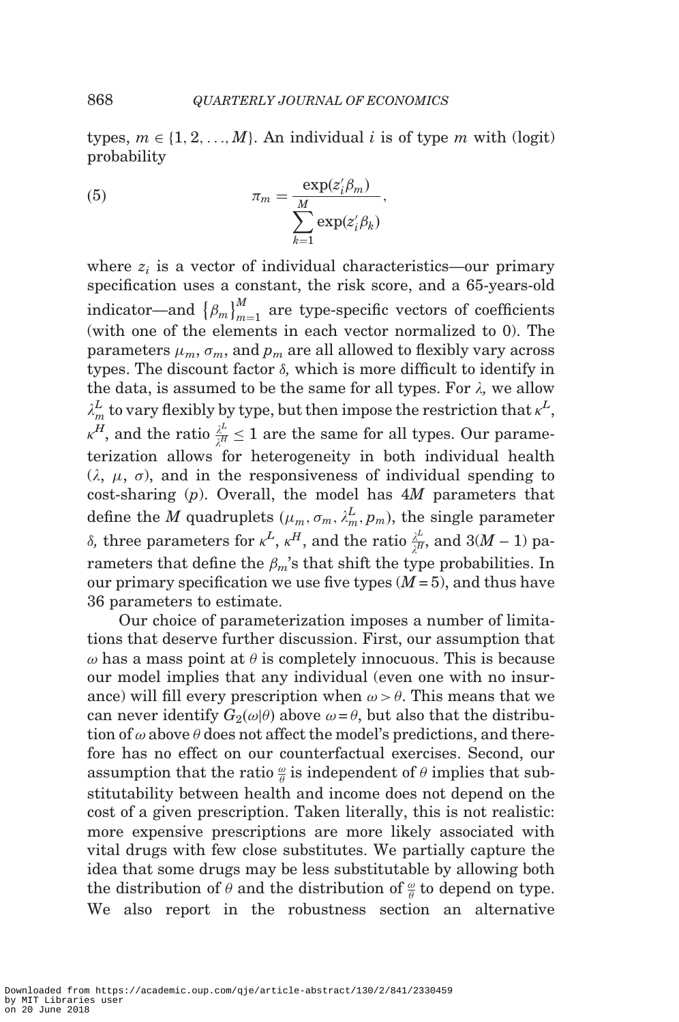types,  $m \in \{1, 2, ..., M\}$ . An individual i is of type m with (logit) probability

(5) 
$$
\pi_m = \frac{\exp(z_i'\beta_m)}{\sum_{k=1}^M \exp(z_i'\beta_k)},
$$

where  $z_i$  is a vector of individual characteristics—our primary specification uses a constant, the risk score, and a 65-years-old indicator—and  $\left\{\beta_m\right\}_{m=1}^M$  are type-specific vectors of coefficients (with one of the elements in each vector normalized to 0). The parameters  $\mu_m$ ,  $\sigma_m$ , and  $p_m$  are all allowed to flexibly vary across types. The discount factor  $\delta$ , which is more difficult to identify in the data, is assumed to be the same for all types. For  $\lambda$ , we allow  $\lambda_m^L$  to vary flexibly by type, but then impose the restriction that  $\kappa^L,$  $\kappa^H$ , and the ratio  $\frac{\lambda^L}{\lambda^H} \leq 1$  are the same for all types. Our parameterization allows for heterogeneity in both individual health  $(\lambda, \mu, \sigma)$ , and in the responsiveness of individual spending to cost-sharing (p). Overall, the model has 4M parameters that define the M quadruplets  $(\mu_m, \sigma_m, \lambda_m^L, p_m)$ , the single parameter  $\delta$ , three parameters for  $\kappa^L$ ,  $\kappa^H$ , and the ratio  $\frac{\lambda^L}{\lambda^H}$ , and  $3(M-1)$  parameters that define the  $\beta_m$ 's that shift the type probabilities. In our primary specification we use five types  $(M=5)$ , and thus have 36 parameters to estimate.

Our choice of parameterization imposes a number of limitations that deserve further discussion. First, our assumption that  $\omega$  has a mass point at  $\theta$  is completely innocuous. This is because our model implies that any individual (even one with no insurance) will fill every prescription when  $\omega > \theta$ . This means that we can never identify  $G_2(\omega|\theta)$  above  $\omega = \theta$ , but also that the distribution of  $\omega$  above  $\theta$  does not affect the model's predictions, and therefore has no effect on our counterfactual exercises. Second, our assumption that the ratio  $\frac{\omega}{\theta}$  is independent of  $\theta$  implies that substitutability between health and income does not depend on the cost of a given prescription. Taken literally, this is not realistic: more expensive prescriptions are more likely associated with vital drugs with few close substitutes. We partially capture the idea that some drugs may be less substitutable by allowing both the distribution of  $\theta$  and the distribution of  $\frac{\omega}{\theta}$  to depend on type. We also report in the robustness section an alternative

Downloaded from https://academic.oup.com/qje/article-abstract/130/2/841/2330459 by MIT Libraries user on 20 June 2018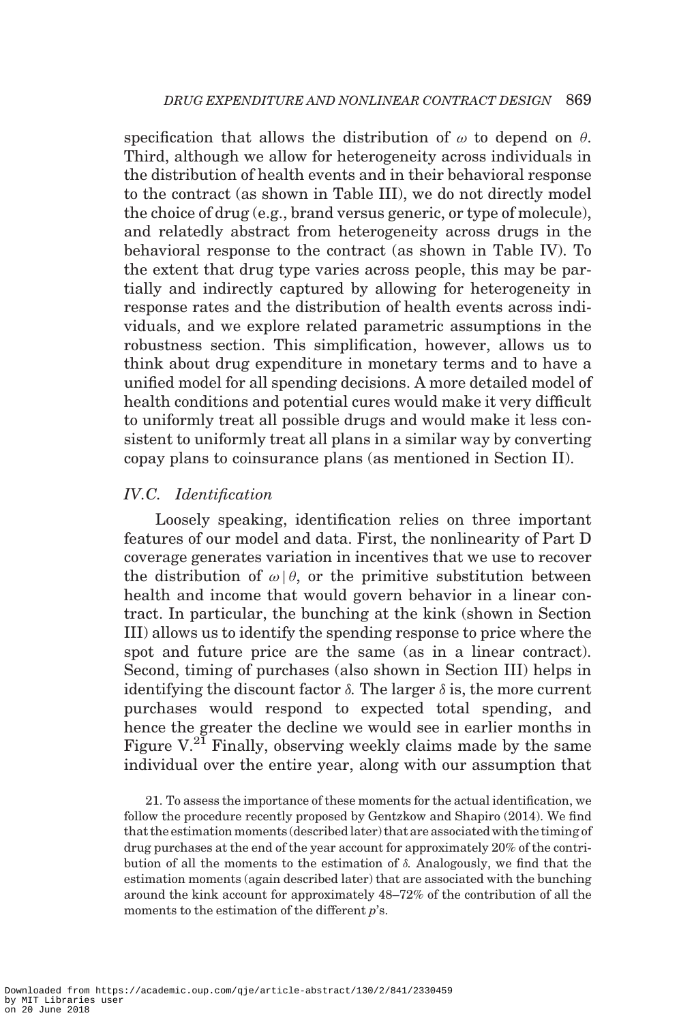specification that allows the distribution of  $\omega$  to depend on  $\theta$ . Third, although we allow for heterogeneity across individuals in the distribution of health events and in their behavioral response to the contract (as shown in [Table III\)](#page-16-0), we do not directly model the choice of drug (e.g., brand versus generic, or type of molecule), and relatedly abstract from heterogeneity across drugs in the behavioral response to the contract (as shown in [Table IV\)](#page-21-0). To the extent that drug type varies across people, this may be partially and indirectly captured by allowing for heterogeneity in response rates and the distribution of health events across individuals, and we explore related parametric assumptions in the robustness section. This simplification, however, allows us to think about drug expenditure in monetary terms and to have a unified model for all spending decisions. A more detailed model of health conditions and potential cures would make it very difficult to uniformly treat all possible drugs and would make it less consistent to uniformly treat all plans in a similar way by converting copay plans to coinsurance plans (as mentioned in Section II).

### IV.C. Identification

Loosely speaking, identification relies on three important features of our model and data. First, the nonlinearity of Part D coverage generates variation in incentives that we use to recover the distribution of  $\omega/\theta$ , or the primitive substitution between health and income that would govern behavior in a linear contract. In particular, the bunching at the kink (shown in Section III) allows us to identify the spending response to price where the spot and future price are the same (as in a linear contract). Second, timing of purchases (also shown in Section III) helps in identifying the discount factor  $\delta$ . The larger  $\delta$  is, the more current purchases would respond to expected total spending, and hence the greater the decline we would see in earlier months in Figure  $V^{21}$  Finally, observing weekly claims made by the same individual over the entire year, along with our assumption that

21. To assess the importance of these moments for the actual identification, we follow the procedure recently proposed by [Gentzkow and Shapiro \(2014\).](#page-57-0) We find that the estimation moments (described later) that are associated with the timing of drug purchases at the end of the year account for approximately 20% of the contribution of all the moments to the estimation of  $\delta$ . Analogously, we find that the estimation moments (again described later) that are associated with the bunching around the kink account for approximately 48–72% of the contribution of all the moments to the estimation of the different  $p$ 's.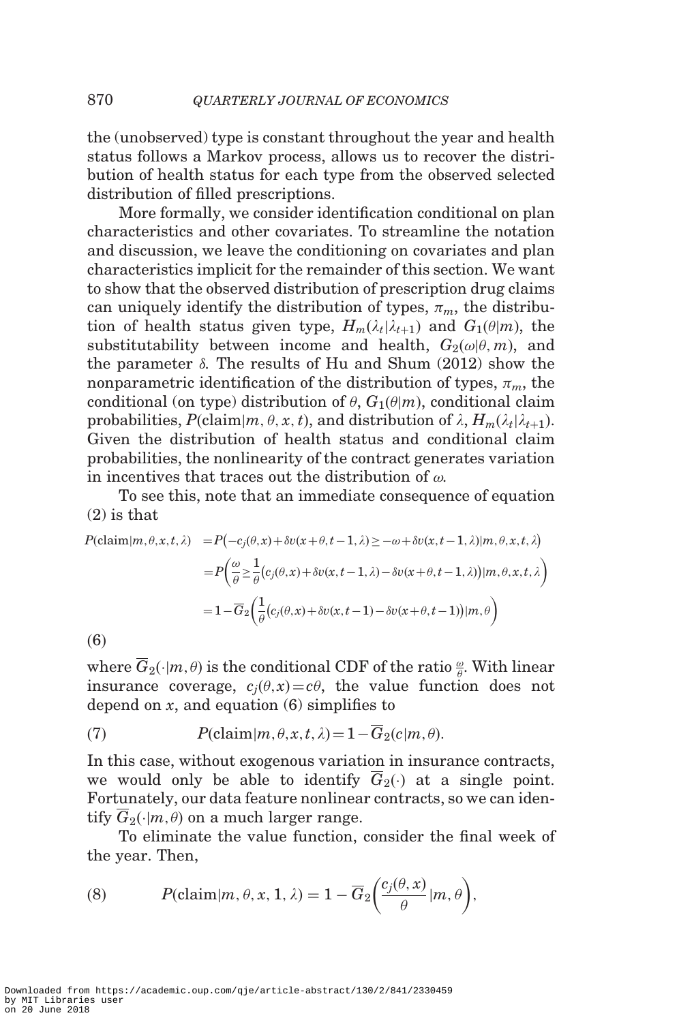the (unobserved) type is constant throughout the year and health status follows a Markov process, allows us to recover the distribution of health status for each type from the observed selected distribution of filled prescriptions.

More formally, we consider identification conditional on plan characteristics and other covariates. To streamline the notation and discussion, we leave the conditioning on covariates and plan characteristics implicit for the remainder of this section. We want to show that the observed distribution of prescription drug claims can uniquely identify the distribution of types,  $\pi_m$ , the distribution of health status given type,  $H_m(\lambda_t|\lambda_{t+1})$  and  $G_1(\theta|m)$ , the substitutability between income and health,  $G_2(\omega|\theta,m)$ , and the parameter  $\delta$ . The results of [Hu and Shum \(2012\)](#page-57-0) show the nonparametric identification of the distribution of types,  $\pi_m$ , the conditional (on type) distribution of  $\theta$ ,  $G_1(\theta|m)$ , conditional claim probabilities,  $P(\text{claim}|m, \theta, x, t)$ , and distribution of  $\lambda$ ,  $H_m(\lambda_t|\lambda_{t+1})$ . Given the distribution of health status and conditional claim probabilities, the nonlinearity of the contract generates variation in incentives that traces out the distribution of  $\omega$ .

To see this, note that an immediate consequence of [equation](#page-24-0) [\(2\)](#page-24-0) is that

$$
P(\text{claim}|m, \theta, x, t, \lambda) = P(-c_j(\theta, x) + \delta v(x + \theta, t - 1, \lambda)) \ge -\omega + \delta v(x, t - 1, \lambda)|m, \theta, x, t, \lambda)
$$
  
= 
$$
P\left(\frac{\omega}{\theta} \ge \frac{1}{\theta}(c_j(\theta, x) + \delta v(x, t - 1, \lambda) - \delta v(x + \theta, t - 1, \lambda))|m, \theta, x, t, \lambda\right)
$$
  
= 
$$
1 - \overline{G}_2\left(\frac{1}{\theta}(c_j(\theta, x) + \delta v(x, t - 1) - \delta v(x + \theta, t - 1))|m, \theta\right)
$$

 $(6)$ 

where  $\overline{G}_2(\cdot|m,\theta)$  is the conditional CDF of the ratio  $\frac{\omega}{\theta}$ . With linear insurance coverage,  $c_j(\theta, x) = c\theta$ , the value function does not depend on  $x$ , and equation (6) simplifies to

(7) 
$$
P(\text{claim}|m, \theta, x, t, \lambda) = 1 - \overline{G}_2(c|m, \theta).
$$

In this case, without exogenous variation in insurance contracts, we would only be able to identify  $G_2(\cdot)$  at a single point. Fortunately, our data feature nonlinear contracts, so we can identify  $G_2(\cdot | m, \theta)$  on a much larger range.

To eliminate the value function, consider the final week of the year. Then,

(8) 
$$
P(\text{claim}|m, \theta, x, 1, \lambda) = 1 - \overline{G}_2\bigg(\frac{c_j(\theta, x)}{\theta}|m, \theta\bigg),
$$

<span id="page-29-0"></span>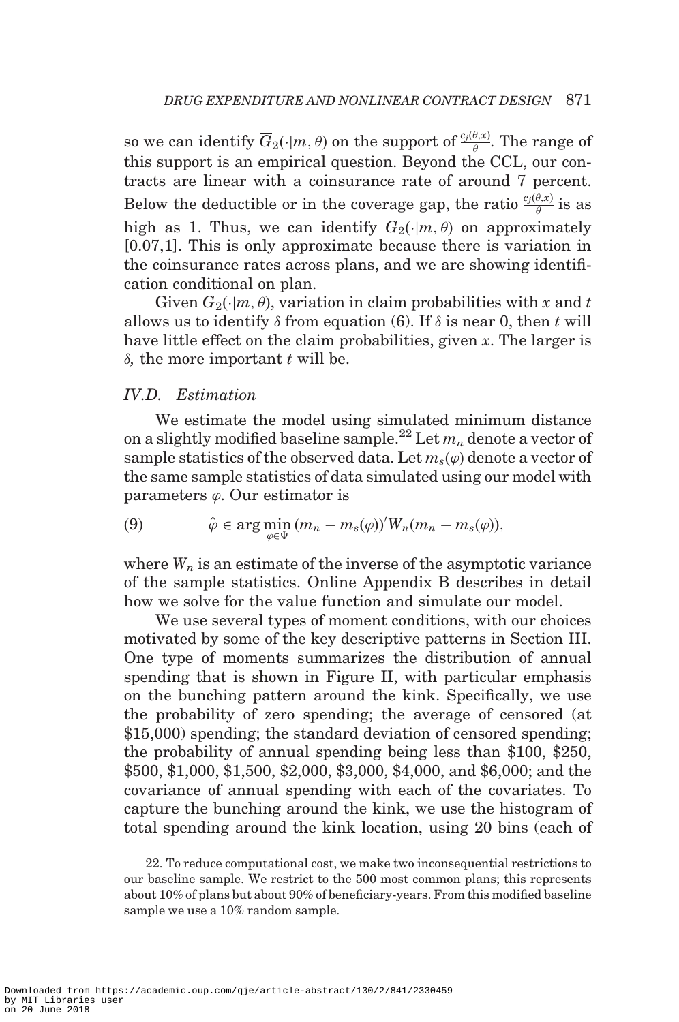so we can identify  $\overline{G}_2(\cdot | m,\theta)$  on the support of  $\frac{c_j(\theta,x)}{\theta}$  $\frac{\partial {\bf x}}{\partial}$ . The range of this support is an empirical question. Beyond the CCL, our contracts are linear with a coinsurance rate of around 7 percent. Below the deductible or in the coverage gap, the ratio  $\frac{c_j(\theta,x)}{\theta}$  $\frac{\partial}{\partial x}$  is as high as 1. Thus, we can identify  $G_2(\cdot|m,\theta)$  on approximately [0.07,1]. This is only approximate because there is variation in the coinsurance rates across plans, and we are showing identification conditional on plan.

Given  $G_2(\cdot | m, \theta)$ , variation in claim probabilities with x and t allows us to identify  $\delta$  from [equation \(6\)](#page-29-0). If  $\delta$  is near 0, then t will have little effect on the claim probabilities, given  $x$ . The larger is  $\delta$ , the more important  $t$  will be.

### IV.D. Estimation

We estimate the model using simulated minimum distance on a slightly modified baseline sample.<sup>22</sup> Let  $m_n$  denote a vector of sample statistics of the observed data. Let  $m_s(\varphi)$  denote a vector of the same sample statistics of data simulated using our model with parameters  $\varphi$ . Our estimator is

(9) 
$$
\hat{\varphi} \in \arg\min_{\varphi \in \Psi} (m_n - m_s(\varphi))^{\prime} W_n(m_n - m_s(\varphi)),
$$

where  $W_n$  is an estimate of the inverse of the asymptotic variance of the sample statistics. [Online Appendix B](http://qje.oxfordjournals.org/lookup/suppl/doi:10.1093/qje/qjv005/-/DC1) describes in detail how we solve for the value function and simulate our model.

We use several types of moment conditions, with our choices motivated by some of the key descriptive patterns in Section III. One type of moments summarizes the distribution of annual spending that is shown in [Figure II,](#page-12-0) with particular emphasis on the bunching pattern around the kink. Specifically, we use the probability of zero spending; the average of censored (at \$15,000) spending; the standard deviation of censored spending; the probability of annual spending being less than \$100, \$250, \$500, \$1,000, \$1,500, \$2,000, \$3,000, \$4,000, and \$6,000; and the covariance of annual spending with each of the covariates. To capture the bunching around the kink, we use the histogram of total spending around the kink location, using 20 bins (each of

<sup>22.</sup> To reduce computational cost, we make two inconsequential restrictions to our baseline sample. We restrict to the 500 most common plans; this represents about 10% of plans but about 90% of beneficiary-years. From this modified baseline sample we use a 10% random sample.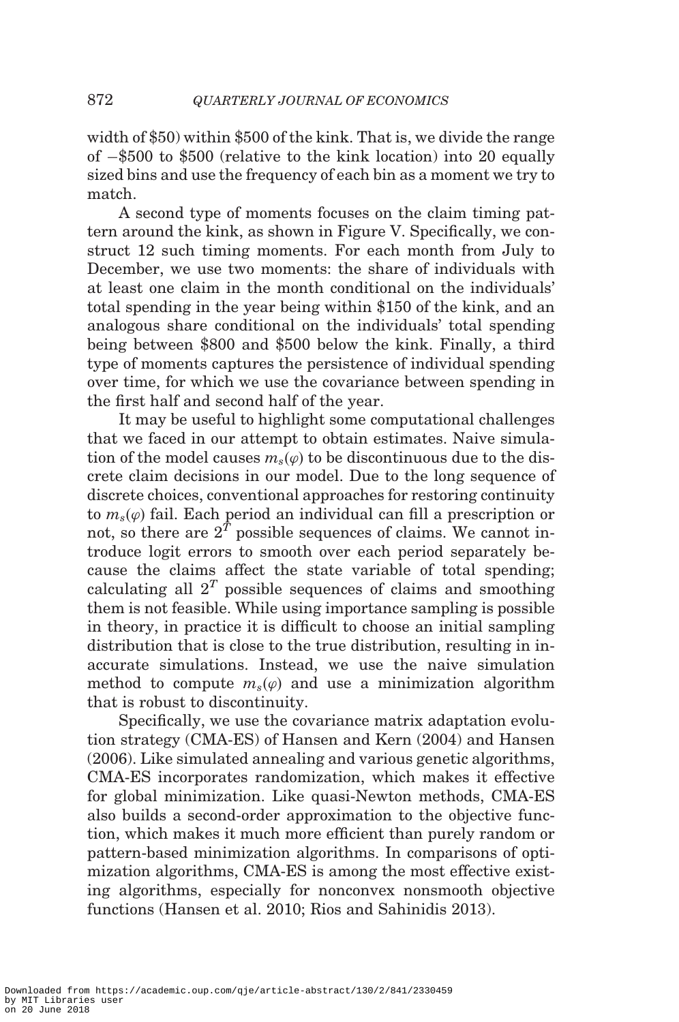width of \$50) within \$500 of the kink. That is, we divide the range of -\$500 to \$500 (relative to the kink location) into 20 equally sized bins and use the frequency of each bin as a moment we try to match.

A second type of moments focuses on the claim timing pattern around the kink, as shown in [Figure V.](#page-18-0) Specifically, we construct 12 such timing moments. For each month from July to December, we use two moments: the share of individuals with at least one claim in the month conditional on the individuals' total spending in the year being within \$150 of the kink, and an analogous share conditional on the individuals' total spending being between \$800 and \$500 below the kink. Finally, a third type of moments captures the persistence of individual spending over time, for which we use the covariance between spending in the first half and second half of the year.

It may be useful to highlight some computational challenges that we faced in our attempt to obtain estimates. Naive simulation of the model causes  $m_s(\varphi)$  to be discontinuous due to the discrete claim decisions in our model. Due to the long sequence of discrete choices, conventional approaches for restoring continuity to  $m_s(\varphi)$  fail. Each period an individual can fill a prescription or not, so there are  $2<sup>T</sup>$  possible sequences of claims. We cannot introduce logit errors to smooth over each period separately because the claims affect the state variable of total spending; calculating all  $2<sup>T</sup>$  possible sequences of claims and smoothing them is not feasible. While using importance sampling is possible in theory, in practice it is difficult to choose an initial sampling distribution that is close to the true distribution, resulting in inaccurate simulations. Instead, we use the naive simulation method to compute  $m_s(\varphi)$  and use a minimization algorithm that is robust to discontinuity.

Specifically, we use the covariance matrix adaptation evolution strategy (CMA-ES) of [Hansen and Kern \(2004\)](#page-57-0) and [Hansen](#page-57-0) [\(2006\)](#page-57-0). Like simulated annealing and various genetic algorithms, CMA-ES incorporates randomization, which makes it effective for global minimization. Like quasi-Newton methods, CMA-ES also builds a second-order approximation to the objective function, which makes it much more efficient than purely random or pattern-based minimization algorithms. In comparisons of optimization algorithms, CMA-ES is among the most effective existing algorithms, especially for nonconvex nonsmooth objective functions [\(Hansen et al. 2010](#page-57-0); [Rios and Sahinidis 2013\)](#page-58-0).

Downloaded from https://academic.oup.com/qje/article-abstract/130/2/841/2330459 by MIT Libraries user on 20 June 2018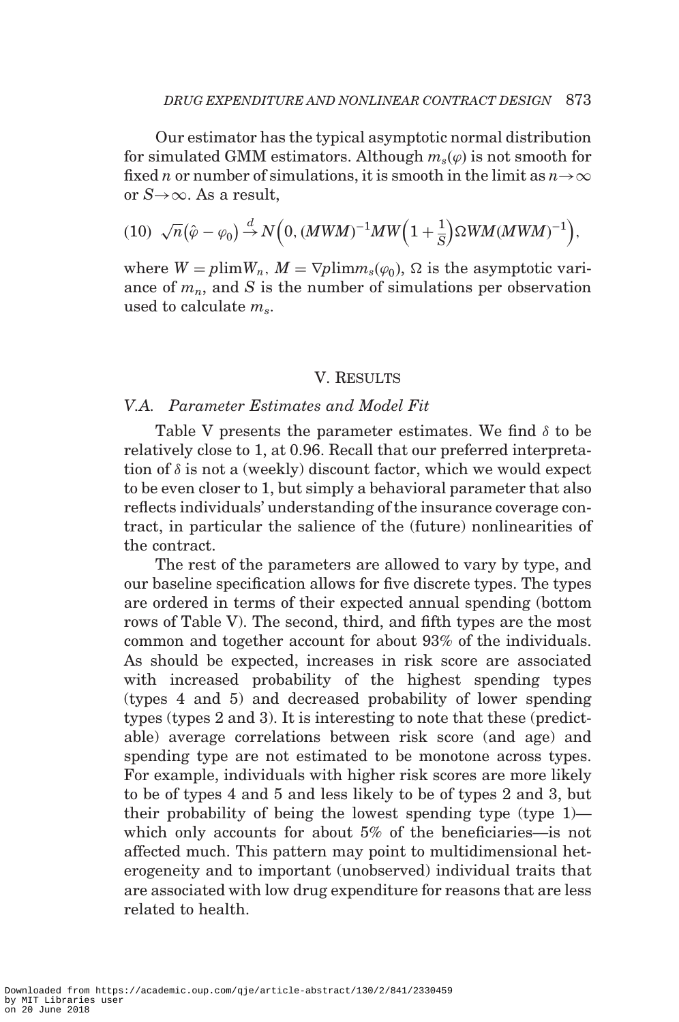<span id="page-32-0"></span>Our estimator has the typical asymptotic normal distribution for simulated GMM estimators. Although  $m_s(\varphi)$  is not smooth for fixed *n* or number of simulations, it is smooth in the limit as  $n \rightarrow \infty$ or  $S \rightarrow \infty$ . As a result,

$$
(10)\ \sqrt{n}(\hat{\varphi}-\varphi_0)\stackrel{d}{\rightarrow}N\Big(0,(MWM)^{-1}MW\Big(1+\frac{1}{S}\Big)\Omega WM(MWM)^{-1}\Big),
$$

where  $W = p\lim_{n}W_n$ ,  $M = \nabla p\lim_{n}W_s(\varphi_0)$ ,  $\Omega$  is the asymptotic variance of  $m_n$ , and S is the number of simulations per observation used to calculate  $m<sub>s</sub>$ .

#### V. RESULTS

### V.A. Parameter Estimates and Model Fit

[Table V](#page-33-0) presents the parameter estimates. We find  $\delta$  to be relatively close to 1, at 0.96. Recall that our preferred interpretation of  $\delta$  is not a (weekly) discount factor, which we would expect to be even closer to 1, but simply a behavioral parameter that also reflects individuals' understanding of the insurance coverage contract, in particular the salience of the (future) nonlinearities of the contract.

The rest of the parameters are allowed to vary by type, and our baseline specification allows for five discrete types. The types are ordered in terms of their expected annual spending (bottom rows of [Table V\)](#page-33-0). The second, third, and fifth types are the most common and together account for about 93% of the individuals. As should be expected, increases in risk score are associated with increased probability of the highest spending types (types 4 and 5) and decreased probability of lower spending types (types 2 and 3). It is interesting to note that these (predictable) average correlations between risk score (and age) and spending type are not estimated to be monotone across types. For example, individuals with higher risk scores are more likely to be of types 4 and 5 and less likely to be of types 2 and 3, but their probability of being the lowest spending type  $(type 1)$  which only accounts for about 5% of the beneficiaries—is not affected much. This pattern may point to multidimensional heterogeneity and to important (unobserved) individual traits that are associated with low drug expenditure for reasons that are less related to health.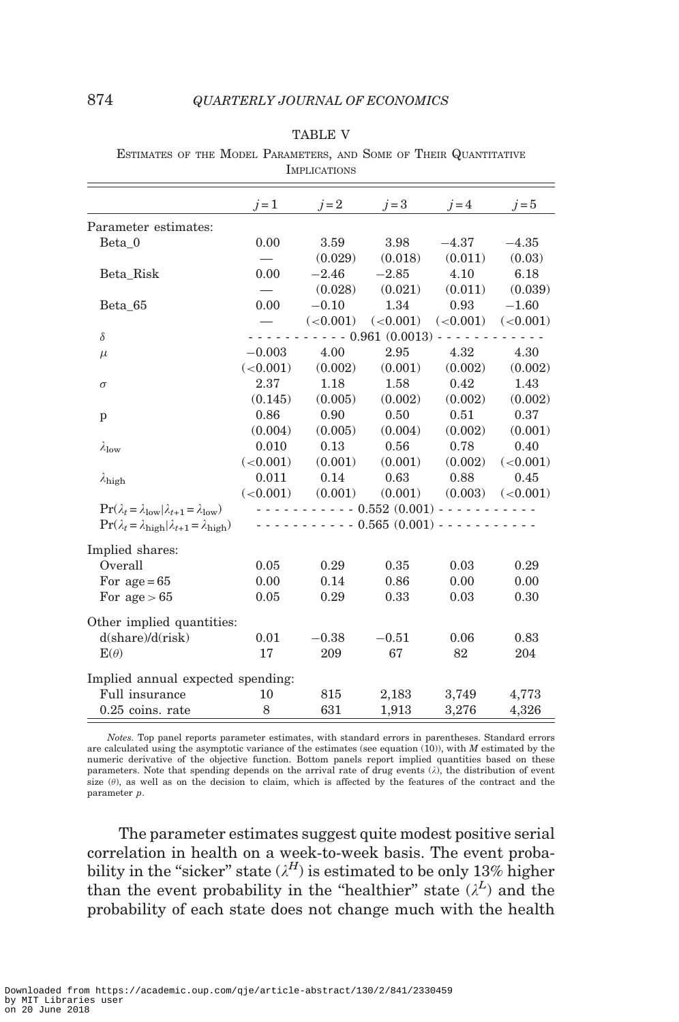#### TABLE V

<span id="page-33-0"></span>ESTIMATES OF THE MODEL PARAMETERS, AND SOME OF THEIR QUANTITATIVE **IMPLICATIONS** 

|                                                                                  | $j=1$    | $j=2$    | $j=3$                  | $j=4$    | $j=5$    |
|----------------------------------------------------------------------------------|----------|----------|------------------------|----------|----------|
| Parameter estimates:                                                             |          |          |                        |          |          |
| Beta_0                                                                           | 0.00     | 3.59     | 3.98                   | $-4.37$  | $-4.35$  |
|                                                                                  |          | (0.029)  | (0.018)                | (0.011)  | (0.03)   |
| Beta Risk                                                                        | 0.00     | $-2.46$  | $-2.85$                | 4.10     | 6.18     |
|                                                                                  |          | (0.028)  | (0.021)                | (0.011)  | (0.039)  |
| Beta_65                                                                          | 0.00     | $-0.10$  | 1.34                   | 0.93     | $-1.60$  |
|                                                                                  |          | (<0.001) | (<0.001)               | (<0.001) | (<0.001) |
| $\delta$                                                                         |          |          | $- - - 0.961(0.0013)$  |          |          |
| $\mu$                                                                            | $-0.003$ | 4.00     | 2.95                   | 4.32     | 4.30     |
|                                                                                  | (<0.001) | (0.002)  | (0.001)                | (0.002)  | (0.002)  |
| $\sigma$                                                                         | 2.37     | 1.18     | 1.58                   | 0.42     | 1.43     |
|                                                                                  | (0.145)  | (0.005)  | (0.002)                | (0.002)  | (0.002)  |
| p                                                                                | 0.86     | 0.90     | 0.50                   | 0.51     | 0.37     |
|                                                                                  | (0.004)  | (0.005)  | (0.004)                | (0.002)  | (0.001)  |
| $\lambda_{\text{low}}$                                                           | 0.010    | 0.13     | 0.56                   | 0.78     | 0.40     |
|                                                                                  | (<0.001) | (0.001)  | (0.001)                | (0.002)  | (<0.001) |
| $\lambda_{\rm high}$                                                             | 0.011    | 0.14     | 0.63                   | 0.88     | 0.45     |
|                                                                                  | (<0.001) | (0.001)  | (0.001)                | (0.003)  | (<0.001) |
| $\Pr(\lambda_t = \lambda_{\text{low}}   \lambda_{t+1} = \lambda_{\text{low}})$   |          |          |                        |          |          |
| $\Pr(\lambda_t = \lambda_{\text{high}}   \lambda_{t+1} = \lambda_{\text{high}})$ |          |          | $\cdots$ 0.565 (0.001) |          |          |
| Implied shares:                                                                  |          |          |                        |          |          |
| Overall                                                                          | 0.05     | 0.29     | 0.35                   | 0.03     | 0.29     |
| For $age = 65$                                                                   | 0.00     | 0.14     | 0.86                   | 0.00     | 0.00     |
| For age $>65$                                                                    | 0.05     | 0.29     | 0.33                   | 0.03     | 0.30     |
|                                                                                  |          |          |                        |          |          |
| Other implied quantities:                                                        |          |          |                        |          |          |
| d(share)/d(risk)                                                                 | 0.01     | $-0.38$  | $-0.51$                | 0.06     | 0.83     |
| $E(\theta)$                                                                      | 17       | 209      | 67                     | 82       | 204      |
| Implied annual expected spending:                                                |          |          |                        |          |          |
| Full insurance                                                                   | 10       | 815      | 2,183                  | 3,749    | 4,773    |
| $0.25$ coins. rate                                                               | 8        | 631      | 1,913                  | 3,276    | 4,326    |

Notes. Top panel reports parameter estimates, with standard errors in parentheses. Standard errors are calculated using the asymptotic variance of the estimates (see [equation \(10\)\)](#page-32-0), with  $M$  estimated by the numeric derivative of the objective function. Bottom panels report implied quantities based on these parameters. Note that spending depends on the arrival rate of drug events  $(\lambda)$ , the distribution of event size  $(\theta)$ , as well as on the decision to claim, which is affected by the features of the contract and the parameter p.

The parameter estimates suggest quite modest positive serial correlation in health on a week-to-week basis. The event probability in the "sicker" state  $(\lambda^H)$  is estimated to be only 13% higher than the event probability in the "healthier" state  $(\lambda^L)$  and the probability of each state does not change much with the health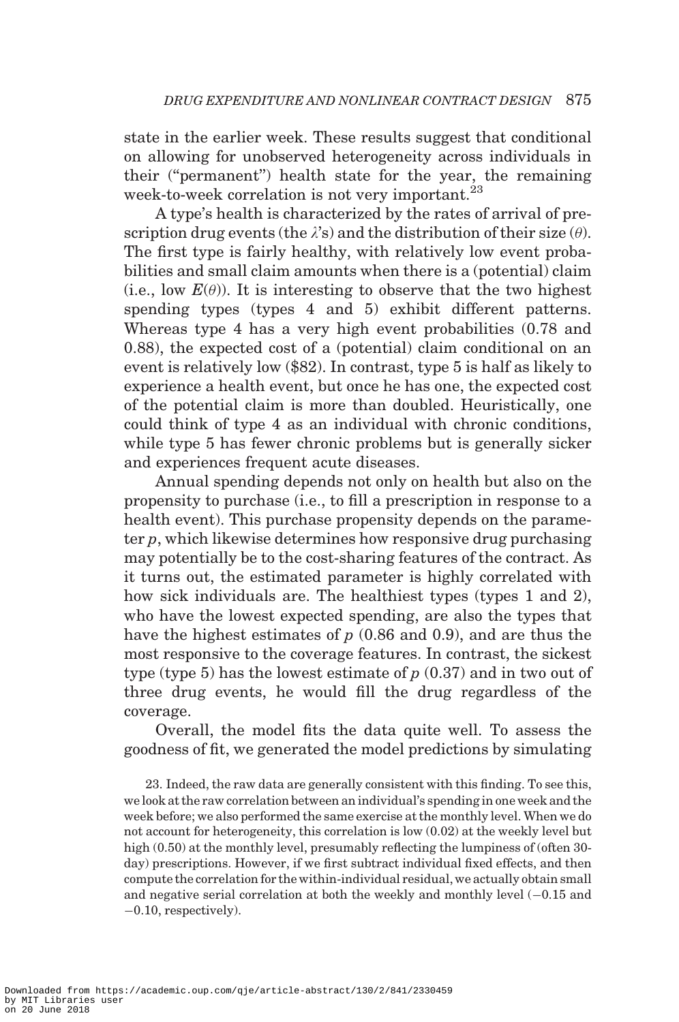state in the earlier week. These results suggest that conditional on allowing for unobserved heterogeneity across individuals in their (''permanent'') health state for the year, the remaining week-to-week correlation is not very important.<sup>23</sup>

A type's health is characterized by the rates of arrival of prescription drug events (the  $\lambda$ 's) and the distribution of their size ( $\theta$ ). The first type is fairly healthy, with relatively low event probabilities and small claim amounts when there is a (potential) claim (i.e., low  $E(\theta)$ ). It is interesting to observe that the two highest spending types (types 4 and 5) exhibit different patterns. Whereas type 4 has a very high event probabilities (0.78 and 0.88), the expected cost of a (potential) claim conditional on an event is relatively low (\$82). In contrast, type 5 is half as likely to experience a health event, but once he has one, the expected cost of the potential claim is more than doubled. Heuristically, one could think of type 4 as an individual with chronic conditions, while type 5 has fewer chronic problems but is generally sicker and experiences frequent acute diseases.

Annual spending depends not only on health but also on the propensity to purchase (i.e., to fill a prescription in response to a health event). This purchase propensity depends on the parameter p, which likewise determines how responsive drug purchasing may potentially be to the cost-sharing features of the contract. As it turns out, the estimated parameter is highly correlated with how sick individuals are. The healthiest types (types 1 and 2), who have the lowest expected spending, are also the types that have the highest estimates of  $p(0.86 \text{ and } 0.9)$ , and are thus the most responsive to the coverage features. In contrast, the sickest type (type 5) has the lowest estimate of  $p(0.37)$  and in two out of three drug events, he would fill the drug regardless of the coverage.

Overall, the model fits the data quite well. To assess the goodness of fit, we generated the model predictions by simulating

23. Indeed, the raw data are generally consistent with this finding. To see this, we look at the raw correlation between an individual's spending in one week and the week before; we also performed the same exercise at the monthly level. When we do not account for heterogeneity, this correlation is low (0.02) at the weekly level but high (0.50) at the monthly level, presumably reflecting the lumpiness of (often 30day) prescriptions. However, if we first subtract individual fixed effects, and then compute the correlation for the within-individual residual, we actually obtain small and negative serial correlation at both the weekly and monthly level  $(-0.15$  and -0.10, respectively).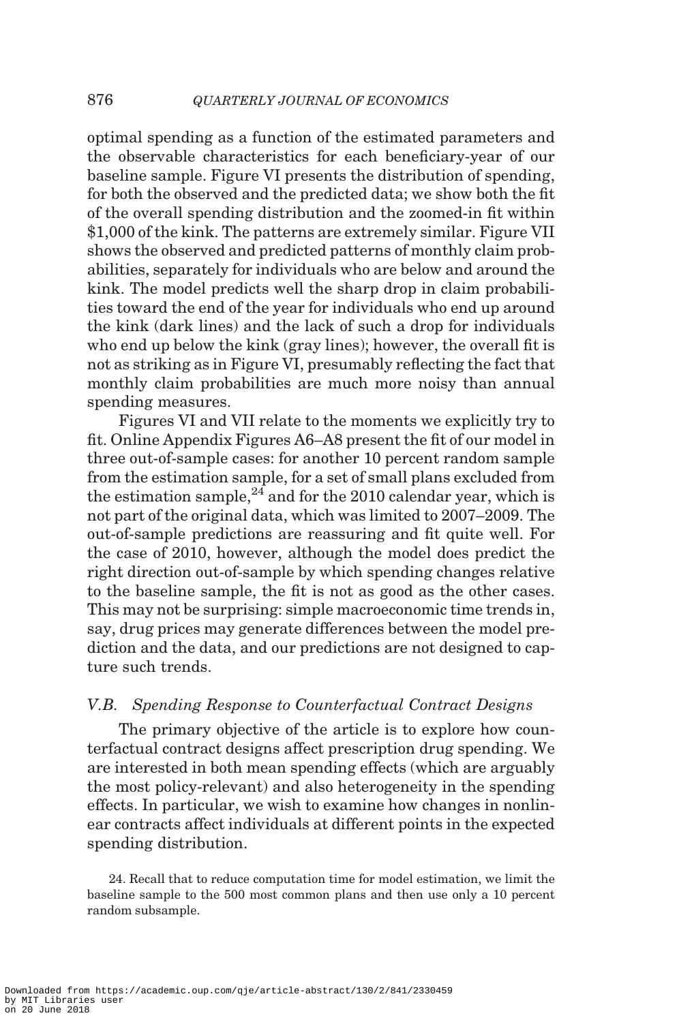optimal spending as a function of the estimated parameters and the observable characteristics for each beneficiary-year of our baseline sample. [Figure VI](#page-36-0) presents the distribution of spending, for both the observed and the predicted data; we show both the fit of the overall spending distribution and the zoomed-in fit within \$1,000 of the kink. The patterns are extremely similar. [Figure VII](#page-37-0) shows the observed and predicted patterns of monthly claim probabilities, separately for individuals who are below and around the kink. The model predicts well the sharp drop in claim probabilities toward the end of the year for individuals who end up around the kink (dark lines) and the lack of such a drop for individuals who end up below the kink (gray lines); however, the overall fit is not as striking as in [Figure VI](#page-36-0), presumably reflecting the fact that monthly claim probabilities are much more noisy than annual spending measures.

[Figures VI](#page-36-0) and [VII](#page-37-0) relate to the moments we explicitly try to fit. [Online Appendix Figures A6–A8](http://qje.oxfordjournals.org/lookup/suppl/doi:10.1093/qje/qjv005/-/DC1) present the fit of our model in three out-of-sample cases: for another 10 percent random sample from the estimation sample, for a set of small plans excluded from the estimation sample,  $24$  and for the 2010 calendar year, which is not part of the original data, which was limited to 2007–2009. The out-of-sample predictions are reassuring and fit quite well. For the case of 2010, however, although the model does predict the right direction out-of-sample by which spending changes relative to the baseline sample, the fit is not as good as the other cases. This may not be surprising: simple macroeconomic time trends in, say, drug prices may generate differences between the model prediction and the data, and our predictions are not designed to capture such trends.

### V.B. Spending Response to Counterfactual Contract Designs

The primary objective of the article is to explore how counterfactual contract designs affect prescription drug spending. We are interested in both mean spending effects (which are arguably the most policy-relevant) and also heterogeneity in the spending effects. In particular, we wish to examine how changes in nonlinear contracts affect individuals at different points in the expected spending distribution.

24. Recall that to reduce computation time for model estimation, we limit the baseline sample to the 500 most common plans and then use only a 10 percent random subsample.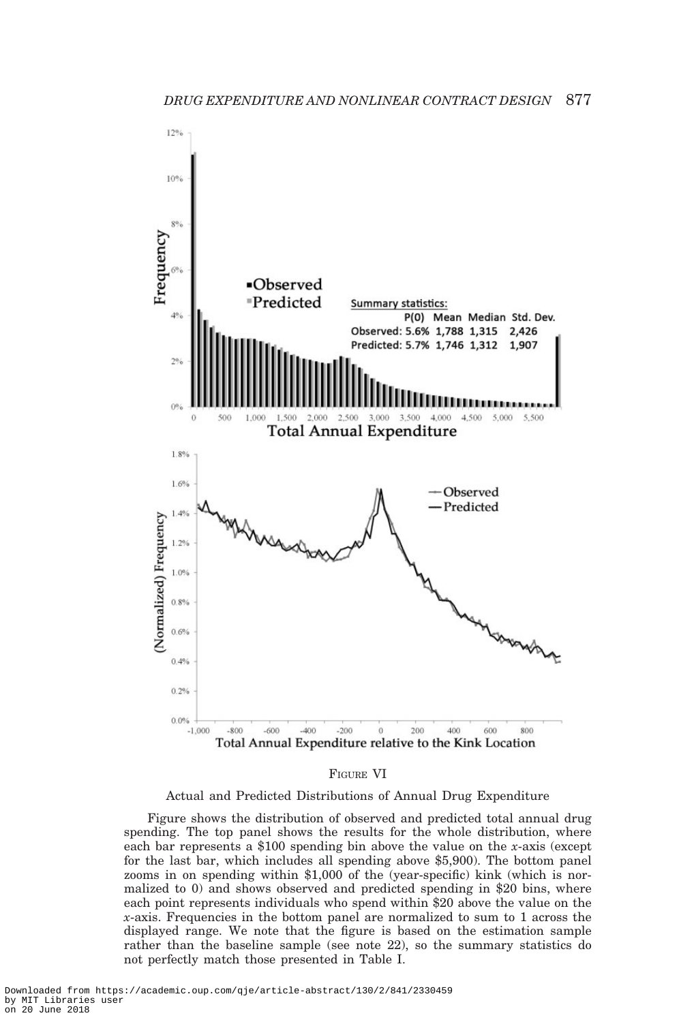<span id="page-36-0"></span>

#### FIGURE VI

Actual and Predicted Distributions of Annual Drug Expenditure

Figure shows the distribution of observed and predicted total annual drug spending. The top panel shows the results for the whole distribution, where each bar represents a \$100 spending bin above the value on the x-axis (except for the last bar, which includes all spending above \$5,900). The bottom panel zooms in on spending within \$1,000 of the (year-specific) kink (which is normalized to 0) and shows observed and predicted spending in \$20 bins, where each point represents individuals who spend within \$20 above the value on the x-axis. Frequencies in the bottom panel are normalized to sum to 1 across the displayed range. We note that the figure is based on the estimation sample rather than the baseline sample (see note 22), so the summary statistics do not perfectly match those presented in [Table I](#page-8-0).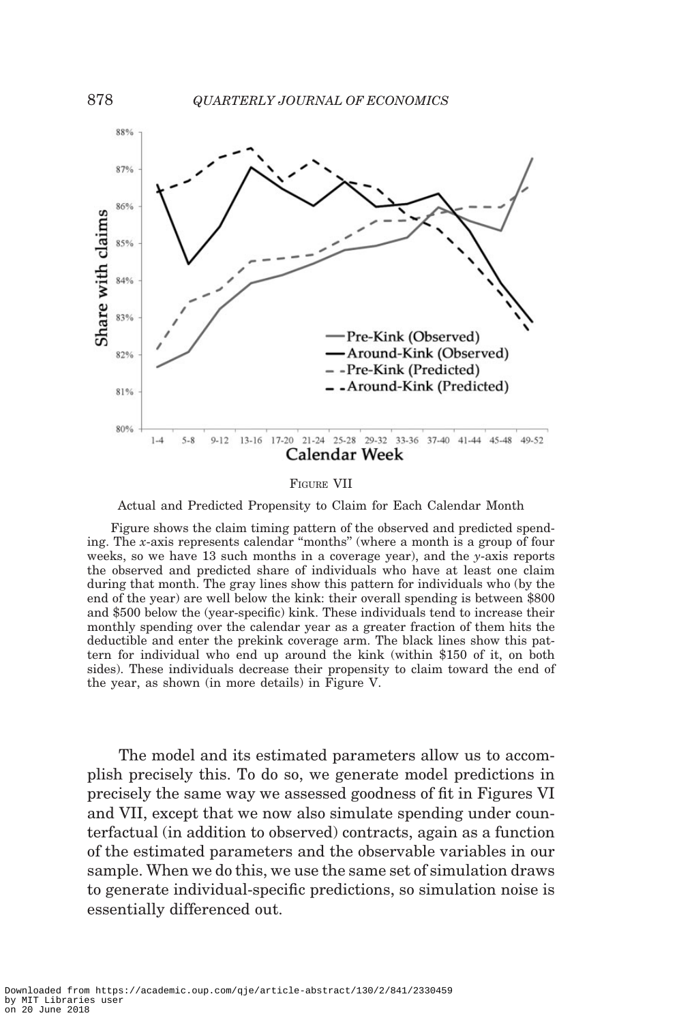

FIGURE VII

Actual and Predicted Propensity to Claim for Each Calendar Month

Figure shows the claim timing pattern of the observed and predicted spending. The x-axis represents calendar "months" (where a month is a group of four weeks, so we have 13 such months in a coverage year), and the y-axis reports the observed and predicted share of individuals who have at least one claim during that month. The gray lines show this pattern for individuals who (by the end of the year) are well below the kink: their overall spending is between \$800 and \$500 below the (year-specific) kink. These individuals tend to increase their monthly spending over the calendar year as a greater fraction of them hits the deductible and enter the prekink coverage arm. The black lines show this pattern for individual who end up around the kink (within \$150 of it, on both sides). These individuals decrease their propensity to claim toward the end of the year, as shown (in more details) in [Figure V.](#page-18-0)

The model and its estimated parameters allow us to accomplish precisely this. To do so, we generate model predictions in precisely the same way we assessed goodness of fit in [Figures VI](#page-36-0) and VII, except that we now also simulate spending under counterfactual (in addition to observed) contracts, again as a function of the estimated parameters and the observable variables in our sample. When we do this, we use the same set of simulation draws to generate individual-specific predictions, so simulation noise is essentially differenced out.

<span id="page-37-0"></span>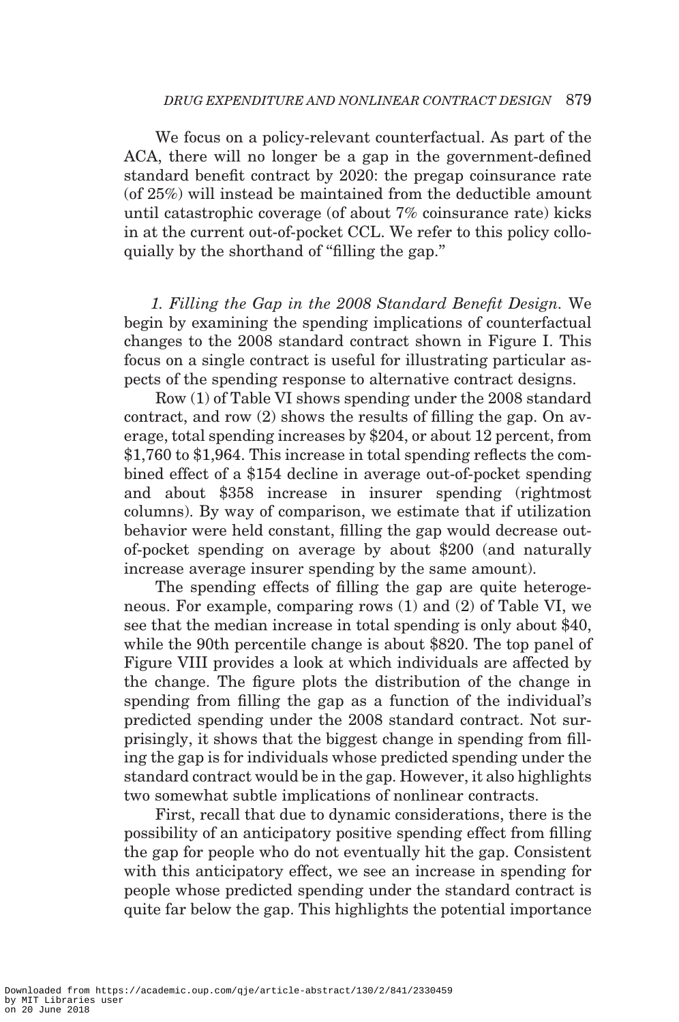We focus on a policy-relevant counterfactual. As part of the ACA, there will no longer be a gap in the government-defined standard benefit contract by 2020: the pregap coinsurance rate (of 25%) will instead be maintained from the deductible amount until catastrophic coverage (of about 7% coinsurance rate) kicks in at the current out-of-pocket CCL. We refer to this policy colloquially by the shorthand of ''filling the gap.''

1. Filling the Gap in the 2008 Standard Benefit Design. We begin by examining the spending implications of counterfactual changes to the 2008 standard contract shown in [Figure I.](#page-2-0) This focus on a single contract is useful for illustrating particular aspects of the spending response to alternative contract designs.

Row (1) of [Table VI](#page-39-0) shows spending under the 2008 standard contract, and row (2) shows the results of filling the gap. On average, total spending increases by \$204, or about 12 percent, from \$1,760 to \$1,964. This increase in total spending reflects the combined effect of a \$154 decline in average out-of-pocket spending and about \$358 increase in insurer spending (rightmost columns). By way of comparison, we estimate that if utilization behavior were held constant, filling the gap would decrease outof-pocket spending on average by about \$200 (and naturally increase average insurer spending by the same amount).

The spending effects of filling the gap are quite heterogeneous. For example, comparing rows (1) and (2) of [Table VI,](#page-39-0) we see that the median increase in total spending is only about \$40, while the 90th percentile change is about \$820. The top panel of [Figure VIII](#page-40-0) provides a look at which individuals are affected by the change. The figure plots the distribution of the change in spending from filling the gap as a function of the individual's predicted spending under the 2008 standard contract. Not surprisingly, it shows that the biggest change in spending from filling the gap is for individuals whose predicted spending under the standard contract would be in the gap. However, it also highlights two somewhat subtle implications of nonlinear contracts.

First, recall that due to dynamic considerations, there is the possibility of an anticipatory positive spending effect from filling the gap for people who do not eventually hit the gap. Consistent with this anticipatory effect, we see an increase in spending for people whose predicted spending under the standard contract is quite far below the gap. This highlights the potential importance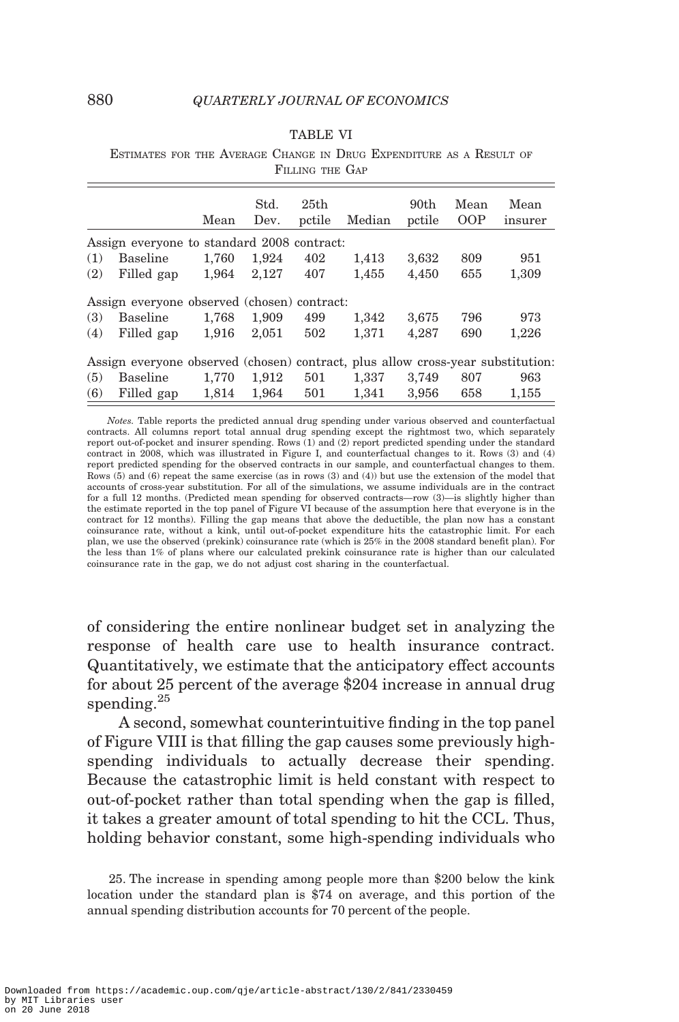#### TABLE VI

<span id="page-39-0"></span>ESTIMATES FOR THE AVERAGE CHANGE IN DRUG EXPENDITURE AS A RESULT OF FILLING THE GAP

|     |                                                                                 | Mean  | Std.<br>Dev. | 25th<br>pctile | Median | 90th<br>pctile | Mean<br><b>OOP</b> | Mean<br>insurer |
|-----|---------------------------------------------------------------------------------|-------|--------------|----------------|--------|----------------|--------------------|-----------------|
|     | Assign everyone to standard 2008 contract:                                      |       |              |                |        |                |                    |                 |
| (1) | Baseline                                                                        | 1.760 | 1.924        | 402            | 1,413  | 3,632          | 809                | 951             |
| (2) | Filled gap                                                                      | 1,964 | 2,127        | 407            | 1,455  | 4,450          | 655                | 1,309           |
|     | Assign everyone observed (chosen) contract:                                     |       |              |                |        |                |                    |                 |
| (3) | <b>Baseline</b>                                                                 | 1.768 | 1.909        | 499            | 1,342  | 3,675          | 796                | 973             |
| (4) | Filled gap                                                                      | 1,916 | 2,051        | 502            | 1,371  | 4,287          | 690                | 1,226           |
|     | Assign everyone observed (chosen) contract, plus allow cross-year substitution: |       |              |                |        |                |                    |                 |
| (5) | <b>Baseline</b>                                                                 | 1,770 | 1,912        | 501            | 1,337  | 3,749          | 807                | 963             |
| (6) | Filled gap                                                                      | 1,814 | 1,964        | 501            | 1,341  | 3,956          | 658                | 1,155           |

Notes. Table reports the predicted annual drug spending under various observed and counterfactual contracts. All columns report total annual drug spending except the rightmost two, which separately report out-of-pocket and insurer spending. Rows (1) and (2) report predicted spending under the standard contract in 2008, which was illustrated in [Figure I,](#page-2-0) and counterfactual changes to it. Rows (3) and (4) report predicted spending for the observed contracts in our sample, and counterfactual changes to them. Rows (5) and (6) repeat the same exercise (as in rows (3) and (4)) but use the extension of the model that accounts of cross-year substitution. For all of the simulations, we assume individuals are in the contract for a full 12 months. (Predicted mean spending for observed contracts—row (3)—is slightly higher than the estimate reported in the top panel of [Figure VI](#page-36-0) because of the assumption here that everyone is in the contract for 12 months). Filling the gap means that above the deductible, the plan now has a constant coinsurance rate, without a kink, until out-of-pocket expenditure hits the catastrophic limit. For each plan, we use the observed (prekink) coinsurance rate (which is 25% in the 2008 standard benefit plan). For the less than 1% of plans where our calculated prekink coinsurance rate is higher than our calculated coinsurance rate in the gap, we do not adjust cost sharing in the counterfactual.

of considering the entire nonlinear budget set in analyzing the response of health care use to health insurance contract. Quantitatively, we estimate that the anticipatory effect accounts for about 25 percent of the average \$204 increase in annual drug spending.<sup>25</sup>

A second, somewhat counterintuitive finding in the top panel of [Figure VIII](#page-40-0) is that filling the gap causes some previously highspending individuals to actually decrease their spending. Because the catastrophic limit is held constant with respect to out-of-pocket rather than total spending when the gap is filled, it takes a greater amount of total spending to hit the CCL. Thus, holding behavior constant, some high-spending individuals who

25. The increase in spending among people more than \$200 below the kink location under the standard plan is \$74 on average, and this portion of the annual spending distribution accounts for 70 percent of the people.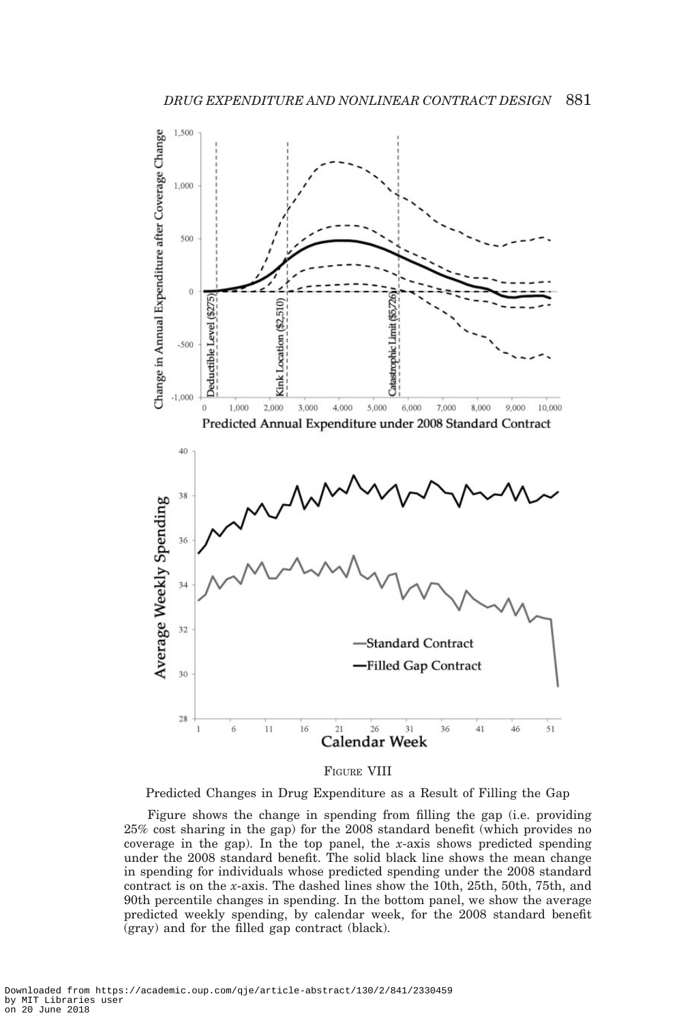<span id="page-40-0"></span>



Predicted Changes in Drug Expenditure as a Result of Filling the Gap

Figure shows the change in spending from filling the gap (i.e. providing 25% cost sharing in the gap) for the 2008 standard benefit (which provides no coverage in the gap). In the top panel, the  $x$ -axis shows predicted spending under the 2008 standard benefit. The solid black line shows the mean change in spending for individuals whose predicted spending under the 2008 standard contract is on the x-axis. The dashed lines show the 10th, 25th, 50th, 75th, and 90th percentile changes in spending. In the bottom panel, we show the average predicted weekly spending, by calendar week, for the 2008 standard benefit (gray) and for the filled gap contract (black).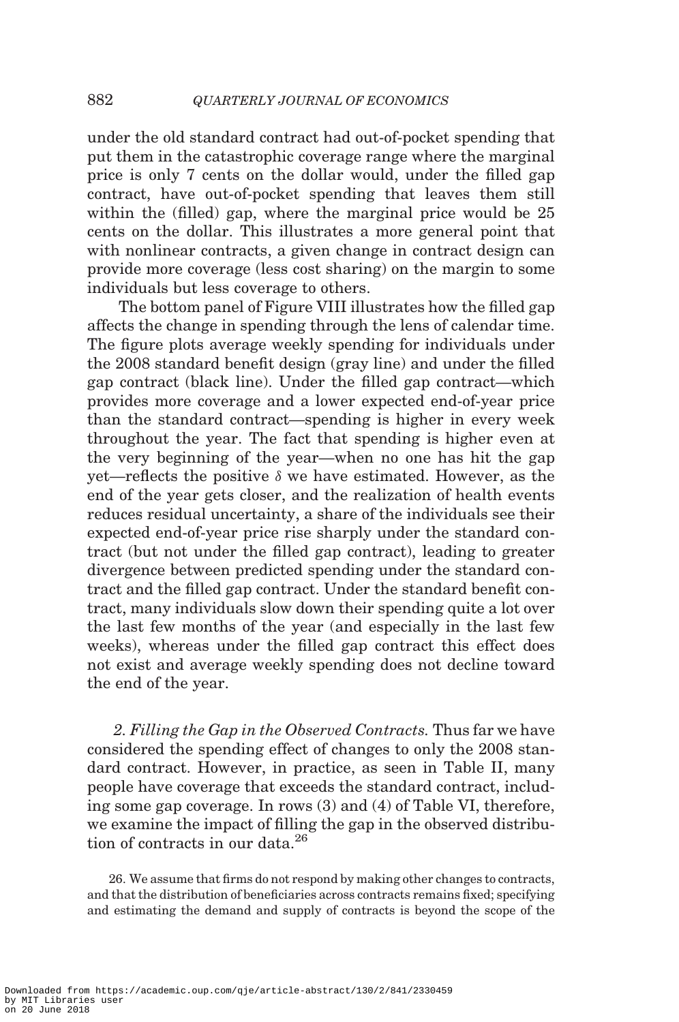under the old standard contract had out-of-pocket spending that put them in the catastrophic coverage range where the marginal price is only 7 cents on the dollar would, under the filled gap contract, have out-of-pocket spending that leaves them still within the (filled) gap, where the marginal price would be 25 cents on the dollar. This illustrates a more general point that with nonlinear contracts, a given change in contract design can provide more coverage (less cost sharing) on the margin to some individuals but less coverage to others.

The bottom panel of [Figure VIII](#page-40-0) illustrates how the filled gap affects the change in spending through the lens of calendar time. The figure plots average weekly spending for individuals under the 2008 standard benefit design (gray line) and under the filled gap contract (black line). Under the filled gap contract—which provides more coverage and a lower expected end-of-year price than the standard contract—spending is higher in every week throughout the year. The fact that spending is higher even at the very beginning of the year—when no one has hit the gap yet—reflects the positive  $\delta$  we have estimated. However, as the end of the year gets closer, and the realization of health events reduces residual uncertainty, a share of the individuals see their expected end-of-year price rise sharply under the standard contract (but not under the filled gap contract), leading to greater divergence between predicted spending under the standard contract and the filled gap contract. Under the standard benefit contract, many individuals slow down their spending quite a lot over the last few months of the year (and especially in the last few weeks), whereas under the filled gap contract this effect does not exist and average weekly spending does not decline toward the end of the year.

2. Filling the Gap in the Observed Contracts. Thus far we have considered the spending effect of changes to only the 2008 standard contract. However, in practice, as seen in [Table II,](#page-11-0) many people have coverage that exceeds the standard contract, including some gap coverage. In rows (3) and (4) of [Table VI,](#page-39-0) therefore, we examine the impact of filling the gap in the observed distribution of contracts in our data.<sup>26</sup>

26. We assume that firms do not respond by making other changes to contracts, and that the distribution of beneficiaries across contracts remains fixed; specifying and estimating the demand and supply of contracts is beyond the scope of the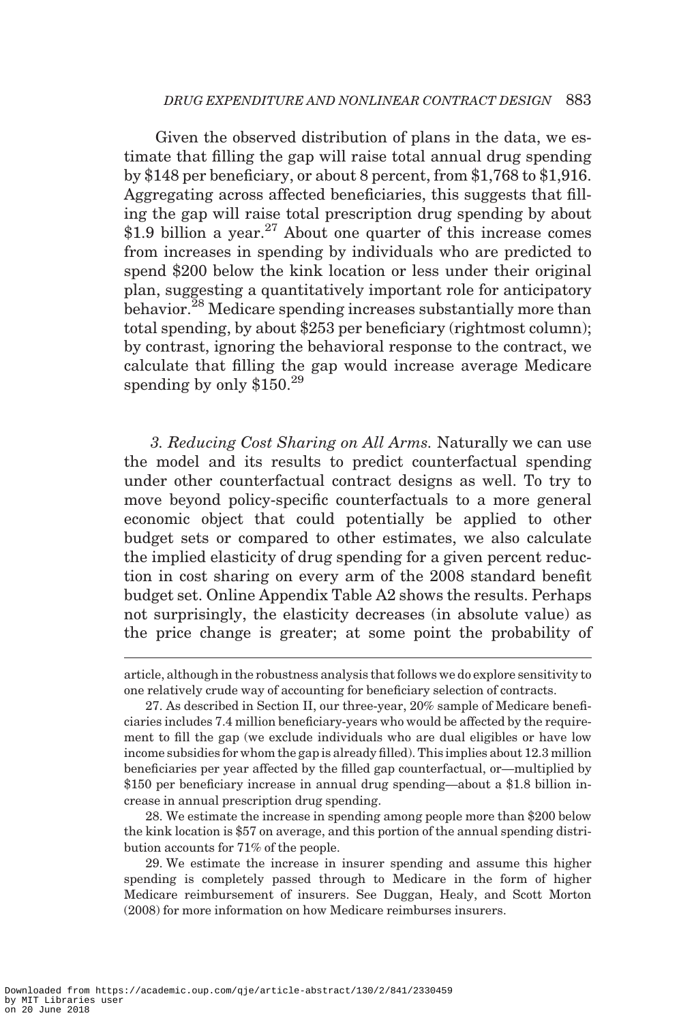Given the observed distribution of plans in the data, we estimate that filling the gap will raise total annual drug spending by \$148 per beneficiary, or about 8 percent, from \$1,768 to \$1,916. Aggregating across affected beneficiaries, this suggests that filling the gap will raise total prescription drug spending by about  $$1.9$  billion a year.<sup>27</sup> About one quarter of this increase comes from increases in spending by individuals who are predicted to spend \$200 below the kink location or less under their original plan, suggesting a quantitatively important role for anticipatory behavior.<sup>28</sup> Medicare spending increases substantially more than total spending, by about \$253 per beneficiary (rightmost column); by contrast, ignoring the behavioral response to the contract, we calculate that filling the gap would increase average Medicare spending by only \$150.<sup>29</sup>

3. Reducing Cost Sharing on All Arms. Naturally we can use the model and its results to predict counterfactual spending under other counterfactual contract designs as well. To try to move beyond policy-specific counterfactuals to a more general economic object that could potentially be applied to other budget sets or compared to other estimates, we also calculate the implied elasticity of drug spending for a given percent reduction in cost sharing on every arm of the 2008 standard benefit budget set. [Online Appendix Table A2](http://qje.oxfordjournals.org/lookup/suppl/doi:10.1093/qje/qjv005/-/DC1) shows the results. Perhaps not surprisingly, the elasticity decreases (in absolute value) as the price change is greater; at some point the probability of

28. We estimate the increase in spending among people more than \$200 below the kink location is \$57 on average, and this portion of the annual spending distribution accounts for 71% of the people.

29. We estimate the increase in insurer spending and assume this higher spending is completely passed through to Medicare in the form of higher Medicare reimbursement of insurers. See [Duggan, Healy, and Scott Morton](#page-57-0) [\(2008\)](#page-57-0) for more information on how Medicare reimburses insurers.

article, although in the robustness analysis that follows we do explore sensitivity to one relatively crude way of accounting for beneficiary selection of contracts.

<sup>27.</sup> As described in Section II, our three-year, 20% sample of Medicare beneficiaries includes 7.4 million beneficiary-years who would be affected by the requirement to fill the gap (we exclude individuals who are dual eligibles or have low income subsidies for whom the gap is already filled). This implies about 12.3 million beneficiaries per year affected by the filled gap counterfactual, or—multiplied by \$150 per beneficiary increase in annual drug spending—about a \$1.8 billion increase in annual prescription drug spending.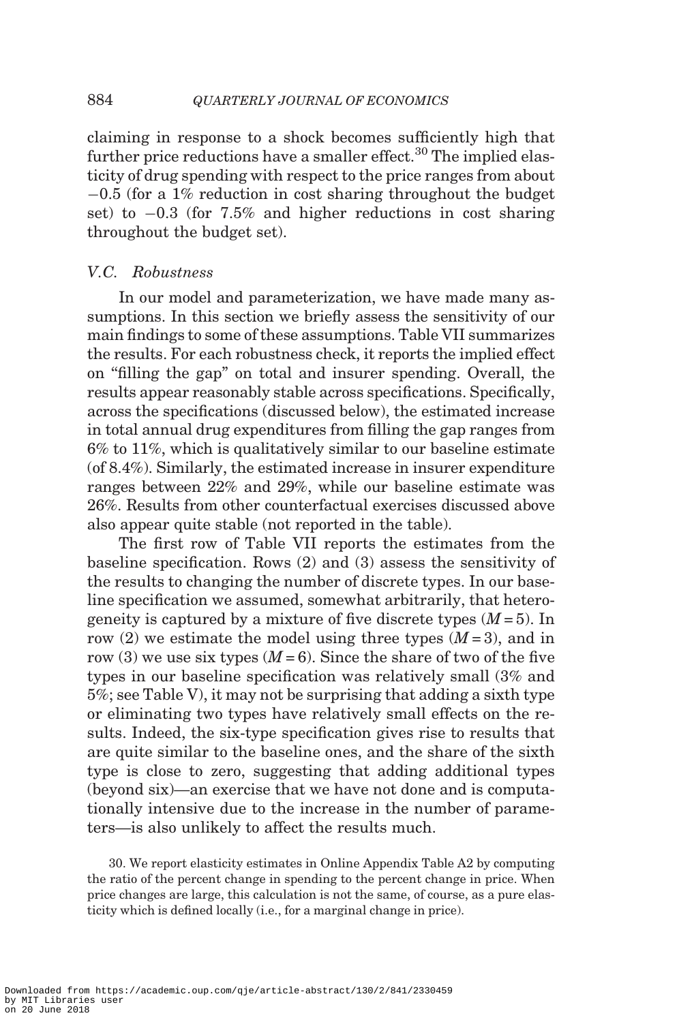claiming in response to a shock becomes sufficiently high that further price reductions have a smaller effect.<sup>30</sup> The implied elasticity of drug spending with respect to the price ranges from about -0.5 (for a 1% reduction in cost sharing throughout the budget set) to -0.3 (for 7.5% and higher reductions in cost sharing throughout the budget set).

# V.C. Robustness

In our model and parameterization, we have made many assumptions. In this section we briefly assess the sensitivity of our main findings to some of these assumptions. [Table VII](#page-44-0) summarizes the results. For each robustness check, it reports the implied effect on ''filling the gap'' on total and insurer spending. Overall, the results appear reasonably stable across specifications. Specifically, across the specifications (discussed below), the estimated increase in total annual drug expenditures from filling the gap ranges from 6% to 11%, which is qualitatively similar to our baseline estimate (of 8.4%). Similarly, the estimated increase in insurer expenditure ranges between 22% and 29%, while our baseline estimate was 26%. Results from other counterfactual exercises discussed above also appear quite stable (not reported in the table).

The first row of [Table VII](#page-44-0) reports the estimates from the baseline specification. Rows (2) and (3) assess the sensitivity of the results to changing the number of discrete types. In our baseline specification we assumed, somewhat arbitrarily, that heterogeneity is captured by a mixture of five discrete types  $(M=5)$ . In row (2) we estimate the model using three types  $(M=3)$ , and in row (3) we use six types  $(M = 6)$ . Since the share of two of the five types in our baseline specification was relatively small (3% and 5%; see [Table V\)](#page-33-0), it may not be surprising that adding a sixth type or eliminating two types have relatively small effects on the results. Indeed, the six-type specification gives rise to results that are quite similar to the baseline ones, and the share of the sixth type is close to zero, suggesting that adding additional types (beyond six)—an exercise that we have not done and is computationally intensive due to the increase in the number of parameters—is also unlikely to affect the results much.

30. We report elasticity estimates in [Online Appendix Table A2](http://qje.oxfordjournals.org/lookup/suppl/doi:10.1093/qje/qjv005/-/DC1) by computing the ratio of the percent change in spending to the percent change in price. When price changes are large, this calculation is not the same, of course, as a pure elasticity which is defined locally (i.e., for a marginal change in price).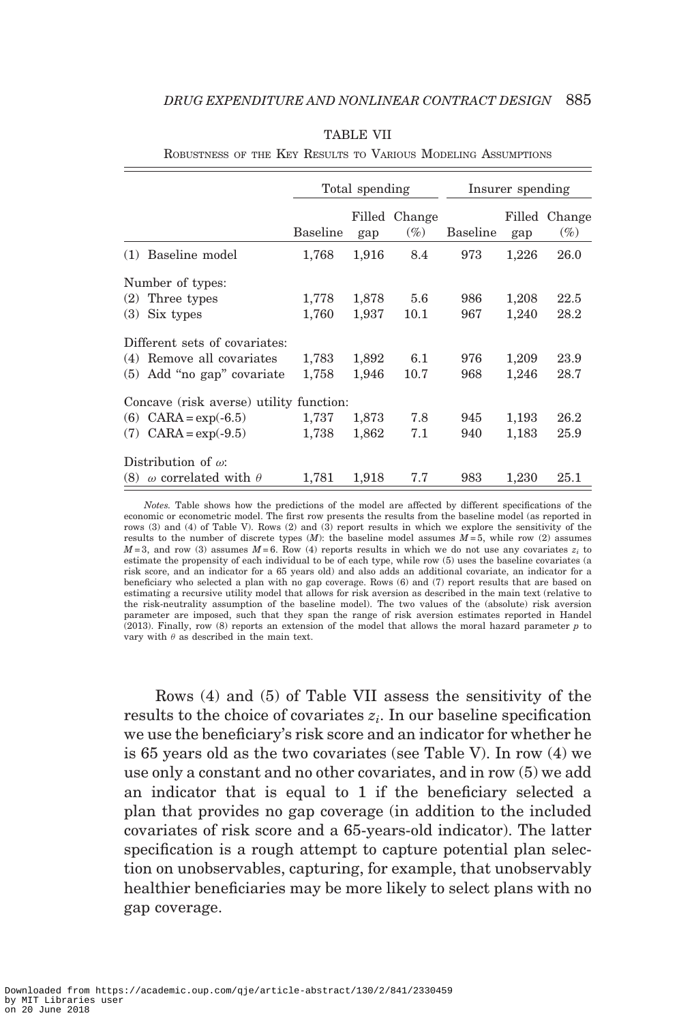<span id="page-44-0"></span>

|                                         |                 | Total spending |                  |          | Insurer spending |                         |
|-----------------------------------------|-----------------|----------------|------------------|----------|------------------|-------------------------|
|                                         | <b>Baseline</b> | Filled<br>gap  | Change<br>$(\%)$ | Baseline | gap              | Filled Change<br>$(\%)$ |
| (1) Baseline model                      | 1,768           | 1,916          | 8.4              | 973      | 1,226            | 26.0                    |
| Number of types:                        |                 |                |                  |          |                  |                         |
| $(2)$ Three types                       | 1,778           | 1,878          | 5.6              | 986      | 1,208            | 22.5                    |
| $(3)$ Six types                         | 1,760           | 1,937          | 10.1             | 967      | 1,240            | 28.2                    |
| Different sets of covariates:           |                 |                |                  |          |                  |                         |
| (4) Remove all covariates               | 1,783           | 1,892          | 6.1              | 976      | 1,209            | 23.9                    |
| (5) Add "no gap" covariate              | 1,758           | 1,946          | 10.7             | 968      | 1,246            | 28.7                    |
| Concave (risk averse) utility function: |                 |                |                  |          |                  |                         |
| (6) $CARA = exp(-6.5)$                  | 1,737           | 1,873          | 7.8              | 945      | 1,193            | 26.2                    |
| $(7)$ CARA = $exp(-9.5)$                | 1,738           | 1,862          | 7.1              | 940      | 1,183            | 25.9                    |
| Distribution of $\omega$ :              |                 |                |                  |          |                  |                         |
| (8) $\omega$ correlated with $\theta$   | 1,781           | 1,918          | 7.7              | 983      | 1,230            | 25.1                    |

| TABLE VII |  |
|-----------|--|
|-----------|--|

ROBUSTNESS OF THE KEY RESULTS TO VARIOUS MODELING ASSUMPTIONS

Notes. Table shows how the predictions of the model are affected by different specifications of the economic or econometric model. The first row presents the results from the baseline model (as reported in rows (3) and (4) of [Table V](#page-33-0)). Rows (2) and (3) report results in which we explore the sensitivity of the results to the number of discrete types  $(M)$ : the baseline model assumes  $M = 5$ , while row (2) assumes  $M=3$ , and row (3) assumes  $M=6$ . Row (4) reports results in which we do not use any covariates  $z_i$  to estimate the propensity of each individual to be of each type, while row (5) uses the baseline covariates (a risk score, and an indicator for a 65 years old) and also adds an additional covariate, an indicator for a beneficiary who selected a plan with no gap coverage. Rows (6) and (7) report results that are based on estimating a recursive utility model that allows for risk aversion as described in the main text (relative to the risk-neutrality assumption of the baseline model). The two values of the (absolute) risk aversion parameter are imposed, such that they span the range of risk aversion estimates reported in [Handel](#page-57-0) [\(2013\).](#page-57-0) Finally, row (8) reports an extension of the model that allows the moral hazard parameter p to vary with  $\theta$  as described in the main text.

Rows (4) and (5) of Table VII assess the sensitivity of the results to the choice of covariates  $z_i$ . In our baseline specification we use the beneficiary's risk score and an indicator for whether he is 65 years old as the two covariates (see [Table V](#page-33-0)). In row (4) we use only a constant and no other covariates, and in row (5) we add an indicator that is equal to 1 if the beneficiary selected a plan that provides no gap coverage (in addition to the included covariates of risk score and a 65-years-old indicator). The latter specification is a rough attempt to capture potential plan selection on unobservables, capturing, for example, that unobservably healthier beneficiaries may be more likely to select plans with no gap coverage.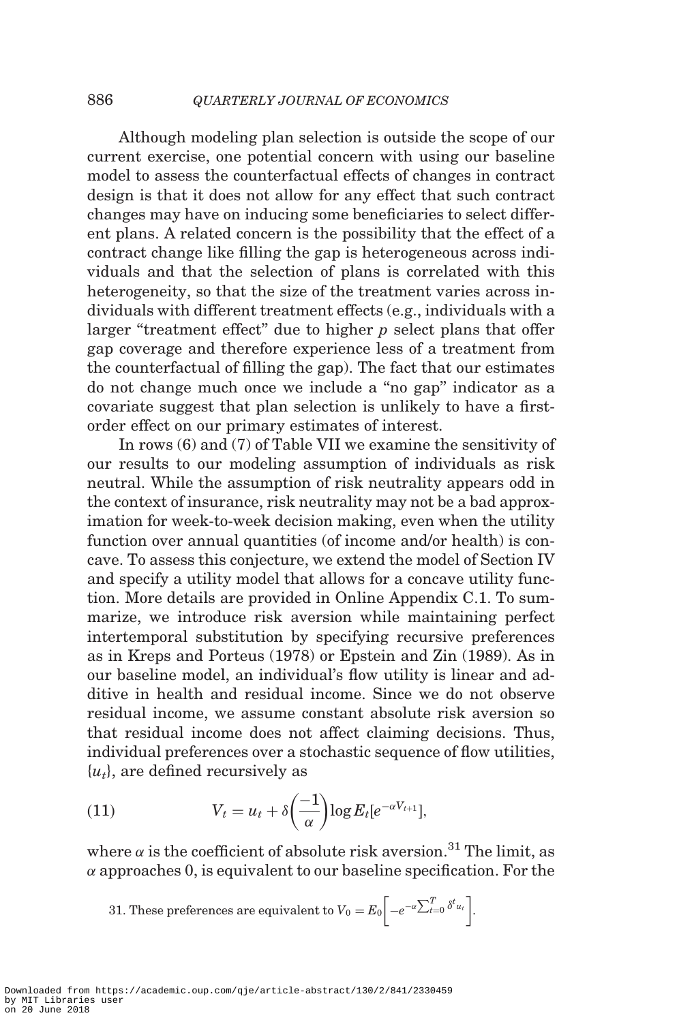Although modeling plan selection is outside the scope of our current exercise, one potential concern with using our baseline model to assess the counterfactual effects of changes in contract design is that it does not allow for any effect that such contract changes may have on inducing some beneficiaries to select different plans. A related concern is the possibility that the effect of a contract change like filling the gap is heterogeneous across individuals and that the selection of plans is correlated with this heterogeneity, so that the size of the treatment varies across individuals with different treatment effects (e.g., individuals with a larger "treatment effect" due to higher  $p$  select plans that offer gap coverage and therefore experience less of a treatment from the counterfactual of filling the gap). The fact that our estimates do not change much once we include a ''no gap'' indicator as a covariate suggest that plan selection is unlikely to have a firstorder effect on our primary estimates of interest.

In rows (6) and (7) of [Table VII](#page-44-0) we examine the sensitivity of our results to our modeling assumption of individuals as risk neutral. While the assumption of risk neutrality appears odd in the context of insurance, risk neutrality may not be a bad approximation for week-to-week decision making, even when the utility function over annual quantities (of income and/or health) is concave. To assess this conjecture, we extend the model of Section IV and specify a utility model that allows for a concave utility function. More details are provided in [Online Appendix C.1](http://qje.oxfordjournals.org/lookup/suppl/doi:10.1093/qje/qjv005/-/DC1). To summarize, we introduce risk aversion while maintaining perfect intertemporal substitution by specifying recursive preferences as in [Kreps and Porteus \(1978\)](#page-58-0) or [Epstein and Zin \(1989\)](#page-57-0). As in our baseline model, an individual's flow utility is linear and additive in health and residual income. Since we do not observe residual income, we assume constant absolute risk aversion so that residual income does not affect claiming decisions. Thus, individual preferences over a stochastic sequence of flow utilities,  ${u_t}$ , are defined recursively as

(11) 
$$
V_t = u_t + \delta\left(\frac{-1}{\alpha}\right) \log E_t[e^{-\alpha V_{t+1}}],
$$

where  $\alpha$  is the coefficient of absolute risk aversion.<sup>31</sup> The limit, as  $\alpha$  approaches 0, is equivalent to our baseline specification. For the

31. These preferences are equivalent to 
$$
V_0 = E_0 \left[ -e^{-\alpha \sum_{t=0}^{T} \delta^t u_t} \right].
$$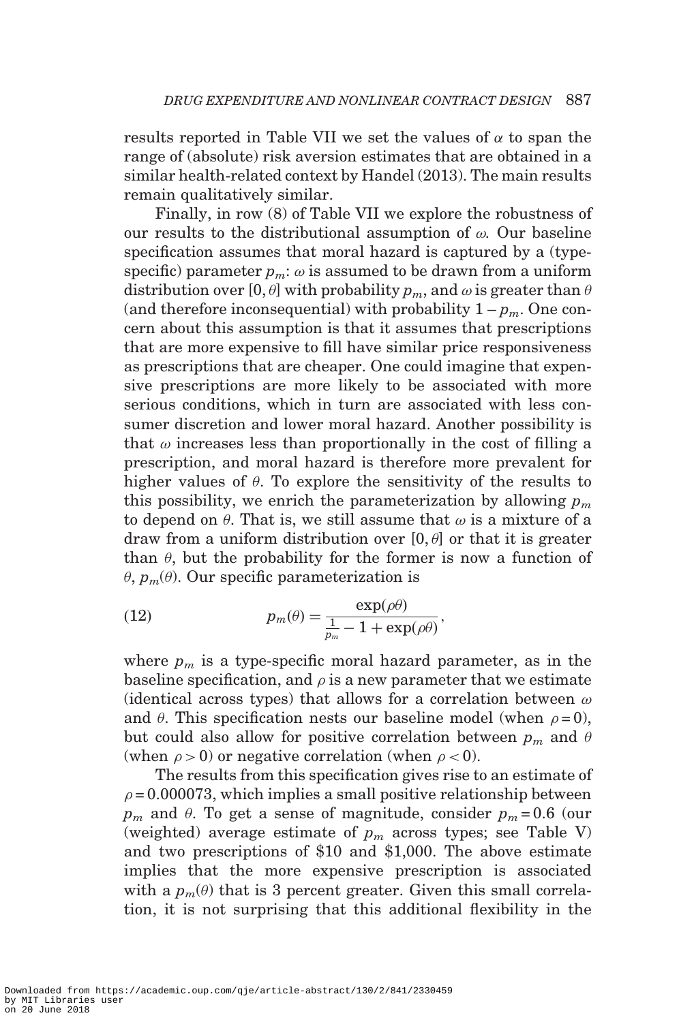results reported in [Table VII](#page-44-0) we set the values of  $\alpha$  to span the range of (absolute) risk aversion estimates that are obtained in a similar health-related context by [Handel \(2013\).](#page-57-0) The main results remain qualitatively similar.

Finally, in row (8) of [Table VII](#page-44-0) we explore the robustness of our results to the distributional assumption of  $\omega$ . Our baseline specification assumes that moral hazard is captured by a (typespecific) parameter  $p_m$ :  $\omega$  is assumed to be drawn from a uniform distribution over  $[0,\theta]$  with probability  $p_m$ , and  $\omega$  is greater than  $\theta$ (and therefore inconsequential) with probability  $1 - p_m$ . One concern about this assumption is that it assumes that prescriptions that are more expensive to fill have similar price responsiveness as prescriptions that are cheaper. One could imagine that expensive prescriptions are more likely to be associated with more serious conditions, which in turn are associated with less consumer discretion and lower moral hazard. Another possibility is that  $\omega$  increases less than proportionally in the cost of filling a prescription, and moral hazard is therefore more prevalent for higher values of  $\theta$ . To explore the sensitivity of the results to this possibility, we enrich the parameterization by allowing  $p_m$ to depend on  $\theta$ . That is, we still assume that  $\omega$  is a mixture of a draw from a uniform distribution over  $[0, \theta]$  or that it is greater than  $\theta$ , but the probability for the former is now a function of  $\theta$ ,  $p_m(\theta)$ . Our specific parameterization is

(12) 
$$
p_m(\theta) = \frac{\exp(\rho\theta)}{\frac{1}{p_m} - 1 + \exp(\rho\theta)},
$$

where  $p_m$  is a type-specific moral hazard parameter, as in the baseline specification, and  $\rho$  is a new parameter that we estimate (identical across types) that allows for a correlation between  $\omega$ and  $\theta$ . This specification nests our baseline model (when  $\rho = 0$ ), but could also allow for positive correlation between  $p_m$  and  $\theta$ (when  $\rho > 0$ ) or negative correlation (when  $\rho < 0$ ).

The results from this specification gives rise to an estimate of  $\rho$  = 0.000073, which implies a small positive relationship between  $p_m$  and  $\theta$ . To get a sense of magnitude, consider  $p_m$ =0.6 (our (weighted) average estimate of  $p_m$  across types; see [Table V](#page-33-0)) and two prescriptions of \$10 and \$1,000. The above estimate implies that the more expensive prescription is associated with a  $p_m(\theta)$  that is 3 percent greater. Given this small correlation, it is not surprising that this additional flexibility in the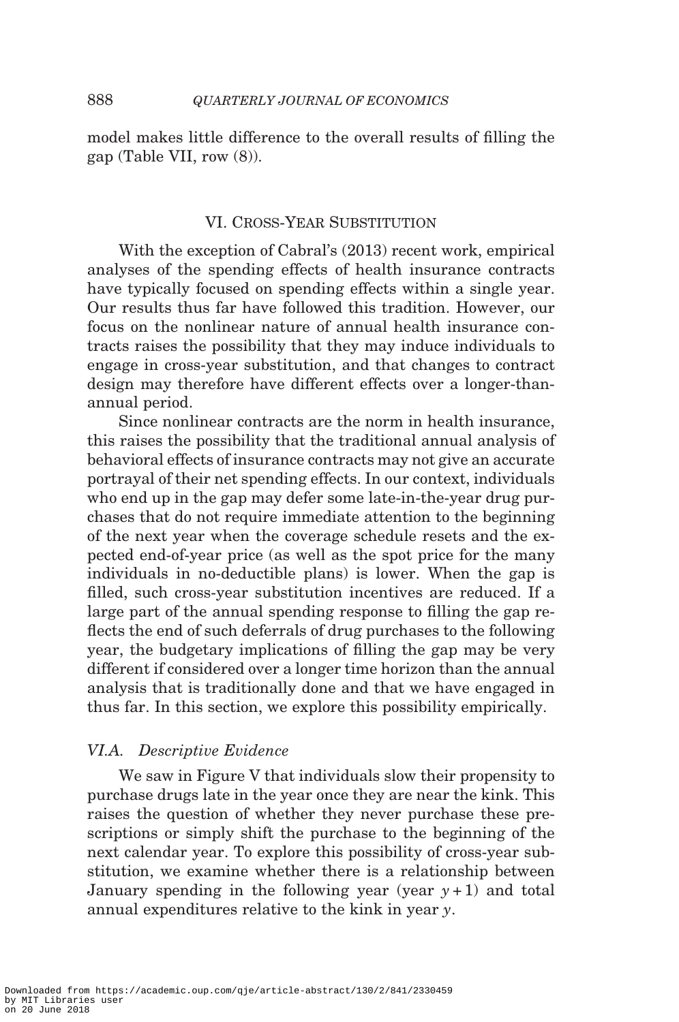model makes little difference to the overall results of filling the gap [\(Table VII](#page-44-0), row (8)).

### VI. CROSS-YEAR SUBSTITUTION

With the exception of [Cabral's \(2013\)](#page-57-0) recent work, empirical analyses of the spending effects of health insurance contracts have typically focused on spending effects within a single year. Our results thus far have followed this tradition. However, our focus on the nonlinear nature of annual health insurance contracts raises the possibility that they may induce individuals to engage in cross-year substitution, and that changes to contract design may therefore have different effects over a longer-thanannual period.

Since nonlinear contracts are the norm in health insurance, this raises the possibility that the traditional annual analysis of behavioral effects of insurance contracts may not give an accurate portrayal of their net spending effects. In our context, individuals who end up in the gap may defer some late-in-the-year drug purchases that do not require immediate attention to the beginning of the next year when the coverage schedule resets and the expected end-of-year price (as well as the spot price for the many individuals in no-deductible plans) is lower. When the gap is filled, such cross-year substitution incentives are reduced. If a large part of the annual spending response to filling the gap reflects the end of such deferrals of drug purchases to the following year, the budgetary implications of filling the gap may be very different if considered over a longer time horizon than the annual analysis that is traditionally done and that we have engaged in thus far. In this section, we explore this possibility empirically.

### VI.A. Descriptive Evidence

We saw in [Figure V](#page-18-0) that individuals slow their propensity to purchase drugs late in the year once they are near the kink. This raises the question of whether they never purchase these prescriptions or simply shift the purchase to the beginning of the next calendar year. To explore this possibility of cross-year substitution, we examine whether there is a relationship between January spending in the following year (year  $y+1$ ) and total annual expenditures relative to the kink in year y.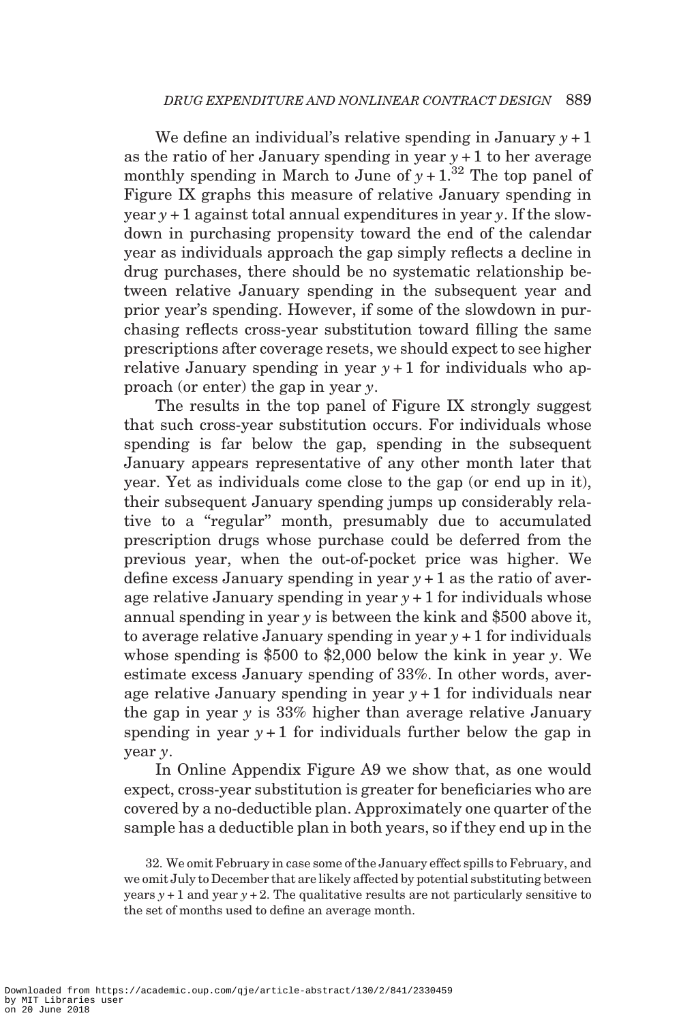We define an individual's relative spending in January  $y + 1$ as the ratio of her January spending in year  $y + 1$  to her average monthly spending in March to June of  $y + 1<sup>32</sup>$  The top panel of [Figure IX](#page-49-0) graphs this measure of relative January spending in year  $y + 1$  against total annual expenditures in year y. If the slowdown in purchasing propensity toward the end of the calendar year as individuals approach the gap simply reflects a decline in drug purchases, there should be no systematic relationship between relative January spending in the subsequent year and prior year's spending. However, if some of the slowdown in purchasing reflects cross-year substitution toward filling the same prescriptions after coverage resets, we should expect to see higher relative January spending in year  $y + 1$  for individuals who approach (or enter) the gap in year  $\nu$ .

The results in the top panel of [Figure IX](#page-49-0) strongly suggest that such cross-year substitution occurs. For individuals whose spending is far below the gap, spending in the subsequent January appears representative of any other month later that year. Yet as individuals come close to the gap (or end up in it), their subsequent January spending jumps up considerably relative to a ''regular'' month, presumably due to accumulated prescription drugs whose purchase could be deferred from the previous year, when the out-of-pocket price was higher. We define excess January spending in year  $y + 1$  as the ratio of average relative January spending in year  $y + 1$  for individuals whose annual spending in year  $\gamma$  is between the kink and \$500 above it, to average relative January spending in year  $y + 1$  for individuals whose spending is \$500 to \$2,000 below the kink in year y. We estimate excess January spending of 33%. In other words, average relative January spending in year  $y + 1$  for individuals near the gap in year  $y$  is 33% higher than average relative January spending in year  $y + 1$  for individuals further below the gap in year y.

In [Online Appendix Figure A9](http://qje.oxfordjournals.org/lookup/suppl/doi:10.1093/qje/qjv005/-/DC1) we show that, as one would expect, cross-year substitution is greater for beneficiaries who are covered by a no-deductible plan. Approximately one quarter of the sample has a deductible plan in both years, so if they end up in the

<sup>32.</sup> We omit February in case some of the January effect spills to February, and we omit July to December that are likely affected by potential substituting between years  $y + 1$  and year  $y + 2$ . The qualitative results are not particularly sensitive to the set of months used to define an average month.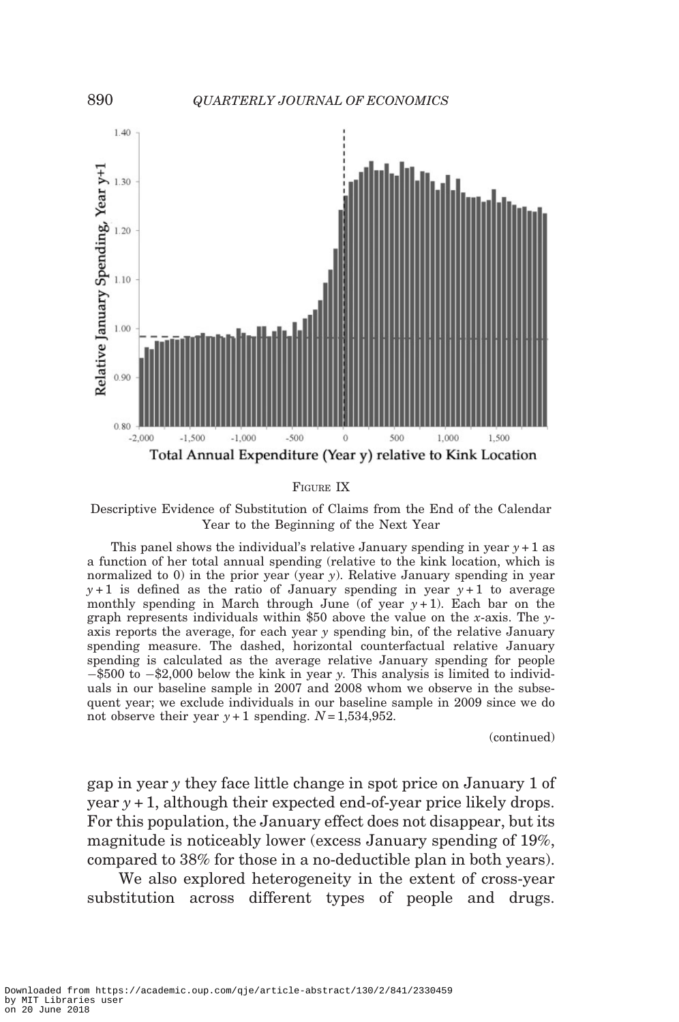<span id="page-49-0"></span>

#### FIGURE IX

Descriptive Evidence of Substitution of Claims from the End of the Calendar Year to the Beginning of the Next Year

This panel shows the individual's relative January spending in year  $y + 1$  as a function of her total annual spending (relative to the kink location, which is normalized to 0) in the prior year (year  $\gamma$ ). Relative January spending in year  $y+1$  is defined as the ratio of January spending in year  $y+1$  to average monthly spending in March through June (of year  $y + 1$ ). Each bar on the graph represents individuals within \$50 above the value on the x-axis. The  $y$ axis reports the average, for each year  $y$  spending bin, of the relative January spending measure. The dashed, horizontal counterfactual relative January spending is calculated as the average relative January spending for people -\$500 to -\$2,000 below the kink in year y. This analysis is limited to individuals in our baseline sample in 2007 and 2008 whom we observe in the subsequent year; we exclude individuals in our baseline sample in 2009 since we do not observe their year  $y + 1$  spending.  $N = 1,534,952$ .

(continued)

gap in year y they face little change in spot price on January 1 of year  $y + 1$ , although their expected end-of-year price likely drops. For this population, the January effect does not disappear, but its magnitude is noticeably lower (excess January spending of 19%, compared to 38% for those in a no-deductible plan in both years).

We also explored heterogeneity in the extent of cross-year substitution across different types of people and drugs.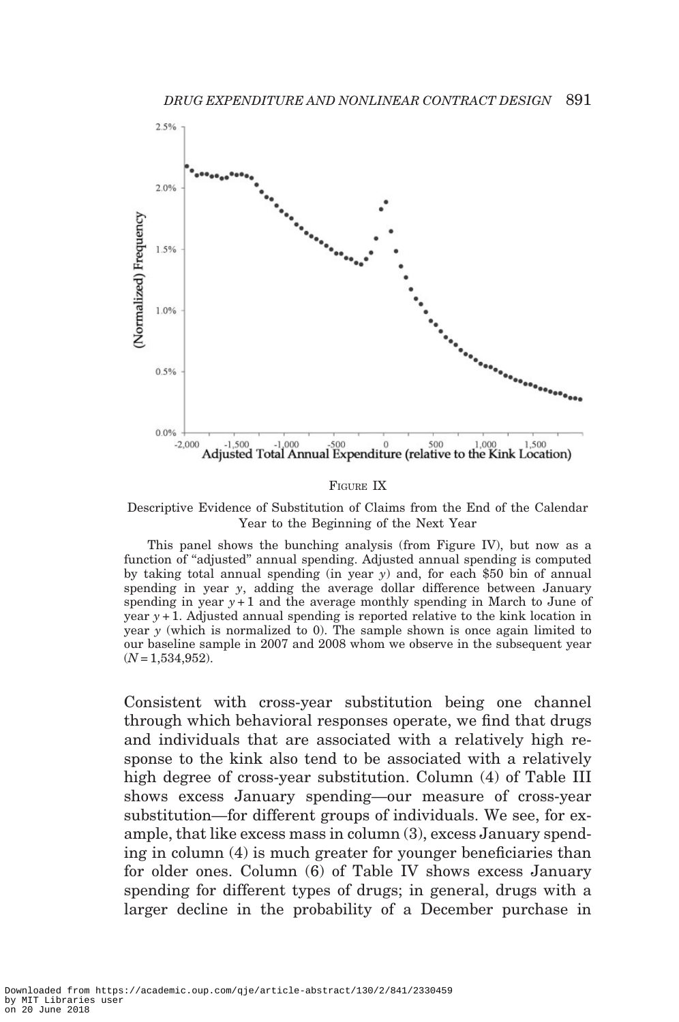

#### FIGURE IX

Descriptive Evidence of Substitution of Claims from the End of the Calendar Year to the Beginning of the Next Year

This panel shows the bunching analysis (from [Figure IV\)](#page-14-0), but now as a function of ''adjusted'' annual spending. Adjusted annual spending is computed by taking total annual spending (in year  $y$ ) and, for each \$50 bin of annual spending in year  $y$ , adding the average dollar difference between January spending in year  $y + 1$  and the average monthly spending in March to June of year  $y + 1$ . Adjusted annual spending is reported relative to the kink location in year  $y$  (which is normalized to 0). The sample shown is once again limited to our baseline sample in 2007 and 2008 whom we observe in the subsequent year  $(N=1,534,952)$ .

Consistent with cross-year substitution being one channel through which behavioral responses operate, we find that drugs and individuals that are associated with a relatively high response to the kink also tend to be associated with a relatively high degree of cross-year substitution. Column (4) of [Table III](#page-16-0) shows excess January spending—our measure of cross-year substitution—for different groups of individuals. We see, for example, that like excess mass in column (3), excess January spending in column (4) is much greater for younger beneficiaries than for older ones. Column (6) of [Table IV](#page-21-0) shows excess January spending for different types of drugs; in general, drugs with a larger decline in the probability of a December purchase in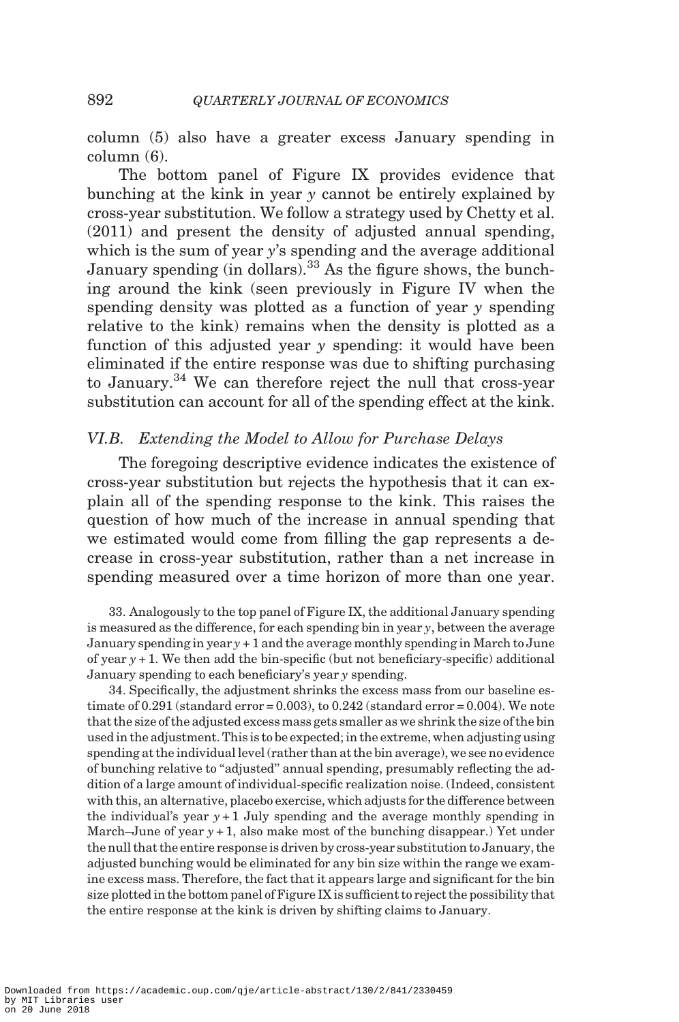column (5) also have a greater excess January spending in column (6).

The bottom panel of [Figure IX](#page-49-0) provides evidence that bunching at the kink in year y cannot be entirely explained by cross-year substitution. We follow a strategy used by [Chetty et al.](#page-57-0) [\(2011\)](#page-57-0) and present the density of adjusted annual spending, which is the sum of year  $y$ 's spending and the average additional January spending (in dollars).<sup>33</sup> As the figure shows, the bunching around the kink (seen previously in [Figure IV](#page-14-0) when the spending density was plotted as a function of year y spending relative to the kink) remains when the density is plotted as a function of this adjusted year  $\gamma$  spending: it would have been eliminated if the entire response was due to shifting purchasing to January.<sup>34</sup> We can therefore reject the null that cross-year substitution can account for all of the spending effect at the kink.

#### VI.B. Extending the Model to Allow for Purchase Delays

The foregoing descriptive evidence indicates the existence of cross-year substitution but rejects the hypothesis that it can explain all of the spending response to the kink. This raises the question of how much of the increase in annual spending that we estimated would come from filling the gap represents a decrease in cross-year substitution, rather than a net increase in spending measured over a time horizon of more than one year.

33. Analogously to the top panel of [Figure IX,](#page-49-0) the additional January spending is measured as the difference, for each spending bin in year  $y$ , between the average January spending in year  $y + 1$  and the average monthly spending in March to June of year  $y + 1$ . We then add the bin-specific (but not beneficiary-specific) additional January spending to each beneficiary's year  $\gamma$  spending.

34. Specifically, the adjustment shrinks the excess mass from our baseline estimate of  $0.291$  (standard error =  $0.003$ ), to  $0.242$  (standard error =  $0.004$ ). We note that the size of the adjusted excess mass gets smaller as we shrink the size of the bin used in the adjustment. This is to be expected; in the extreme, when adjusting using spending at the individual level (rather than at the bin average), we see no evidence of bunching relative to ''adjusted'' annual spending, presumably reflecting the addition of a large amount of individual-specific realization noise. (Indeed, consistent with this, an alternative, placebo exercise, which adjusts for the difference between the individual's year  $y + 1$  July spending and the average monthly spending in March–June of year  $y + 1$ , also make most of the bunching disappear.) Yet under the null that the entire response is driven by cross-year substitution to January, the adjusted bunching would be eliminated for any bin size within the range we examine excess mass. Therefore, the fact that it appears large and significant for the bin size plotted in the bottom panel of [Figure IX](#page-49-0) is sufficient to reject the possibility that the entire response at the kink is driven by shifting claims to January.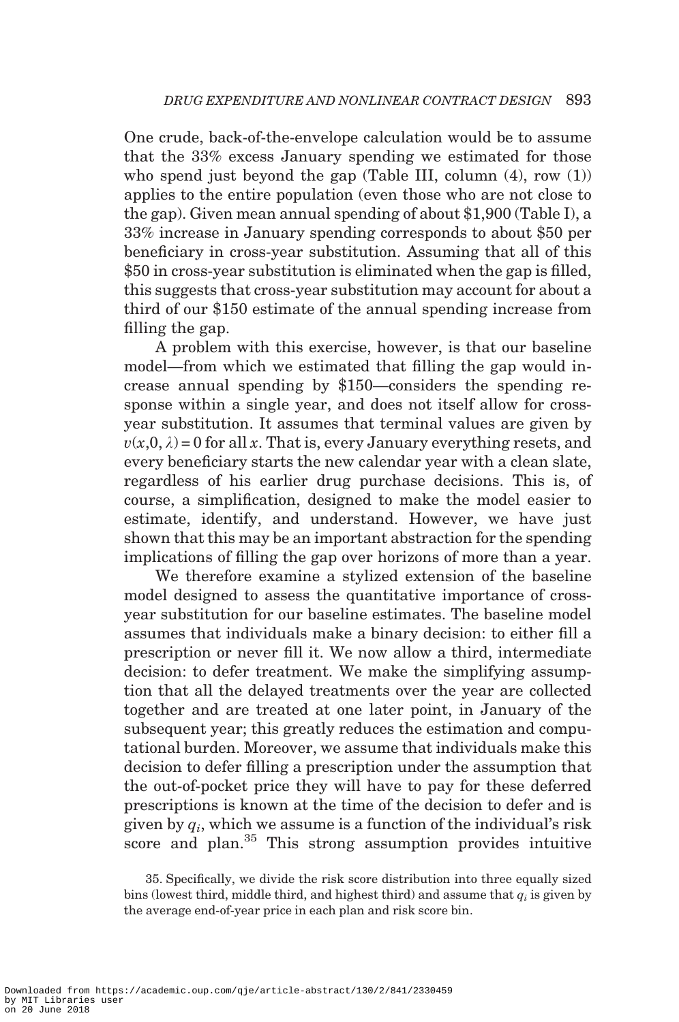One crude, back-of-the-envelope calculation would be to assume that the 33% excess January spending we estimated for those who spend just beyond the gap ([Table III,](#page-16-0) column  $(4)$ , row  $(1)$ ) applies to the entire population (even those who are not close to the gap). Given mean annual spending of about \$1,900 [\(Table I\)](#page-8-0), a 33% increase in January spending corresponds to about \$50 per beneficiary in cross-year substitution. Assuming that all of this \$50 in cross-year substitution is eliminated when the gap is filled, this suggests that cross-year substitution may account for about a third of our \$150 estimate of the annual spending increase from filling the gap.

A problem with this exercise, however, is that our baseline model—from which we estimated that filling the gap would increase annual spending by \$150—considers the spending response within a single year, and does not itself allow for crossyear substitution. It assumes that terminal values are given by  $v(x,0, \lambda) = 0$  for all x. That is, every January everything resets, and every beneficiary starts the new calendar year with a clean slate, regardless of his earlier drug purchase decisions. This is, of course, a simplification, designed to make the model easier to estimate, identify, and understand. However, we have just shown that this may be an important abstraction for the spending implications of filling the gap over horizons of more than a year.

We therefore examine a stylized extension of the baseline model designed to assess the quantitative importance of crossyear substitution for our baseline estimates. The baseline model assumes that individuals make a binary decision: to either fill a prescription or never fill it. We now allow a third, intermediate decision: to defer treatment. We make the simplifying assumption that all the delayed treatments over the year are collected together and are treated at one later point, in January of the subsequent year; this greatly reduces the estimation and computational burden. Moreover, we assume that individuals make this decision to defer filling a prescription under the assumption that the out-of-pocket price they will have to pay for these deferred prescriptions is known at the time of the decision to defer and is given by  $q_i$ , which we assume is a function of the individual's risk score and plan.<sup>35</sup> This strong assumption provides intuitive

<sup>35.</sup> Specifically, we divide the risk score distribution into three equally sized bins (lowest third, middle third, and highest third) and assume that  $q_i$  is given by the average end-of-year price in each plan and risk score bin.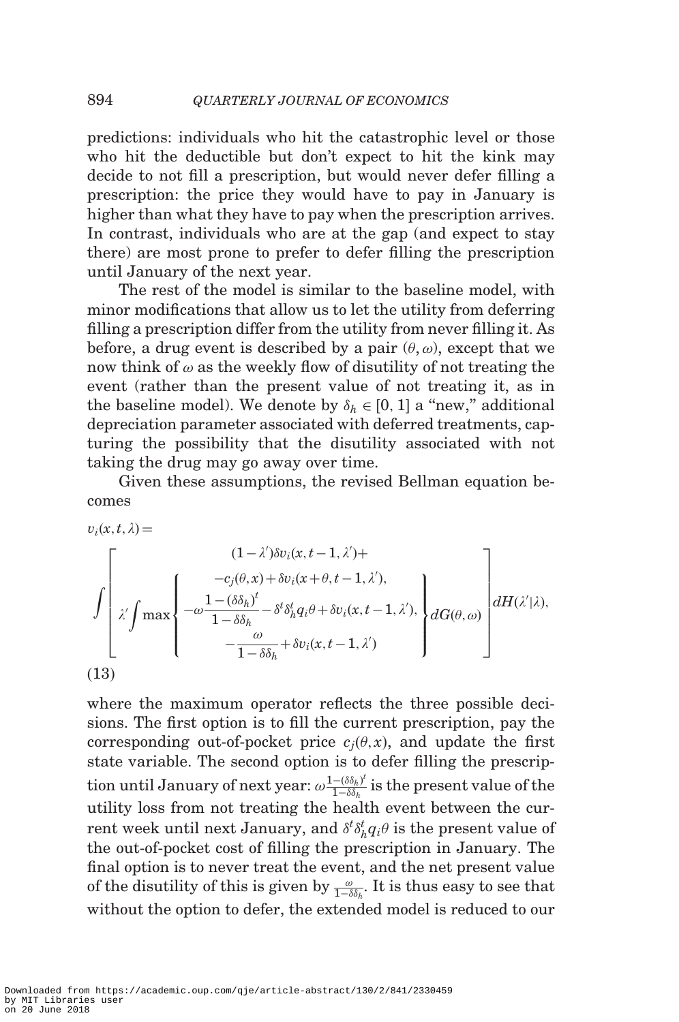predictions: individuals who hit the catastrophic level or those who hit the deductible but don't expect to hit the kink may decide to not fill a prescription, but would never defer filling a prescription: the price they would have to pay in January is higher than what they have to pay when the prescription arrives. In contrast, individuals who are at the gap (and expect to stay there) are most prone to prefer to defer filling the prescription until January of the next year.

The rest of the model is similar to the baseline model, with minor modifications that allow us to let the utility from deferring filling a prescription differ from the utility from never filling it. As before, a drug event is described by a pair  $(\theta, \omega)$ , except that we now think of  $\omega$  as the weekly flow of disutility of not treating the event (rather than the present value of not treating it, as in the baseline model). We denote by  $\delta_h \in [0, 1]$  a "new," additional depreciation parameter associated with deferred treatments, capturing the possibility that the disutility associated with not taking the drug may go away over time.

Given these assumptions, the revised Bellman equation becomes

$$
v_i(x, t, \lambda) =
$$
\n
$$
\int \left[ \lambda' \int \max \left\{ \begin{array}{c} (1 - \lambda') \delta v_i(x, t - 1, \lambda') + \\ -c_j(\theta, x) + \delta v_i(x + \theta, t - 1, \lambda'), \\ \lambda' \int \max \left\{ -\omega \frac{1 - (\delta \delta_h)^t}{1 - \delta \delta_h} - \delta^t \delta_h^t q_i \theta + \delta v_i(x, t - 1, \lambda'), \\ -\frac{\omega}{1 - \delta \delta_h} + \delta v_i(x, t - 1, \lambda') \end{array} \right\} dG(\theta, \omega) \right] dH(\lambda'|\lambda),
$$
\n(13)

where the maximum operator reflects the three possible decisions. The first option is to fill the current prescription, pay the corresponding out-of-pocket price  $c_j(\theta, x)$ , and update the first state variable. The second option is to defer filling the prescription until January of next year:  $\omega \frac{1 - (\delta \delta_h)^2}{1 - \delta \delta_h}$  $\frac{-(\delta \delta_h)^\gamma}{1-\delta \delta_h}$  is the present value of the utility loss from not treating the health event between the current week until next January, and  $\delta^t \delta^t_h q_i \theta$  is the present value of the out-of-pocket cost of filling the prescription in January. The final option is to never treat the event, and the net present value of the disutility of this is given by  $\frac{\omega}{1-\delta\delta_h}$ . It is thus easy to see that without the option to defer, the extended model is reduced to our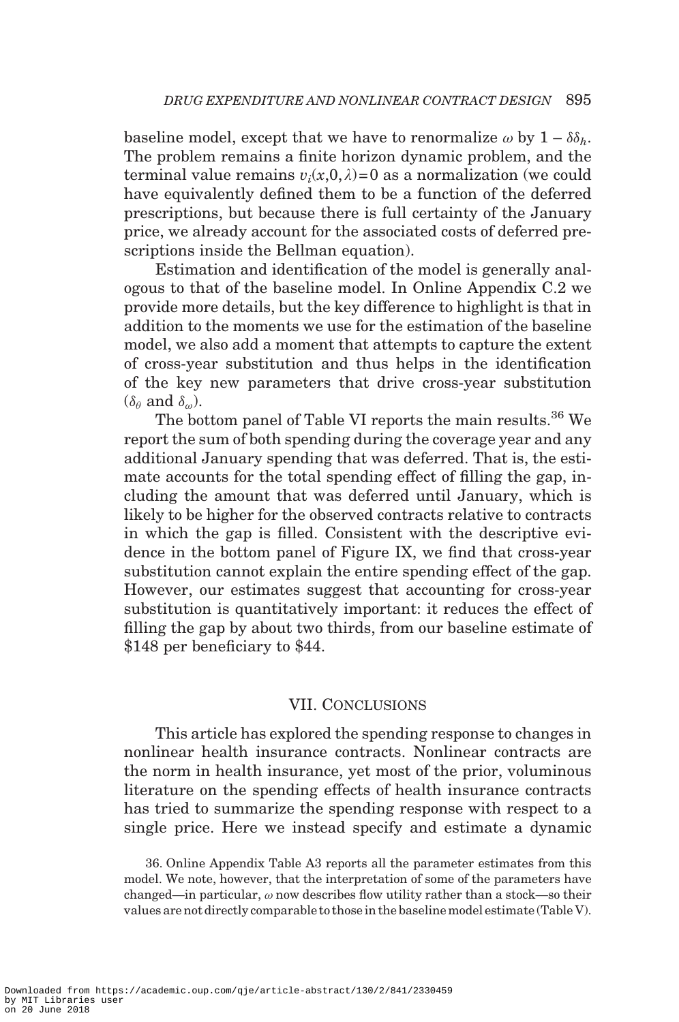baseline model, except that we have to renormalize  $\omega$  by  $1 - \delta \delta_h$ . The problem remains a finite horizon dynamic problem, and the terminal value remains  $v_i(x,0,\lambda)=0$  as a normalization (we could have equivalently defined them to be a function of the deferred prescriptions, but because there is full certainty of the January price, we already account for the associated costs of deferred prescriptions inside the Bellman equation).

Estimation and identification of the model is generally analogous to that of the baseline model. In [Online Appendix C.2](http://qje.oxfordjournals.org/lookup/suppl/doi:10.1093/qje/qjv005/-/DC1) we provide more details, but the key difference to highlight is that in addition to the moments we use for the estimation of the baseline model, we also add a moment that attempts to capture the extent of cross-year substitution and thus helps in the identification of the key new parameters that drive cross-year substitution  $(\delta_{\theta} \text{ and } \delta_{\omega}).$ 

The bottom panel of [Table VI](#page-39-0) reports the main results.<sup>36</sup> We report the sum of both spending during the coverage year and any additional January spending that was deferred. That is, the estimate accounts for the total spending effect of filling the gap, including the amount that was deferred until January, which is likely to be higher for the observed contracts relative to contracts in which the gap is filled. Consistent with the descriptive evidence in the bottom panel of [Figure IX,](#page-49-0) we find that cross-year substitution cannot explain the entire spending effect of the gap. However, our estimates suggest that accounting for cross-year substitution is quantitatively important: it reduces the effect of filling the gap by about two thirds, from our baseline estimate of \$148 per beneficiary to \$44.

### VII. Conclusions

This article has explored the spending response to changes in nonlinear health insurance contracts. Nonlinear contracts are the norm in health insurance, yet most of the prior, voluminous literature on the spending effects of health insurance contracts has tried to summarize the spending response with respect to a single price. Here we instead specify and estimate a dynamic

36. [Online Appendix Table A3](http://qje.oxfordjournals.org/lookup/suppl/doi:10.1093/qje/qjv005/-/DC1) reports all the parameter estimates from this model. We note, however, that the interpretation of some of the parameters have changed—in particular,  $\omega$  now describes flow utility rather than a stock—so their values are not directly comparable to those in the baseline model estimate [\(Table V\)](#page-33-0).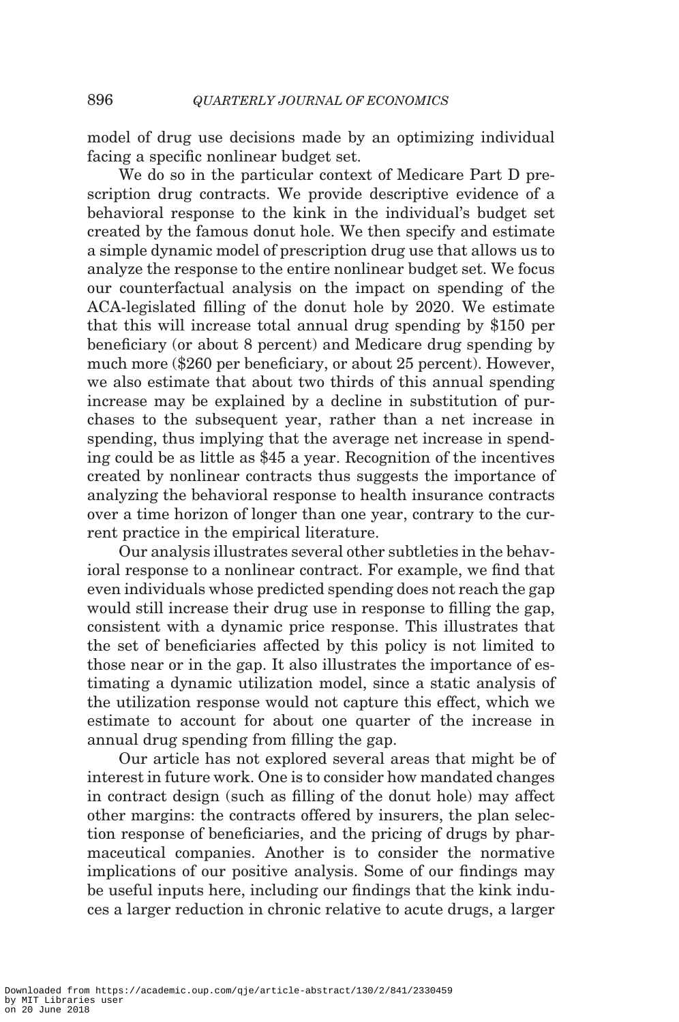model of drug use decisions made by an optimizing individual facing a specific nonlinear budget set.

We do so in the particular context of Medicare Part D prescription drug contracts. We provide descriptive evidence of a behavioral response to the kink in the individual's budget set created by the famous donut hole. We then specify and estimate a simple dynamic model of prescription drug use that allows us to analyze the response to the entire nonlinear budget set. We focus our counterfactual analysis on the impact on spending of the ACA-legislated filling of the donut hole by 2020. We estimate that this will increase total annual drug spending by \$150 per beneficiary (or about 8 percent) and Medicare drug spending by much more (\$260 per beneficiary, or about 25 percent). However, we also estimate that about two thirds of this annual spending increase may be explained by a decline in substitution of purchases to the subsequent year, rather than a net increase in spending, thus implying that the average net increase in spending could be as little as \$45 a year. Recognition of the incentives created by nonlinear contracts thus suggests the importance of analyzing the behavioral response to health insurance contracts over a time horizon of longer than one year, contrary to the current practice in the empirical literature.

Our analysis illustrates several other subtleties in the behavioral response to a nonlinear contract. For example, we find that even individuals whose predicted spending does not reach the gap would still increase their drug use in response to filling the gap, consistent with a dynamic price response. This illustrates that the set of beneficiaries affected by this policy is not limited to those near or in the gap. It also illustrates the importance of estimating a dynamic utilization model, since a static analysis of the utilization response would not capture this effect, which we estimate to account for about one quarter of the increase in annual drug spending from filling the gap.

Our article has not explored several areas that might be of interest in future work. One is to consider how mandated changes in contract design (such as filling of the donut hole) may affect other margins: the contracts offered by insurers, the plan selection response of beneficiaries, and the pricing of drugs by pharmaceutical companies. Another is to consider the normative implications of our positive analysis. Some of our findings may be useful inputs here, including our findings that the kink induces a larger reduction in chronic relative to acute drugs, a larger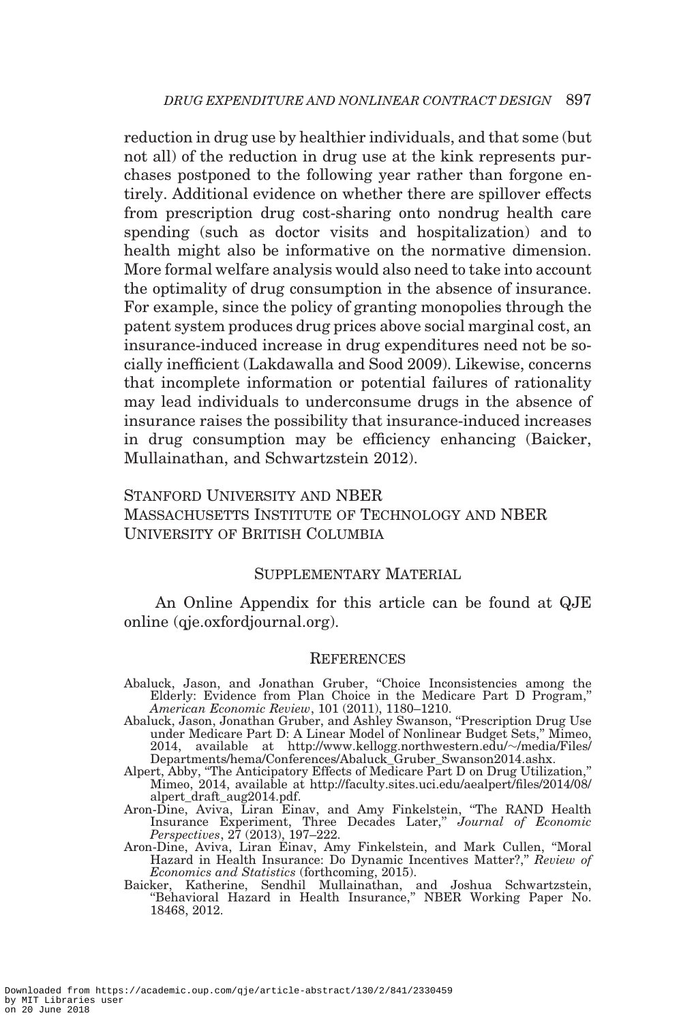<span id="page-56-0"></span>reduction in drug use by healthier individuals, and that some (but not all) of the reduction in drug use at the kink represents purchases postponed to the following year rather than forgone entirely. Additional evidence on whether there are spillover effects from prescription drug cost-sharing onto nondrug health care spending (such as doctor visits and hospitalization) and to health might also be informative on the normative dimension. More formal welfare analysis would also need to take into account the optimality of drug consumption in the absence of insurance. For example, since the policy of granting monopolies through the patent system produces drug prices above social marginal cost, an insurance-induced increase in drug expenditures need not be socially inefficient ([Lakdawalla and Sood 2009\)](#page-58-0). Likewise, concerns that incomplete information or potential failures of rationality may lead individuals to underconsume drugs in the absence of insurance raises the possibility that insurance-induced increases in drug consumption may be efficiency enhancing (Baicker, Mullainathan, and Schwartzstein 2012).

# Stanford University and NBER Massachusetts Institute of Technology and NBER University of British Columbia

### Supplementary Material

An [Online Appendix](http://qje.oxfordjournals.org/lookup/suppl/doi:10.1093/qje/qjv005/-/DC1) for this article can be found at QJE online (qje.oxfordjournal.org).

#### **REFERENCES**

- Abaluck, Jason, and Jonathan Gruber, ''Choice Inconsistencies among the Elderly: Evidence from Plan Choice in the Medicare Part D Program,''
- American Economic Review, 101 (2011), 1180–1210. Abaluck, Jason, Jonathan Gruber, and Ashley Swanson, ''Prescription Drug Use under Medicare Part D: A Linear Model of Nonlinear Budget Sets,'' Mimeo, 2014, available at [http://www.kellogg.northwestern.edu/](http://www.kellogg.northwestern.edu/~/media/Files/Departments/hema/Conferences/Abaluck_Gruber_Swanson2014.ashx)~[/media/Files/](http://www.kellogg.northwestern.edu/~/media/Files/Departments/hema/Conferences/Abaluck_Gruber_Swanson2014.ashx)

[Departments/hema/Conferences/Abaluck\\_Gruber\\_Swanson2014.ashx.](http://www.kellogg.northwestern.edu/~/media/Files/Departments/hema/Conferences/Abaluck_Gruber_Swanson2014.ashx) Alpert, Abby, ''The Anticipatory Effects of Medicare Part D on Drug Utilization,'' Mimeo, 2014, available at [http://faculty.sites.uci.edu/aealpert/files/2014/08/](http://faculty.sites.uci.edu/aealpert/files/2014/08/alpert_draft_aug2014.pdf)

- [alpert\\_draft\\_aug2014.pdf.](http://faculty.sites.uci.edu/aealpert/files/2014/08/alpert_draft_aug2014.pdf) Aron-Dine, Aviva, Liran Einav, and Amy Finkelstein, ''The RAND Health Insurance Experiment, Three Decades Later,'' Journal of Economic Perspectives, 27 (2013), 197–222.
- Aron-Dine, Aviva, Liran Einav, Amy Finkelstein, and Mark Cullen, ''Moral Hazard in Health Insurance: Do Dynamic Incentives Matter?,'' Review of
- Economics and Statistics (forthcoming, 2015). Baicker, Katherine, Sendhil Mullainathan, and Joshua Schwartzstein, ''Behavioral Hazard in Health Insurance,'' NBER Working Paper No. 18468, 2012.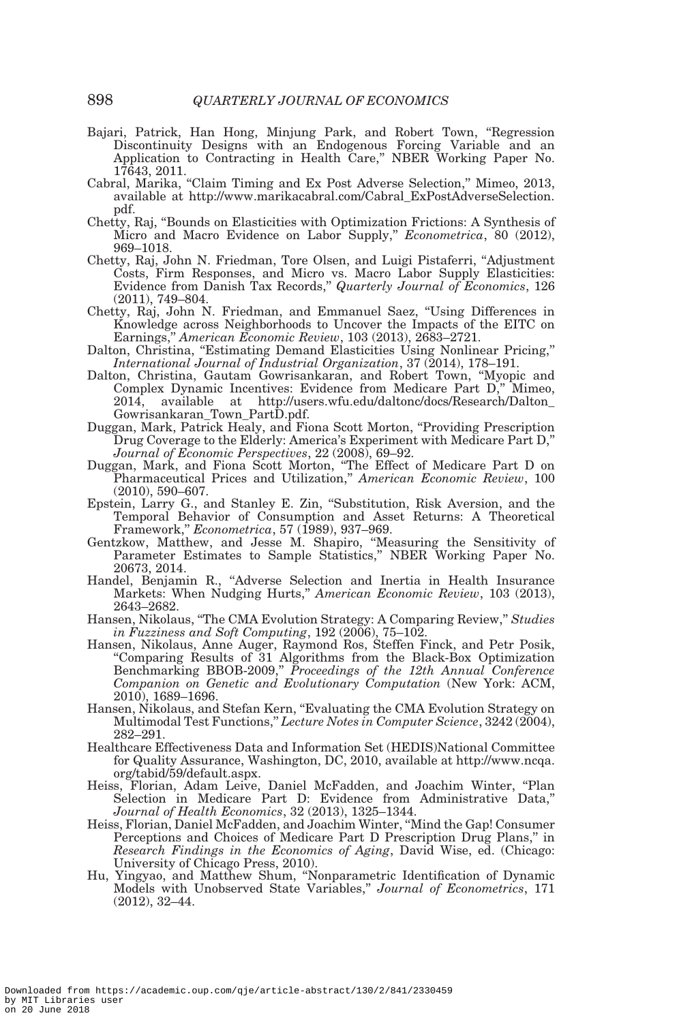- Bajari, Patrick, Han Hong, Minjung Park, and Robert Town, ''Regression Discontinuity Designs with an Endogenous Forcing Variable and an Application to Contracting in Health Care,'' NBER Working Paper No. 17643, 2011.
- Cabral, Marika, ''Claim Timing and Ex Post Adverse Selection,'' Mimeo, 2013, available at [http://www.marikacabral.com/Cabral\\_ExPostAdverseSelection.](http://www.marikacabral.com/Cabral_ExPostAdverseSelection.pdf) [pdf.](http://www.marikacabral.com/Cabral_ExPostAdverseSelection.pdf)
- Chetty, Raj, ''Bounds on Elasticities with Optimization Frictions: A Synthesis of Micro and Macro Evidence on Labor Supply," Econometrica, 80 (2012), 969–1018.
- Chetty, Raj, John N. Friedman, Tore Olsen, and Luigi Pistaferri, ''Adjustment Costs, Firm Responses, and Micro vs. Macro Labor Supply Elasticities: Evidence from Danish Tax Records,'' Quarterly Journal of Economics, 126 (2011), 749–804.
- Chetty, Raj, John N. Friedman, and Emmanuel Saez, ''Using Differences in Knowledge across Neighborhoods to Uncover the Impacts of the EITC on Earnings,'' American Economic Review, 103 (2013), 2683–2721.
- Dalton, Christina, ''Estimating Demand Elasticities Using Nonlinear Pricing,'' International Journal of Industrial Organization, 37 (2014), 178-191.
- Dalton, Christina, Gautam Gowrisankaran, and Robert Town, ''Myopic and Complex Dynamic Incentives: Evidence from Medicare Part D,'' Mimeo, 2014, available at [http://users.wfu.edu/daltonc/docs/Research/Dalton\\_](http://users.wfu.edu/daltonc/docs/Research/Dalton_Gowrisankaran_Town_PartD.pdf) [Gowrisankaran\\_Town\\_PartD.pdf.](http://users.wfu.edu/daltonc/docs/Research/Dalton_Gowrisankaran_Town_PartD.pdf)
- Duggan, Mark, Patrick Healy, and Fiona Scott Morton, ''Providing Prescription Drug Coverage to the Elderly: America's Experiment with Medicare Part D,'' Journal of Economic Perspectives, 22 (2008), 69–92.
- Duggan, Mark, and Fiona Scott Morton, ''The Effect of Medicare Part D on Pharmaceutical Prices and Utilization," American Economic Review, 100 (2010), 590–607.
- Epstein, Larry G., and Stanley E. Zin, ''Substitution, Risk Aversion, and the Temporal Behavior of Consumption and Asset Returns: A Theoretical Framework,'' Econometrica, 57 (1989), 937–969.
- Gentzkow, Matthew, and Jesse M. Shapiro, ''Measuring the Sensitivity of Parameter Estimates to Sample Statistics,'' NBER Working Paper No. 20673, 2014.
- Handel, Benjamin R., ''Adverse Selection and Inertia in Health Insurance Markets: When Nudging Hurts,'' American Economic Review, 103 (2013), 2643–2682.
- Hansen, Nikolaus, "The CMA Evolution Strategy: A Comparing Review," Studies in Fuzziness and Soft Computing,  $192 (2006)$ ,  $75-102$ .
- Hansen, Nikolaus, Anne Auger, Raymond Ros, Steffen Finck, and Petr Posik, ''Comparing Results of 31 Algorithms from the Black-Box Optimization Benchmarking BBOB-2009," Proceedings of the 12th Annual Conference Companion on Genetic and Evolutionary Computation (New York: ACM, 2010), 1689–1696.
- Hansen, Nikolaus, and Stefan Kern, ''Evaluating the CMA Evolution Strategy on Multimodal Test Functions," Lecture Notes in Computer Science, 3242 (2004), 282–291.
- Healthcare Effectiveness Data and Information Set (HEDIS)National Committee for Quality Assurance, Washington, DC, 2010, available at [http://www.ncqa.](http://www.ncqa.org/tabid/59/default.aspx) [org/tabid/59/default.aspx.](http://www.ncqa.org/tabid/59/default.aspx)
- Heiss, Florian, Adam Leive, Daniel McFadden, and Joachim Winter, ''Plan Selection in Medicare Part D: Evidence from Administrative Data,'' Journal of Health Economics, 32 (2013), 1325–1344.
- Heiss, Florian, Daniel McFadden, and Joachim Winter, ''Mind the Gap! Consumer Perceptions and Choices of Medicare Part D Prescription Drug Plans,'' in Research Findings in the Economics of Aging, David Wise, ed. (Chicago: University of Chicago Press, 2010).
- Hu, Yingyao, and Matthew Shum, ''Nonparametric Identification of Dynamic Models with Unobserved State Variables,'' Journal of Econometrics, 171 (2012), 32–44.

<span id="page-57-0"></span>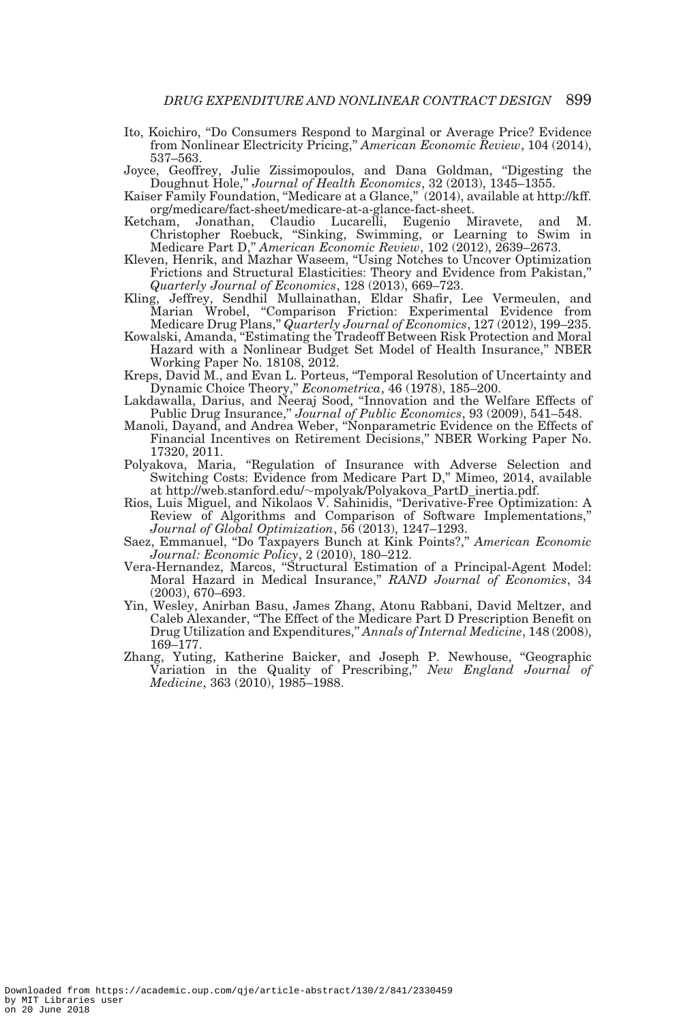- <span id="page-58-0"></span>Ito, Koichiro, ''Do Consumers Respond to Marginal or Average Price? Evidence from Nonlinear Electricity Pricing,'' American Economic Review, 104 (2014), 537–563.
- Joyce, Geoffrey, Julie Zissimopoulos, and Dana Goldman, ''Digesting the Doughnut Hole,'' Journal of Health Economics, 32 (2013), 1345–1355.
- Kaiser Family Foundation, ''Medicare at a Glance,'' (2014), available at [http://kff.](http://kff.org/medicare/fact-sheet/medicare-at-a-glance-fact-sheet) [org/medicare/fact-sheet/medicare-at-a-glance-fact-sheet](http://kff.org/medicare/fact-sheet/medicare-at-a-glance-fact-sheet).
- Jonathan, Claudio Lucarelli, Eugenio Miravete, and M. Christopher Roebuck, ''Sinking, Swimming, or Learning to Swim in Medicare Part D,'' American Economic Review, 102 (2012), 2639–2673.
- Kleven, Henrik, and Mazhar Waseem, ''Using Notches to Uncover Optimization Frictions and Structural Elasticities: Theory and Evidence from Pakistan,''
- Quarterly Journal of Economics, 128 (2013), 669–723. Kling, Jeffrey, Sendhil Mullainathan, Eldar Shafir, Lee Vermeulen, and Marian Wrobel, ''Comparison Friction: Experimental Evidence from Medicare Drug Plans,'' Quarterly Journal of Economics, 127 (2012), 199–235.
- Kowalski, Amanda, ''Estimating the Tradeoff Between Risk Protection and Moral Hazard with a Nonlinear Budget Set Model of Health Insurance,'' NBER Working Paper No. 18108, 2012.
- Kreps, David M., and Evan L. Porteus, ''Temporal Resolution of Uncertainty and
- Dynamic Choice Theory,'' Econometrica, 46 (1978), 185–200. Lakdawalla, Darius, and Neeraj Sood, ''Innovation and the Welfare Effects of Public Drug Insurance,'' Journal of Public Economics, 93 (2009), 541–548.
- Manoli, Dayand, and Andrea Weber, ''Nonparametric Evidence on the Effects of Financial Incentives on Retirement Decisions,'' NBER Working Paper No. 17320, 2011.
- Polyakova, Maria, ''Regulation of Insurance with Adverse Selection and Switching Costs: Evidence from Medicare Part D,'' Mimeo, 2014, available at [http://web.stanford.edu/](http://web.stanford.edu/~mpolyak/Polyakova_PartD_inertia.pdf)[mpolyak/Polyakova\\_PartD\\_inertia.pdf.](http://web.stanford.edu/~mpolyak/Polyakova_PartD_inertia.pdf)
- Rios, Luis Miguel, and Nikolaos V. Sahinidis, ''Derivative-Free Optimization: A Review of Algorithms and Comparison of Software Implementations,''
- Journal of Global Optimization, 56 (2013), 1247–1293. Saez, Emmanuel, ''Do Taxpayers Bunch at Kink Points?,'' American Economic Journal: Economic Policy, 2 (2010), 180–212.
- Vera-Hernandez, Marcos, ''Structural Estimation of a Principal-Agent Model: Moral Hazard in Medical Insurance," RAND Journal of Economics, 34 (2003), 670–693.
- Yin, Wesley, Anirban Basu, James Zhang, Atonu Rabbani, David Meltzer, and Caleb Alexander, ''The Effect of the Medicare Part D Prescription Benefit on Drug Utilization and Expenditures,'' Annals of Internal Medicine, 148 (2008), 169–177.
- Zhang, Yuting, Katherine Baicker, and Joseph P. Newhouse, ''Geographic Variation in the Quality of Prescribing," New England Journal of Medicine, 363 (2010), 1985–1988.